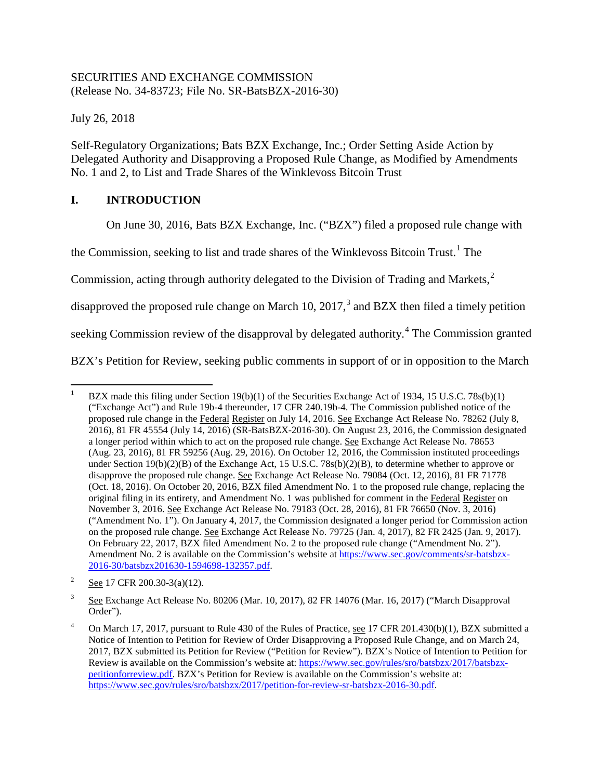## SECURITIES AND EXCHANGE COMMISSION (Release No. 34-83723; File No. SR-BatsBZX-2016-30)

July 26, 2018

Self-Regulatory Organizations; Bats BZX Exchange, Inc.; Order Setting Aside Action by Delegated Authority and Disapproving a Proposed Rule Change, as Modified by Amendments No. 1 and 2, to List and Trade Shares of the Winklevoss Bitcoin Trust

# **I. INTRODUCTION**

<span id="page-0-6"></span><span id="page-0-5"></span><span id="page-0-4"></span>On June 30, 2016, Bats BZX Exchange, Inc. ("BZX") filed a proposed rule change with

the Commission, seeking to list and trade shares of the Winklevoss Bitcoin Trust.<sup>[1](#page-0-0)</sup> The

Commission, acting through authority delegated to the Division of Trading and Markets, $^2$  $^2$ 

disapproved the proposed rule change on March 10, 2017,<sup>[3](#page-0-2)</sup> and BZX then filed a timely petition

seeking Commission review of the disapproval by delegated authority.<sup>[4](#page-0-3)</sup> The Commission granted

BZX's Petition for Review, seeking public comments in support of or in opposition to the March

<span id="page-0-0"></span>BZX made this filing under Section  $19(b)(1)$  of the Securities Exchange Act of 1934, 15 U.S.C. 78s(b)(1) ("Exchange Act") and Rule 19b-4 thereunder, 17 CFR 240.19b-4. The Commission published notice of the proposed rule change in the Federal Register on July 14, 2016. See Exchange Act Release No. 78262 (July 8, 2016), 81 FR 45554 (July 14, 2016) (SR-BatsBZX-2016-30). On August 23, 2016, the Commission designated a longer period within which to act on the proposed rule change. See Exchange Act Release No. 78653 (Aug. 23, 2016), 81 FR 59256 (Aug. 29, 2016). On October 12, 2016, the Commission instituted proceedings under Section 19(b)(2)(B) of the Exchange Act, 15 U.S.C. 78s(b)(2)(B), to determine whether to approve or disapprove the proposed rule change. See Exchange Act Release No. 79084 (Oct. 12, 2016), 81 FR 71778 (Oct. 18, 2016). On October 20, 2016, BZX filed Amendment No. 1 to the proposed rule change, replacing the original filing in its entirety, and Amendment No. 1 was published for comment in the Federal Register on November 3, 2016. See Exchange Act Release No. 79183 (Oct. 28, 2016), 81 FR 76650 (Nov. 3, 2016) ("Amendment No. 1"). On January 4, 2017, the Commission designated a longer period for Commission action on the proposed rule change. See Exchange Act Release No. 79725 (Jan. 4, 2017), 82 FR 2425 (Jan. 9, 2017). On February 22, 2017, BZX filed Amendment No. 2 to the proposed rule change ("Amendment No. 2"). Amendment No. 2 is available on the Commission's website a[t https://www.sec.gov/comments/sr-batsbzx-](https://www.sec.gov/comments/sr-batsbzx-2016-30/batsbzx201630-1594698-132357.pdf)[2016-30/batsbzx201630-1594698-132357.pdf.](https://www.sec.gov/comments/sr-batsbzx-2016-30/batsbzx201630-1594698-132357.pdf)

<span id="page-0-1"></span><sup>&</sup>lt;sup>2</sup> See 17 CFR 200.30-3(a)(12).

<span id="page-0-2"></span><sup>&</sup>lt;sup>3</sup> See Exchange Act Release No. 80206 (Mar. 10, 2017), 82 FR 14076 (Mar. 16, 2017) ("March Disapproval Order").

<span id="page-0-3"></span><sup>4</sup> On March 17, 2017, pursuant to Rule 430 of the Rules of Practice, see 17 CFR 201.430(b)(1), BZX submitted a Notice of Intention to Petition for Review of Order Disapproving a Proposed Rule Change, and on March 24, 2017, BZX submitted its Petition for Review ("Petition for Review"). BZX's Notice of Intention to Petition for Review is available on the Commission's website at: [https://www.sec.gov/rules/sro/batsbzx/2017/batsbzx](https://www.sec.gov/rules/sro/batsbzx/2017/batsbzx-petitionforreview.pdf)[petitionforreview.pdf.](https://www.sec.gov/rules/sro/batsbzx/2017/batsbzx-petitionforreview.pdf) BZX's Petition for Review is available on the Commission's website at: [https://www.sec.gov/rules/sro/batsbzx/2017/petition-for-review-sr-batsbzx-2016-30.pdf.](https://www.sec.gov/rules/sro/batsbzx/2017/petition-for-review-sr-batsbzx-2016-30.pdf)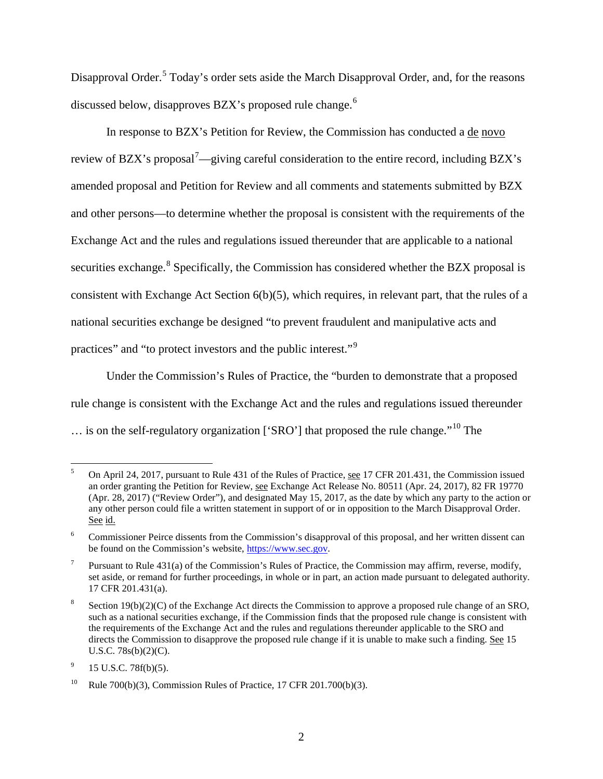Disapproval Order.<sup>[5](#page-1-0)</sup> Today's order sets aside the March Disapproval Order, and, for the reasons discussed below, disapproves BZX's proposed rule change.<sup>[6](#page-1-1)</sup>

In response to BZX's Petition for Review, the Commission has conducted a de novo review of BZX's proposal<sup>[7](#page-1-2)</sup>—giving careful consideration to the entire record, including BZX's amended proposal and Petition for Review and all comments and statements submitted by BZX and other persons—to determine whether the proposal is consistent with the requirements of the Exchange Act and the rules and regulations issued thereunder that are applicable to a national securities exchange.<sup>[8](#page-1-3)</sup> Specifically, the Commission has considered whether the BZX proposal is consistent with Exchange Act Section 6(b)(5), which requires, in relevant part, that the rules of a national securities exchange be designed "to prevent fraudulent and manipulative acts and practices" and "to protect investors and the public interest."[9](#page-1-4)

<span id="page-1-7"></span>Under the Commission's Rules of Practice, the "burden to demonstrate that a proposed rule change is consistent with the Exchange Act and the rules and regulations issued thereunder … is on the self-regulatory organization ['SRO'] that proposed the rule change."[10](#page-1-5) The

<span id="page-1-6"></span><span id="page-1-0"></span><sup>&</sup>lt;sup>5</sup> On April 24, 2017, pursuant to Rule 431 of the Rules of Practice, see 17 CFR 201.431, the Commission issued an order granting the Petition for Review, see Exchange Act Release No. 80511 (Apr. 24, 2017), 82 FR 19770 (Apr. 28, 2017) ("Review Order"), and designated May 15, 2017, as the date by which any party to the action or any other person could file a written statement in support of or in opposition to the March Disapproval Order. See id.

<span id="page-1-1"></span><sup>&</sup>lt;sup>6</sup> Commissioner Peirce dissents from the Commission's disapproval of this proposal, and her written dissent can be found on the Commission's website, [https://www.sec.gov.](https://www.sec.gov/)

<span id="page-1-2"></span><sup>&</sup>lt;sup>7</sup> Pursuant to Rule 431(a) of the Commission's Rules of Practice, the Commission may affirm, reverse, modify, set aside, or remand for further proceedings, in whole or in part, an action made pursuant to delegated authority. 17 CFR 201.431(a).

<span id="page-1-3"></span>Section 19(b)(2)(C) of the Exchange Act directs the Commission to approve a proposed rule change of an SRO, such as a national securities exchange, if the Commission finds that the proposed rule change is consistent with the requirements of the Exchange Act and the rules and regulations thereunder applicable to the SRO and directs the Commission to disapprove the proposed rule change if it is unable to make such a finding. See 15 U.S.C. 78s(b)(2)(C).

<span id="page-1-4"></span> $^{9}$  15 U.S.C. 78f(b)(5).

<span id="page-1-5"></span><sup>&</sup>lt;sup>10</sup> Rule 700(b)(3), Commission Rules of Practice, 17 CFR 201.700(b)(3).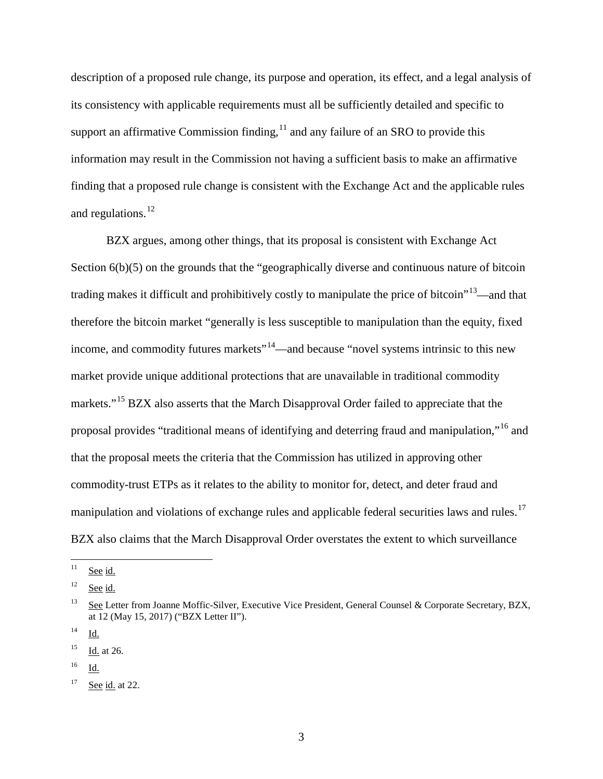description of a proposed rule change, its purpose and operation, its effect, and a legal analysis of its consistency with applicable requirements must all be sufficiently detailed and specific to support an affirmative Commission finding, $^{11}$  $^{11}$  $^{11}$  and any failure of an SRO to provide this information may result in the Commission not having a sufficient basis to make an affirmative finding that a proposed rule change is consistent with the Exchange Act and the applicable rules and regulations. $^{12}$  $^{12}$  $^{12}$ 

<span id="page-2-8"></span><span id="page-2-7"></span>BZX argues, among other things, that its proposal is consistent with Exchange Act Section  $6(b)(5)$  on the grounds that the "geographically diverse and continuous nature of bitcoin trading makes it difficult and prohibitively costly to manipulate the price of bitcoin<sup> $13$ </sup>—and that therefore the bitcoin market "generally is less susceptible to manipulation than the equity, fixed income, and commodity futures markets"<sup>14</sup>—and because "novel systems intrinsic to this new market provide unique additional protections that are unavailable in traditional commodity markets."<sup>[15](#page-2-4)</sup> BZX also asserts that the March Disapproval Order failed to appreciate that the proposal provides "traditional means of identifying and deterring fraud and manipulation,"[16](#page-2-5) and that the proposal meets the criteria that the Commission has utilized in approving other commodity-trust ETPs as it relates to the ability to monitor for, detect, and deter fraud and manipulation and violations of exchange rules and applicable federal securities laws and rules.<sup>[17](#page-2-6)</sup> BZX also claims that the March Disapproval Order overstates the extent to which surveillance

<span id="page-2-5"></span><sup>16</sup> Id.

<span id="page-2-0"></span> $11$  See id.

<span id="page-2-1"></span> $12$  See id.

<span id="page-2-2"></span><sup>&</sup>lt;sup>13</sup> See Letter from Joanne Moffic-Silver, Executive Vice President, General Counsel & Corporate Secretary, BZX, at 12 (May 15, 2017) ("BZX Letter II").

<span id="page-2-3"></span> $^{14}$  Id.

<span id="page-2-4"></span><sup>15</sup> Id. at 26.

<span id="page-2-6"></span> $17$  See id. at 22.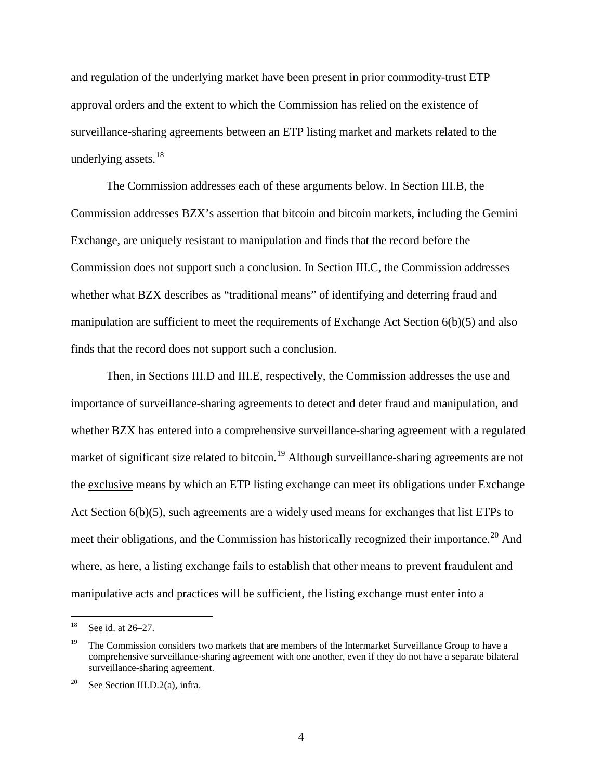and regulation of the underlying market have been present in prior commodity-trust ETP approval orders and the extent to which the Commission has relied on the existence of surveillance-sharing agreements between an ETP listing market and markets related to the underlying assets.<sup>[18](#page-3-0)</sup>

The Commission addresses each of these arguments below. In Section [III.B,](#page-11-0) the Commission addresses BZX's assertion that bitcoin and bitcoin markets, including the Gemini Exchange, are uniquely resistant to manipulation and finds that the record before the Commission does not support such a conclusion. In Section [III.C,](#page-40-0) the Commission addresses whether what BZX describes as "traditional means" of identifying and deterring fraud and manipulation are sufficient to meet the requirements of Exchange Act Section 6(b)(5) and also finds that the record does not support such a conclusion.

Then, in Sections [III.D](#page-44-0) and [III.E,](#page-59-0) respectively, the Commission addresses the use and importance of surveillance-sharing agreements to detect and deter fraud and manipulation, and whether BZX has entered into a comprehensive surveillance-sharing agreement with a regulated market of significant size related to bitcoin.<sup>[19](#page-3-1)</sup> Although surveillance-sharing agreements are not the exclusive means by which an ETP listing exchange can meet its obligations under Exchange Act Section 6(b)(5), such agreements are a widely used means for exchanges that list ETPs to meet their obligations, and the Commission has historically recognized their importance.<sup>[20](#page-3-2)</sup> And where, as here, a listing exchange fails to establish that other means to prevent fraudulent and manipulative acts and practices will be sufficient, the listing exchange must enter into a

<span id="page-3-0"></span> $18$  See id. at 26–27.

<span id="page-3-1"></span><sup>&</sup>lt;sup>19</sup> The Commission considers two markets that are members of the Intermarket Surveillance Group to have a comprehensive surveillance-sharing agreement with one another, even if they do not have a separate bilateral surveillance-sharing agreement.

<span id="page-3-2"></span><sup>&</sup>lt;sup>20</sup> See Section [III.D.2\(a\),](#page-48-0) infra.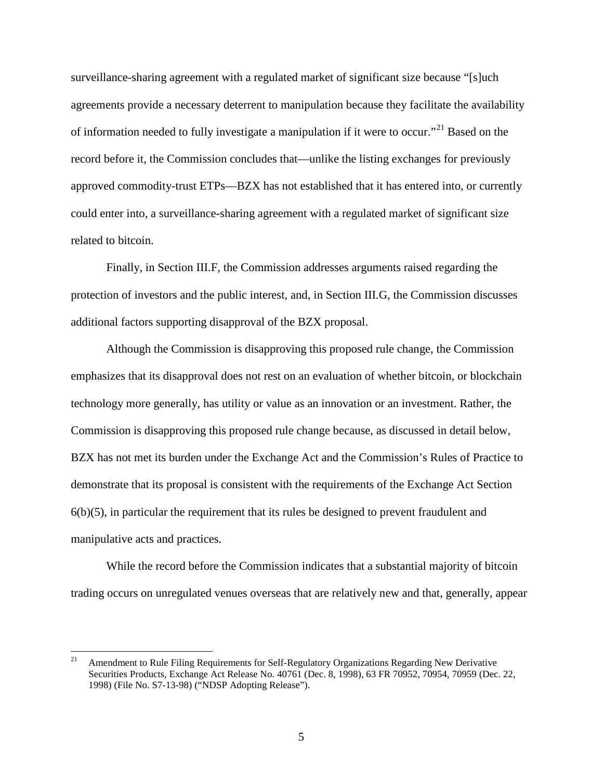surveillance-sharing agreement with a regulated market of significant size because "[s]uch agreements provide a necessary deterrent to manipulation because they facilitate the availability of information needed to fully investigate a manipulation if it were to occur."<sup>[21](#page-4-0)</sup> Based on the record before it, the Commission concludes that—unlike the listing exchanges for previously approved commodity-trust ETPs—BZX has not established that it has entered into, or currently could enter into, a surveillance-sharing agreement with a regulated market of significant size related to bitcoin.

Finally, in Section [III.F,](#page-79-0) the Commission addresses arguments raised regarding the protection of investors and the public interest, and, in Section [III.G,](#page-84-0) the Commission discusses additional factors supporting disapproval of the BZX proposal.

Although the Commission is disapproving this proposed rule change, the Commission emphasizes that its disapproval does not rest on an evaluation of whether bitcoin, or blockchain technology more generally, has utility or value as an innovation or an investment. Rather, the Commission is disapproving this proposed rule change because, as discussed in detail below, BZX has not met its burden under the Exchange Act and the Commission's Rules of Practice to demonstrate that its proposal is consistent with the requirements of the Exchange Act Section  $6(b)(5)$ , in particular the requirement that its rules be designed to prevent fraudulent and manipulative acts and practices.

While the record before the Commission indicates that a substantial majority of bitcoin trading occurs on unregulated venues overseas that are relatively new and that, generally, appear

<span id="page-4-0"></span> <sup>21</sup> Amendment to Rule Filing Requirements for Self-Regulatory Organizations Regarding New Derivative Securities Products, Exchange Act Release No. 40761 (Dec. 8, 1998), 63 FR 70952, 70954, 70959 (Dec. 22, 1998) (File No. S7-13-98) ("NDSP Adopting Release").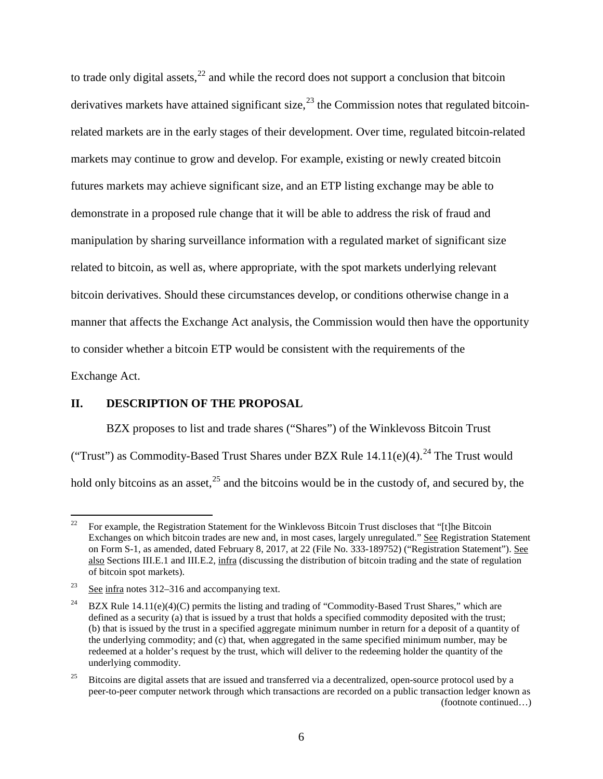<span id="page-5-4"></span>to trade only digital assets, $^{22}$  $^{22}$  $^{22}$  and while the record does not support a conclusion that bitcoin derivatives markets have attained significant size,<sup>[23](#page-5-1)</sup> the Commission notes that regulated bitcoinrelated markets are in the early stages of their development. Over time, regulated bitcoin-related markets may continue to grow and develop. For example, existing or newly created bitcoin futures markets may achieve significant size, and an ETP listing exchange may be able to demonstrate in a proposed rule change that it will be able to address the risk of fraud and manipulation by sharing surveillance information with a regulated market of significant size related to bitcoin, as well as, where appropriate, with the spot markets underlying relevant bitcoin derivatives. Should these circumstances develop, or conditions otherwise change in a manner that affects the Exchange Act analysis, the Commission would then have the opportunity to consider whether a bitcoin ETP would be consistent with the requirements of the

Exchange Act.

### **II. DESCRIPTION OF THE PROPOSAL**

BZX proposes to list and trade shares ("Shares") of the Winklevoss Bitcoin Trust ("Trust") as Commodity-Based Trust Shares under BZX Rule  $14.11(e)(4)$ .<sup>[24](#page-5-2)</sup> The Trust would hold only bitcoins as an asset,  $2<sup>5</sup>$  and the bitcoins would be in the custody of, and secured by, the

<span id="page-5-0"></span><sup>&</sup>lt;sup>22</sup> For example, the Registration Statement for the Winklevoss Bitcoin Trust discloses that "[t]he Bitcoin Exchanges on which bitcoin trades are new and, in most cases, largely unregulated." See Registration Statement on Form S-1, as amended, dated February 8, 2017, at 22 (File No. 333-189752) ("Registration Statement"). See also Sections [III.E.1](#page-59-1) and [III.E.2,](#page-67-0) infra (discussing the distribution of bitcoin trading and the state of regulation of bitcoin spot markets).

<span id="page-5-1"></span> $\frac{23}{2}$  See infra notes [312–](#page-78-0)[316](#page-78-1) and accompanying text.

<span id="page-5-2"></span><sup>&</sup>lt;sup>24</sup> BZX Rule 14.11(e)(4)(C) permits the listing and trading of "Commodity-Based Trust Shares," which are defined as a security (a) that is issued by a trust that holds a specified commodity deposited with the trust; (b) that is issued by the trust in a specified aggregate minimum number in return for a deposit of a quantity of the underlying commodity; and (c) that, when aggregated in the same specified minimum number, may be redeemed at a holder's request by the trust, which will deliver to the redeeming holder the quantity of the underlying commodity.

<span id="page-5-3"></span> $25$  Bitcoins are digital assets that are issued and transferred via a decentralized, open-source protocol used by a peer-to-peer computer network through which transactions are recorded on a public transaction ledger known as (footnote continued…)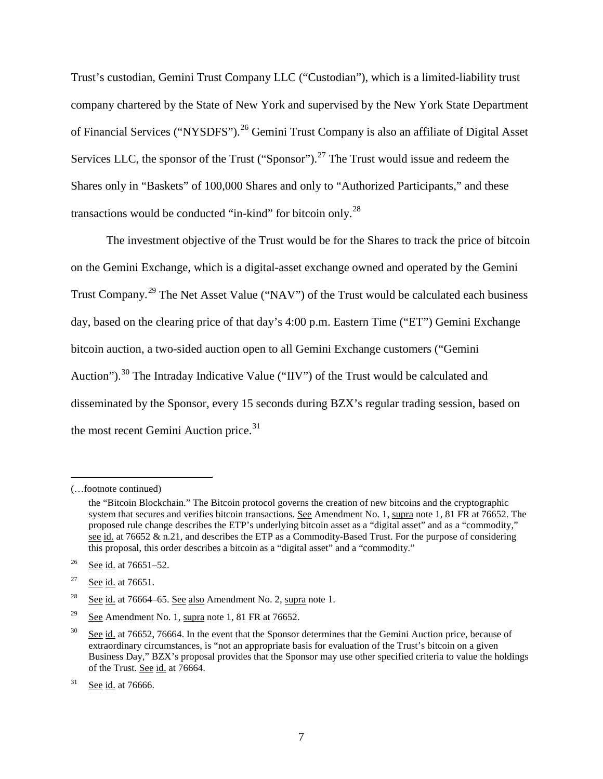Trust's custodian, Gemini Trust Company LLC ("Custodian"), which is a limited-liability trust company chartered by the State of New York and supervised by the New York State Department of Financial Services ("NYSDFS").<sup>[26](#page-6-0)</sup> Gemini Trust Company is also an affiliate of Digital Asset Services LLC, the sponsor of the Trust ("Sponsor").<sup>[27](#page-6-1)</sup> The Trust would issue and redeem the Shares only in "Baskets" of 100,000 Shares and only to "Authorized Participants," and these transactions would be conducted "in-kind" for bitcoin only.[28](#page-6-2)

The investment objective of the Trust would be for the Shares to track the price of bitcoin on the Gemini Exchange, which is a digital-asset exchange owned and operated by the Gemini Trust Company.<sup>[29](#page-6-3)</sup> The Net Asset Value ("NAV") of the Trust would be calculated each business day, based on the clearing price of that day's 4:00 p.m. Eastern Time ("ET") Gemini Exchange bitcoin auction, a two-sided auction open to all Gemini Exchange customers ("Gemini Auction").<sup>[30](#page-6-4)</sup> The Intraday Indicative Value ("IIV") of the Trust would be calculated and disseminated by the Sponsor, every 15 seconds during BZX's regular trading session, based on the most recent Gemini Auction price.<sup>[31](#page-6-5)</sup>

 $\overline{a}$ 

<sup>(…</sup>footnote continued)

the "Bitcoin Blockchain." The Bitcoin protocol governs the creation of new bitcoins and the cryptographic system that secures and verifies bitcoin transactions. See Amendment No. [1,](#page-0-4) supra note 1, 81 FR at 76652. The proposed rule change describes the ETP's underlying bitcoin asset as a "digital asset" and as a "commodity," see id. at 76652 & n.21, and describes the ETP as a Commodity-Based Trust. For the purpose of considering this proposal, this order describes a bitcoin as a "digital asset" and a "commodity."

<span id="page-6-0"></span><sup>&</sup>lt;sup>26</sup> See id. at  $76651 - 52$ .

<span id="page-6-1"></span> $27$  See id. at 76651.

<span id="page-6-2"></span> $\frac{28}{28}$  See id. at 76664–65. See also Amendment No. 2, supra note [1.](#page-0-4)

<span id="page-6-3"></span> $\frac{29}{2}$  See Amendment No. [1,](#page-0-4) supra note 1, 81 FR at 76652.

<span id="page-6-4"></span><sup>&</sup>lt;sup>30</sup> See id. at 76652, 76664. In the event that the Sponsor determines that the Gemini Auction price, because of extraordinary circumstances, is "not an appropriate basis for evaluation of the Trust's bitcoin on a given Business Day," BZX's proposal provides that the Sponsor may use other specified criteria to value the holdings of the Trust. See id. at 76664.

<span id="page-6-5"></span> $31$  See id. at 76666.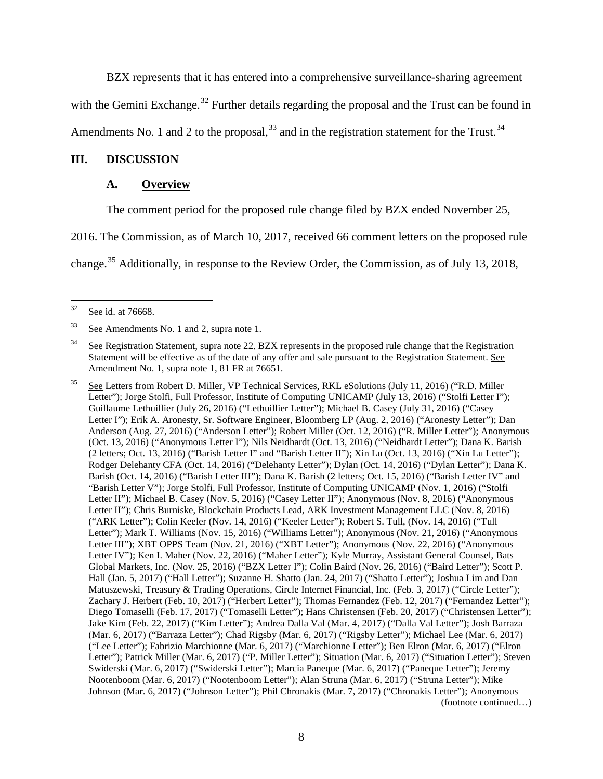BZX represents that it has entered into a comprehensive surveillance-sharing agreement

with the Gemini Exchange.<sup>[32](#page-7-0)</sup> Further details regarding the proposal and the Trust can be found in

Amendments No. 1 and 2 to the proposal,  $33$  and in the registration statement for the Trust.  $34$ 

#### **III. DISCUSSION**

### **A. Overview**

The comment period for the proposed rule change filed by BZX ended November 25,

2016. The Commission, as of March 10, 2017, received 66 comment letters on the proposed rule

<span id="page-7-4"></span>change.[35](#page-7-3) Additionally, in response to the Review Order, the Commission, as of July 13, 2018,

<span id="page-7-0"></span> <sup>32</sup> See id. at 76668.

<span id="page-7-1"></span><sup>33</sup> See Amendments No. 1 and 2, supra note [1.](#page-0-4)

<span id="page-7-2"></span><sup>&</sup>lt;sup>34</sup> See Registration Statement, supra note [22.](#page-5-4) BZX represents in the proposed rule change that the Registration Statement will be effective as of the date of any offer and sale pursuant to the Registration Statement. See Amendment No. [1,](#page-0-4) supra note 1, 81 FR at 76651.

<span id="page-7-3"></span><sup>&</sup>lt;sup>35</sup> See Letters from Robert D. Miller, VP Technical Services, RKL eSolutions (July 11, 2016) ("R.D. Miller Letter"); Jorge Stolfi, Full Professor, Institute of Computing UNICAMP (July 13, 2016) ("Stolfi Letter I"); Guillaume Lethuillier (July 26, 2016) ("Lethuillier Letter"); Michael B. Casey (July 31, 2016) ("Casey Letter I"); Erik A. Aronesty, Sr. Software Engineer, Bloomberg LP (Aug. 2, 2016) ("Aronesty Letter"); Dan Anderson (Aug. 27, 2016) ("Anderson Letter"); Robert Miller (Oct. 12, 2016) ("R. Miller Letter"); Anonymous (Oct. 13, 2016) ("Anonymous Letter I"); Nils Neidhardt (Oct. 13, 2016) ("Neidhardt Letter"); Dana K. Barish (2 letters; Oct. 13, 2016) ("Barish Letter I" and "Barish Letter II"); Xin Lu (Oct. 13, 2016) ("Xin Lu Letter"); Rodger Delehanty CFA (Oct. 14, 2016) ("Delehanty Letter"); Dylan (Oct. 14, 2016) ("Dylan Letter"); Dana K. Barish (Oct. 14, 2016) ("Barish Letter III"); Dana K. Barish (2 letters; Oct. 15, 2016) ("Barish Letter IV" and "Barish Letter V"); Jorge Stolfi, Full Professor, Institute of Computing UNICAMP (Nov. 1, 2016) ("Stolfi Letter II"); Michael B. Casey (Nov. 5, 2016) ("Casey Letter II"); Anonymous (Nov. 8, 2016) ("Anonymous Letter II"); Chris Burniske, Blockchain Products Lead, ARK Investment Management LLC (Nov. 8, 2016) ("ARK Letter"); Colin Keeler (Nov. 14, 2016) ("Keeler Letter"); Robert S. Tull, (Nov. 14, 2016) ("Tull Letter"); Mark T. Williams (Nov. 15, 2016) ("Williams Letter"); Anonymous (Nov. 21, 2016) ("Anonymous Letter III"); XBT OPPS Team (Nov. 21, 2016) ("XBT Letter"); Anonymous (Nov. 22, 2016) ("Anonymous Letter IV"); Ken I. Maher (Nov. 22, 2016) ("Maher Letter"); Kyle Murray, Assistant General Counsel, Bats Global Markets, Inc. (Nov. 25, 2016) ("BZX Letter I"); Colin Baird (Nov. 26, 2016) ("Baird Letter"); Scott P. Hall (Jan. 5, 2017) ("Hall Letter"); Suzanne H. Shatto (Jan. 24, 2017) ("Shatto Letter"); Joshua Lim and Dan Matuszewski, Treasury & Trading Operations, Circle Internet Financial, Inc. (Feb. 3, 2017) ("Circle Letter"); Zachary J. Herbert (Feb. 10, 2017) ("Herbert Letter"); Thomas Fernandez (Feb. 12, 2017) ("Fernandez Letter"); Diego Tomaselli (Feb. 17, 2017) ("Tomaselli Letter"); Hans Christensen (Feb. 20, 2017) ("Christensen Letter"); Jake Kim (Feb. 22, 2017) ("Kim Letter"); Andrea Dalla Val (Mar. 4, 2017) ("Dalla Val Letter"); Josh Barraza (Mar. 6, 2017) ("Barraza Letter"); Chad Rigsby (Mar. 6, 2017) ("Rigsby Letter"); Michael Lee (Mar. 6, 2017) ("Lee Letter"); Fabrizio Marchionne (Mar. 6, 2017) ("Marchionne Letter"); Ben Elron (Mar. 6, 2017) ("Elron Letter"); Patrick Miller (Mar. 6, 2017) ("P. Miller Letter"); Situation (Mar. 6, 2017) ("Situation Letter"); Steven Swiderski (Mar. 6, 2017) ("Swiderski Letter"); Marcia Paneque (Mar. 6, 2017) ("Paneque Letter"); Jeremy Nootenboom (Mar. 6, 2017) ("Nootenboom Letter"); Alan Struna (Mar. 6, 2017) ("Struna Letter"); Mike Johnson (Mar. 6, 2017) ("Johnson Letter"); Phil Chronakis (Mar. 7, 2017) ("Chronakis Letter"); Anonymous (footnote continued…)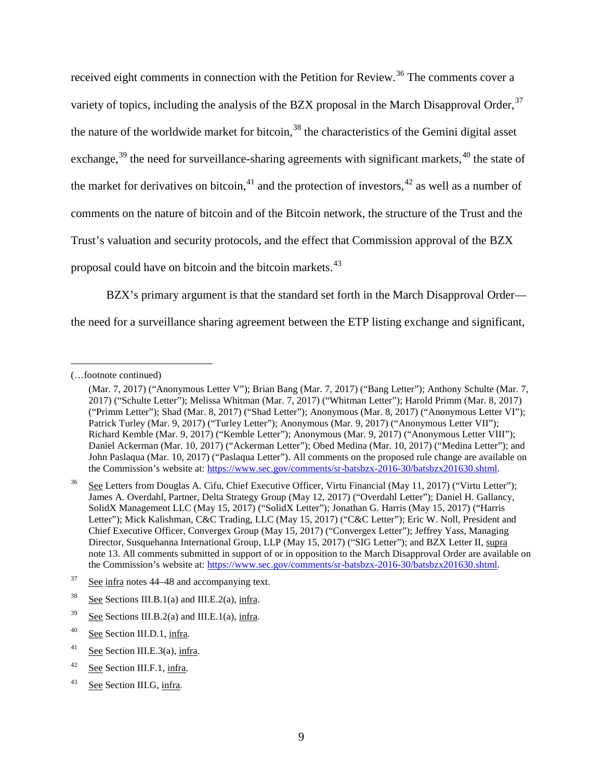<span id="page-8-8"></span>received eight comments in connection with the Petition for Review.<sup>[36](#page-8-0)</sup> The comments cover a variety of topics, including the analysis of the BZX proposal in the March Disapproval Order, <sup>[37](#page-8-1)</sup> the nature of the worldwide market for bitcoin,  $38$  the characteristics of the Gemini digital asset exchange,  $39$  the need for surveillance-sharing agreements with significant markets,  $40$  the state of the market for derivatives on bitcoin,<sup>[41](#page-8-5)</sup> and the protection of investors,<sup>[42](#page-8-6)</sup> as well as a number of comments on the nature of bitcoin and of the Bitcoin network, the structure of the Trust and the Trust's valuation and security protocols, and the effect that Commission approval of the BZX proposal could have on bitcoin and the bitcoin markets.<sup>[43](#page-8-7)</sup>

BZX's primary argument is that the standard set forth in the March Disapproval Order the need for a surveillance sharing agreement between the ETP listing exchange and significant,

 $\overline{a}$ 

<sup>(…</sup>footnote continued)

<sup>(</sup>Mar. 7, 2017) ("Anonymous Letter V"); Brian Bang (Mar. 7, 2017) ("Bang Letter"); Anthony Schulte (Mar. 7, 2017) ("Schulte Letter"); Melissa Whitman (Mar. 7, 2017) ("Whitman Letter"); Harold Primm (Mar. 8, 2017) ("Primm Letter"); Shad (Mar. 8, 2017) ("Shad Letter"); Anonymous (Mar. 8, 2017) ("Anonymous Letter VI"); Patrick Turley (Mar. 9, 2017) ("Turley Letter"); Anonymous (Mar. 9, 2017) ("Anonymous Letter VII"); Richard Kemble (Mar. 9, 2017) ("Kemble Letter"); Anonymous (Mar. 9, 2017) ("Anonymous Letter VIII"); Daniel Ackerman (Mar. 10, 2017) ("Ackerman Letter"); Obed Medina (Mar. 10, 2017) ("Medina Letter"); and John Paslaqua (Mar. 10, 2017) ("Paslaqua Letter"). All comments on the proposed rule change are available on the Commission's website at: [https://www.sec.gov/comments/sr-batsbzx-2016-30/batsbzx201630.shtml.](https://www.sec.gov/comments/sr-batsbzx-2016-30/batsbzx201630.shtml)

<span id="page-8-0"></span>See Letters from Douglas A. Cifu, Chief Executive Officer, Virtu Financial (May 11, 2017) ("Virtu Letter"); James A. Overdahl, Partner, Delta Strategy Group (May 12, 2017) ("Overdahl Letter"); Daniel H. Gallancy, SolidX Management LLC (May 15, 2017) ("SolidX Letter"); Jonathan G. Harris (May 15, 2017) ("Harris Letter"); Mick Kalishman, C&C Trading, LLC (May 15, 2017) ("C&C Letter"); Eric W. Noll, President and Chief Executive Officer, Convergex Group (May 15, 2017) ("Convergex Letter"); Jeffrey Yass, Managing Director, Susquehanna International Group, LLP (May 15, 2017) ("SIG Letter"); and BZX Letter II, supra note [13.](#page-2-7) All comments submitted in support of or in opposition to the March Disapproval Order are available on the Commission's website at: [https://www.sec.gov/comments/sr-batsbzx-2016-30/batsbzx201630.shtml.](https://www.sec.gov/comments/sr-batsbzx-2016-30/batsbzx201630.shtml)

<span id="page-8-1"></span> $37$  See infra notes [44–](#page-9-0)[48](#page-9-1) and accompanying text.

<span id="page-8-2"></span> $38$  See Sections [III.B.1\(a\)](#page-11-1) and [III.E.2\(a\),](#page-67-1) infra.

<span id="page-8-3"></span> $39$  See Sections [III.B.2\(a\)](#page-29-0) and [III.E.1\(a\),](#page-59-2) infra.

<span id="page-8-4"></span><sup>&</sup>lt;sup>40</sup> See Section [III.D.1,](#page-44-1) infra.

<span id="page-8-5"></span><sup>&</sup>lt;sup>41</sup> See Section [III.E.3\(a\),](#page-72-0) infra.

<span id="page-8-6"></span><sup>42</sup> See Section [III.F.1,](#page-79-1) infra.

<span id="page-8-7"></span><sup>43</sup> See Section [III.G,](#page-84-0) infra.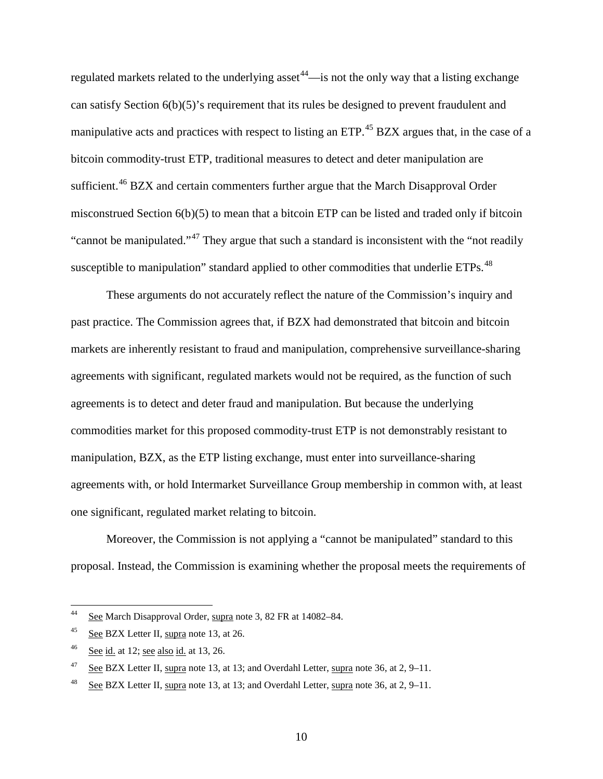<span id="page-9-0"></span>regulated markets related to the underlying asset<sup>[44](#page-9-2)</sup>—is not the only way that a listing exchange can satisfy Section 6(b)(5)'s requirement that its rules be designed to prevent fraudulent and manipulative acts and practices with respect to listing an ETP.<sup>[45](#page-9-3)</sup> BZX argues that, in the case of a bitcoin commodity-trust ETP, traditional measures to detect and deter manipulation are sufficient.<sup>[46](#page-9-4)</sup> BZX and certain commenters further argue that the March Disapproval Order misconstrued Section 6(b)(5) to mean that a bitcoin ETP can be listed and traded only if bitcoin "cannot be manipulated."<sup>[47](#page-9-5)</sup> They argue that such a standard is inconsistent with the "not readily" susceptible to manipulation" standard applied to other commodities that underlie ETPs.<sup>[48](#page-9-6)</sup>

<span id="page-9-1"></span>These arguments do not accurately reflect the nature of the Commission's inquiry and past practice. The Commission agrees that, if BZX had demonstrated that bitcoin and bitcoin markets are inherently resistant to fraud and manipulation, comprehensive surveillance-sharing agreements with significant, regulated markets would not be required, as the function of such agreements is to detect and deter fraud and manipulation. But because the underlying commodities market for this proposed commodity-trust ETP is not demonstrably resistant to manipulation, BZX, as the ETP listing exchange, must enter into surveillance-sharing agreements with, or hold Intermarket Surveillance Group membership in common with, at least one significant, regulated market relating to bitcoin.

Moreover, the Commission is not applying a "cannot be manipulated" standard to this proposal. Instead, the Commission is examining whether the proposal meets the requirements of

<span id="page-9-2"></span> <sup>44</sup> See March Disapproval Order, supra note [3,](#page-0-5) 82 FR at 14082–84.

<span id="page-9-3"></span> $^{45}$  See BZX Letter II, supra note [13,](#page-2-7) at 26.

<span id="page-9-4"></span> $46$  See id. at 12; see also id. at 13, 26.

<span id="page-9-5"></span><sup>&</sup>lt;sup>47</sup> See BZX Letter II, supra note [13,](#page-2-7) at 13; and Overdahl Letter, supra not[e 36,](#page-8-8) at 2, 9–11.

<span id="page-9-6"></span><sup>&</sup>lt;sup>48</sup> See BZX Letter II, supra note [13,](#page-2-7) at 13; and Overdahl Letter, supra not[e 36,](#page-8-8) at 2, 9–11.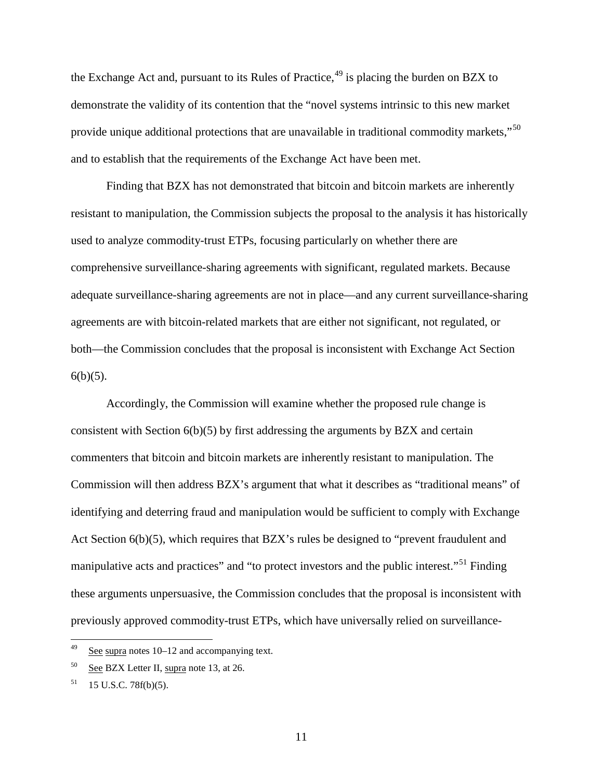<span id="page-10-3"></span>the Exchange Act and, pursuant to its Rules of Practice,  $49$  is placing the burden on BZX to demonstrate the validity of its contention that the "novel systems intrinsic to this new market provide unique additional protections that are unavailable in traditional commodity markets,"<sup>[50](#page-10-1)</sup> and to establish that the requirements of the Exchange Act have been met.

Finding that BZX has not demonstrated that bitcoin and bitcoin markets are inherently resistant to manipulation, the Commission subjects the proposal to the analysis it has historically used to analyze commodity-trust ETPs, focusing particularly on whether there are comprehensive surveillance-sharing agreements with significant, regulated markets. Because adequate surveillance-sharing agreements are not in place—and any current surveillance-sharing agreements are with bitcoin-related markets that are either not significant, not regulated, or both—the Commission concludes that the proposal is inconsistent with Exchange Act Section  $6(b)(5)$ .

Accordingly, the Commission will examine whether the proposed rule change is consistent with Section 6(b)(5) by first addressing the arguments by BZX and certain commenters that bitcoin and bitcoin markets are inherently resistant to manipulation. The Commission will then address BZX's argument that what it describes as "traditional means" of identifying and deterring fraud and manipulation would be sufficient to comply with Exchange Act Section 6(b)(5), which requires that BZX's rules be designed to "prevent fraudulent and manipulative acts and practices" and "to protect investors and the public interest."<sup>[51](#page-10-2)</sup> Finding these arguments unpersuasive, the Commission concludes that the proposal is inconsistent with previously approved commodity-trust ETPs, which have universally relied on surveillance-

<span id="page-10-0"></span> $49$  See supra notes [10](#page-1-6)[–12](#page-2-8) and accompanying text.

<span id="page-10-1"></span><sup>50</sup> See BZX Letter II, supra note [13,](#page-2-7) at 26.

<span id="page-10-2"></span> $51$  15 U.S.C. 78f(b)(5).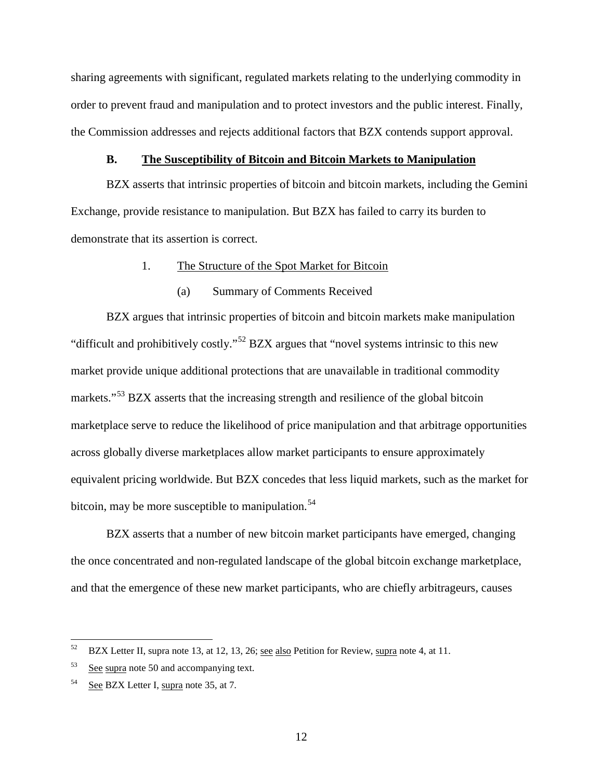sharing agreements with significant, regulated markets relating to the underlying commodity in order to prevent fraud and manipulation and to protect investors and the public interest. Finally, the Commission addresses and rejects additional factors that BZX contends support approval.

#### **B. The Susceptibility of Bitcoin and Bitcoin Markets to Manipulation**

<span id="page-11-0"></span>BZX asserts that intrinsic properties of bitcoin and bitcoin markets, including the Gemini Exchange, provide resistance to manipulation. But BZX has failed to carry its burden to demonstrate that its assertion is correct.

## 1. The Structure of the Spot Market for Bitcoin

### <span id="page-11-5"></span>(a) Summary of Comments Received

<span id="page-11-1"></span>BZX argues that intrinsic properties of bitcoin and bitcoin markets make manipulation "difficult and prohibitively costly."[52](#page-11-2) BZX argues that "novel systems intrinsic to this new market provide unique additional protections that are unavailable in traditional commodity markets."<sup>[53](#page-11-3)</sup> BZX asserts that the increasing strength and resilience of the global bitcoin marketplace serve to reduce the likelihood of price manipulation and that arbitrage opportunities across globally diverse marketplaces allow market participants to ensure approximately equivalent pricing worldwide. But BZX concedes that less liquid markets, such as the market for bitcoin, may be more susceptible to manipulation.<sup>[54](#page-11-4)</sup>

BZX asserts that a number of new bitcoin market participants have emerged, changing the once concentrated and non-regulated landscape of the global bitcoin exchange marketplace, and that the emergence of these new market participants, who are chiefly arbitrageurs, causes

<span id="page-11-2"></span><sup>&</sup>lt;sup>52</sup> BZX Letter II, supra note [13,](#page-2-7) at 12, 13, 26; see also Petition for Review, supra note [4,](#page-0-6) at 11.

<span id="page-11-3"></span> $53$  See supra note [50](#page-10-3) and accompanying text.

<span id="page-11-4"></span><sup>&</sup>lt;sup>54</sup> See BZX Letter I, supra note [35,](#page-7-4) at 7.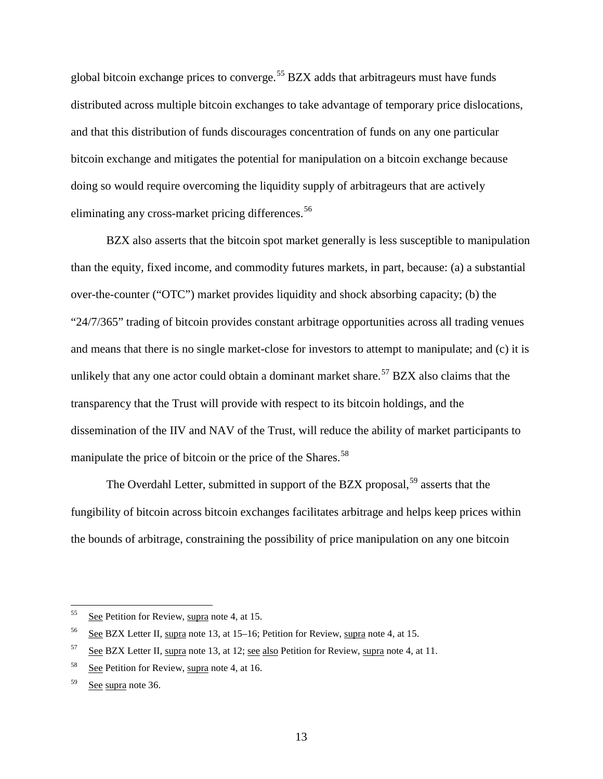global bitcoin exchange prices to converge.<sup>[55](#page-12-0)</sup> BZX adds that arbitrageurs must have funds distributed across multiple bitcoin exchanges to take advantage of temporary price dislocations, and that this distribution of funds discourages concentration of funds on any one particular bitcoin exchange and mitigates the potential for manipulation on a bitcoin exchange because doing so would require overcoming the liquidity supply of arbitrageurs that are actively eliminating any cross-market pricing differences.<sup>[56](#page-12-1)</sup>

<span id="page-12-5"></span>BZX also asserts that the bitcoin spot market generally is less susceptible to manipulation than the equity, fixed income, and commodity futures markets, in part, because: (a) a substantial over-the-counter ("OTC") market provides liquidity and shock absorbing capacity; (b) the "24/7/365" trading of bitcoin provides constant arbitrage opportunities across all trading venues and means that there is no single market-close for investors to attempt to manipulate; and (c) it is unlikely that any one actor could obtain a dominant market share.<sup>[57](#page-12-2)</sup> BZX also claims that the transparency that the Trust will provide with respect to its bitcoin holdings, and the dissemination of the IIV and NAV of the Trust, will reduce the ability of market participants to manipulate the price of bitcoin or the price of the Shares.<sup>[58](#page-12-3)</sup>

<span id="page-12-6"></span>The Overdahl Letter, submitted in support of the BZX proposal,<sup>[59](#page-12-4)</sup> asserts that the fungibility of bitcoin across bitcoin exchanges facilitates arbitrage and helps keep prices within the bounds of arbitrage, constraining the possibility of price manipulation on any one bitcoin

<span id="page-12-0"></span><sup>&</sup>lt;sup>55</sup> See Petition for Review, supra note [4,](#page-0-6) at 15.

<span id="page-12-1"></span><sup>&</sup>lt;sup>56</sup> See BZX Letter II, supra note [13,](#page-2-7) at 15–16; Petition for Review, supra note [4,](#page-0-6) at 15.

<span id="page-12-2"></span> $57$  See BZX Letter II, supra note [13,](#page-2-7) at 12; see also Petition for Review, supra note [4,](#page-0-6) at 11.

<span id="page-12-3"></span><sup>58</sup> See Petition for Review, supra note [4,](#page-0-6) at 16.

<span id="page-12-4"></span><sup>59</sup> See supra note [36.](#page-8-8)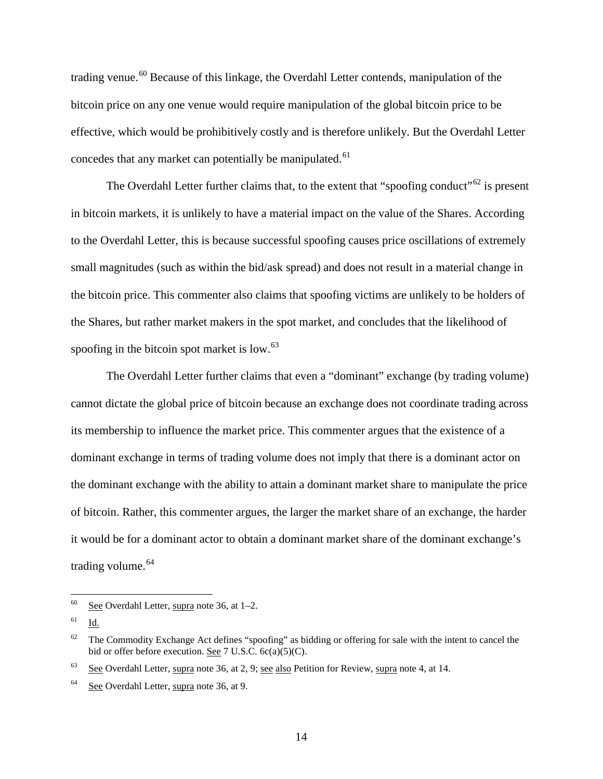<span id="page-13-5"></span>trading venue.<sup>[60](#page-13-0)</sup> Because of this linkage, the Overdahl Letter contends, manipulation of the bitcoin price on any one venue would require manipulation of the global bitcoin price to be effective, which would be prohibitively costly and is therefore unlikely. But the Overdahl Letter concedes that any market can potentially be manipulated.<sup>[61](#page-13-1)</sup>

<span id="page-13-7"></span><span id="page-13-6"></span>The Overdahl Letter further claims that, to the extent that "spoofing conduct"<sup>[62](#page-13-2)</sup> is present in bitcoin markets, it is unlikely to have a material impact on the value of the Shares. According to the Overdahl Letter, this is because successful spoofing causes price oscillations of extremely small magnitudes (such as within the bid/ask spread) and does not result in a material change in the bitcoin price. This commenter also claims that spoofing victims are unlikely to be holders of the Shares, but rather market makers in the spot market, and concludes that the likelihood of spoofing in the bitcoin spot market is low.<sup>[63](#page-13-3)</sup>

<span id="page-13-8"></span>The Overdahl Letter further claims that even a "dominant" exchange (by trading volume) cannot dictate the global price of bitcoin because an exchange does not coordinate trading across its membership to influence the market price. This commenter argues that the existence of a dominant exchange in terms of trading volume does not imply that there is a dominant actor on the dominant exchange with the ability to attain a dominant market share to manipulate the price of bitcoin. Rather, this commenter argues, the larger the market share of an exchange, the harder it would be for a dominant actor to obtain a dominant market share of the dominant exchange's trading volume.<sup>[64](#page-13-4)</sup>

<span id="page-13-9"></span><span id="page-13-0"></span> $60$  See Overdahl Letter, supra note [36,](#page-8-8) at 1–2.

<span id="page-13-1"></span> $61$  Id.

<span id="page-13-2"></span> $62$  The Commodity Exchange Act defines "spoofing" as bidding or offering for sale with the intent to cancel the bid or offer before execution. See 7 U.S.C. 6c(a)(5)(C).

<span id="page-13-3"></span> $63$  See Overdahl Letter, supra note [36,](#page-8-8) at 2, 9; see also Petition for Review, supra note [4,](#page-0-6) at 14.

<span id="page-13-4"></span><sup>64</sup> See Overdahl Letter, supra note [36,](#page-8-8) at 9.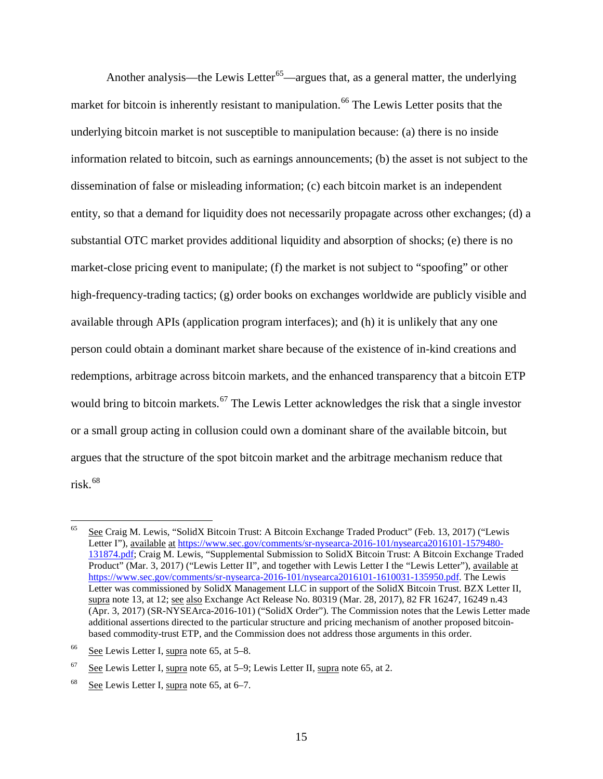<span id="page-14-0"></span>Another analysis—the Lewis Letter<sup>[65](#page-14-1)</sup>—argues that, as a general matter, the underlying market for bitcoin is inherently resistant to manipulation.<sup>[66](#page-14-2)</sup> The Lewis Letter posits that the underlying bitcoin market is not susceptible to manipulation because: (a) there is no inside information related to bitcoin, such as earnings announcements; (b) the asset is not subject to the dissemination of false or misleading information; (c) each bitcoin market is an independent entity, so that a demand for liquidity does not necessarily propagate across other exchanges; (d) a substantial OTC market provides additional liquidity and absorption of shocks; (e) there is no market-close pricing event to manipulate; (f) the market is not subject to "spoofing" or other high-frequency-trading tactics; (g) order books on exchanges worldwide are publicly visible and available through APIs (application program interfaces); and (h) it is unlikely that any one person could obtain a dominant market share because of the existence of in-kind creations and redemptions, arbitrage across bitcoin markets, and the enhanced transparency that a bitcoin ETP would bring to bitcoin markets.<sup>[67](#page-14-3)</sup> The Lewis Letter acknowledges the risk that a single investor or a small group acting in collusion could own a dominant share of the available bitcoin, but argues that the structure of the spot bitcoin market and the arbitrage mechanism reduce that risk. [68](#page-14-4)

<span id="page-14-6"></span><span id="page-14-5"></span><span id="page-14-1"></span> <sup>65</sup> See Craig M. Lewis, "SolidX Bitcoin Trust: A Bitcoin Exchange Traded Product" (Feb. 13, 2017) ("Lewis Letter I"), available at [https://www.sec.gov/comments/sr-nysearca-2016-101/nysearca2016101-1579480-](https://www.sec.gov/comments/sr-nysearca-2016-101/nysearca2016101-1579480-131874.pdf) [131874.pdf;](https://www.sec.gov/comments/sr-nysearca-2016-101/nysearca2016101-1579480-131874.pdf) Craig M. Lewis, "Supplemental Submission to SolidX Bitcoin Trust: A Bitcoin Exchange Traded Product" (Mar. 3, 2017) ("Lewis Letter II", and together with Lewis Letter I the "Lewis Letter"), available at [https://www.sec.gov/comments/sr-nysearca-2016-101/nysearca2016101-1610031-135950.pdf.](https://www.sec.gov/comments/sr-nysearca-2016-101/nysearca2016101-1610031-135950.pdf) The Lewis Letter was commissioned by SolidX Management LLC in support of the SolidX Bitcoin Trust. BZX Letter II, supra note [13,](#page-2-7) at 12; see also Exchange Act Release No. 80319 (Mar. 28, 2017), 82 FR 16247, 16249 n.43 (Apr. 3, 2017) (SR-NYSEArca-2016-101) ("SolidX Order"). The Commission notes that the Lewis Letter made additional assertions directed to the particular structure and pricing mechanism of another proposed bitcoinbased commodity-trust ETP, and the Commission does not address those arguments in this order.

<span id="page-14-2"></span> $66$  See Lewis Letter I, supra note [65,](#page-14-0) at 5–8.

<span id="page-14-3"></span> $67$  See Lewis Letter I, supra note [65,](#page-14-0) at 5–9; Lewis Letter II, supra note 65, at 2.

<span id="page-14-4"></span><sup>&</sup>lt;sup>68</sup> See Lewis Letter I, supra note [65,](#page-14-0) at  $6-7$ .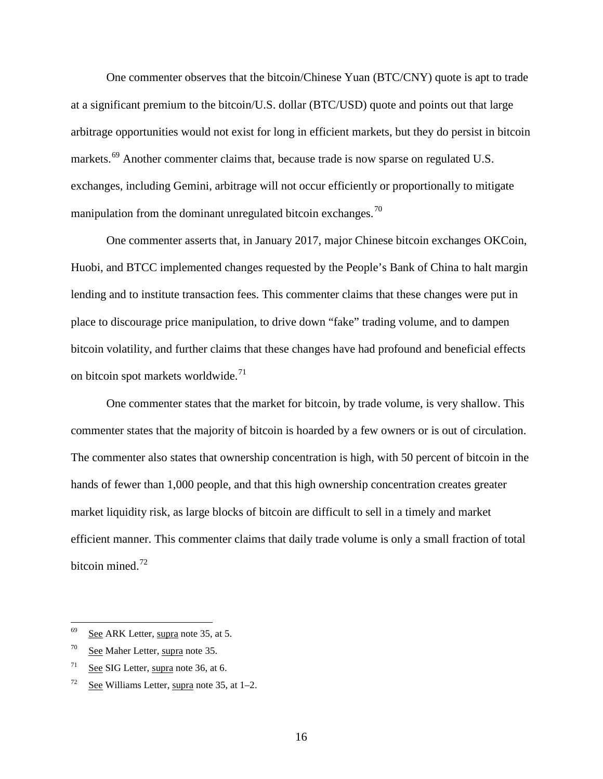<span id="page-15-4"></span>One commenter observes that the bitcoin/Chinese Yuan (BTC/CNY) quote is apt to trade at a significant premium to the bitcoin/U.S. dollar (BTC/USD) quote and points out that large arbitrage opportunities would not exist for long in efficient markets, but they do persist in bitcoin markets.<sup>[69](#page-15-0)</sup> Another commenter claims that, because trade is now sparse on regulated U.S. exchanges, including Gemini, arbitrage will not occur efficiently or proportionally to mitigate manipulation from the dominant unregulated bitcoin exchanges.<sup>[70](#page-15-1)</sup>

<span id="page-15-5"></span>One commenter asserts that, in January 2017, major Chinese bitcoin exchanges OKCoin, Huobi, and BTCC implemented changes requested by the People's Bank of China to halt margin lending and to institute transaction fees. This commenter claims that these changes were put in place to discourage price manipulation, to drive down "fake" trading volume, and to dampen bitcoin volatility, and further claims that these changes have had profound and beneficial effects on bitcoin spot markets worldwide. $^{71}$  $^{71}$  $^{71}$ 

<span id="page-15-6"></span>One commenter states that the market for bitcoin, by trade volume, is very shallow. This commenter states that the majority of bitcoin is hoarded by a few owners or is out of circulation. The commenter also states that ownership concentration is high, with 50 percent of bitcoin in the hands of fewer than 1,000 people, and that this high ownership concentration creates greater market liquidity risk, as large blocks of bitcoin are difficult to sell in a timely and market efficient manner. This commenter claims that daily trade volume is only a small fraction of total bitcoin mined.<sup>[72](#page-15-3)</sup>

<span id="page-15-7"></span><span id="page-15-0"></span> $69$  See ARK Letter, supra note [35,](#page-7-4) at 5.

<span id="page-15-1"></span><sup>70</sup> See Maher Letter, supra note [35.](#page-7-4)

<span id="page-15-2"></span><sup>71</sup> See SIG Letter, supra note [36,](#page-8-8) at 6.

<span id="page-15-3"></span> $72$  See Williams Letter, supra note [35,](#page-7-4) at 1–2.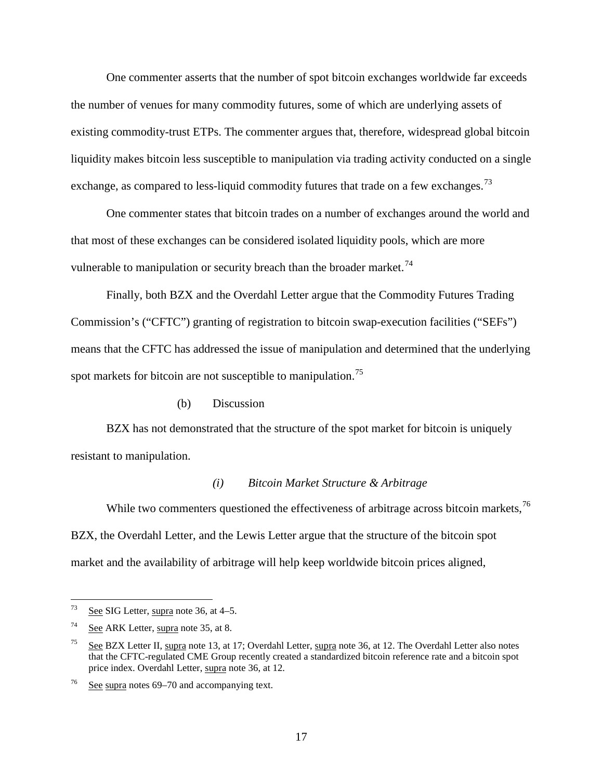One commenter asserts that the number of spot bitcoin exchanges worldwide far exceeds the number of venues for many commodity futures, some of which are underlying assets of existing commodity-trust ETPs. The commenter argues that, therefore, widespread global bitcoin liquidity makes bitcoin less susceptible to manipulation via trading activity conducted on a single exchange, as compared to less-liquid commodity futures that trade on a few exchanges.<sup>[73](#page-16-0)</sup>

One commenter states that bitcoin trades on a number of exchanges around the world and that most of these exchanges can be considered isolated liquidity pools, which are more vulnerable to manipulation or security breach than the broader market.<sup>[74](#page-16-1)</sup>

Finally, both BZX and the Overdahl Letter argue that the Commodity Futures Trading Commission's ("CFTC") granting of registration to bitcoin swap-execution facilities ("SEFs") means that the CFTC has addressed the issue of manipulation and determined that the underlying spot markets for bitcoin are not susceptible to manipulation.<sup>[75](#page-16-2)</sup>

#### <span id="page-16-5"></span><span id="page-16-4"></span>(b) Discussion

BZX has not demonstrated that the structure of the spot market for bitcoin is uniquely resistant to manipulation.

#### <span id="page-16-6"></span>*(i) Bitcoin Market Structure & Arbitrage*

While two commenters questioned the effectiveness of arbitrage across bitcoin markets,  $^{76}$  $^{76}$  $^{76}$ BZX, the Overdahl Letter, and the Lewis Letter argue that the structure of the bitcoin spot market and the availability of arbitrage will help keep worldwide bitcoin prices aligned,

<span id="page-16-0"></span>See SIG Letter, supra note [36,](#page-8-8) at 4–5.

<span id="page-16-1"></span> $74$  See ARK Letter, supra note [35,](#page-7-4) at 8.

<span id="page-16-2"></span><sup>&</sup>lt;sup>75</sup> See BZX Letter II, supra note [13,](#page-2-7) at 17; Overdahl Letter, supra note [36,](#page-8-8) at 12. The Overdahl Letter also notes that the CFTC-regulated CME Group recently created a standardized bitcoin reference rate and a bitcoin spot price index. Overdahl Letter, supra note [36,](#page-8-8) at 12.

<span id="page-16-3"></span><sup>76</sup> See supra note[s 69](#page-15-4)[–70](#page-15-5) and accompanying text.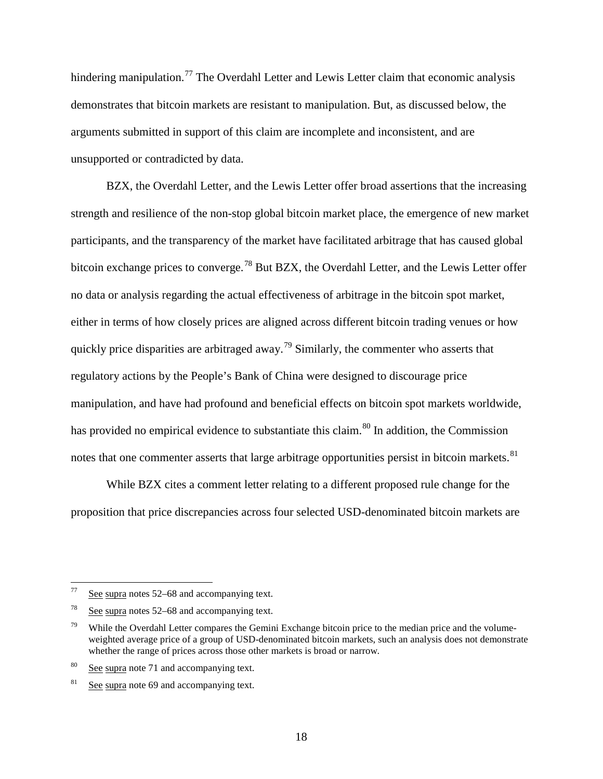hindering manipulation.<sup>[77](#page-17-0)</sup> The Overdahl Letter and Lewis Letter claim that economic analysis demonstrates that bitcoin markets are resistant to manipulation. But, as discussed below, the arguments submitted in support of this claim are incomplete and inconsistent, and are unsupported or contradicted by data.

BZX, the Overdahl Letter, and the Lewis Letter offer broad assertions that the increasing strength and resilience of the non-stop global bitcoin market place, the emergence of new market participants, and the transparency of the market have facilitated arbitrage that has caused global bitcoin exchange prices to converge.<sup>[78](#page-17-1)</sup> But BZX, the Overdahl Letter, and the Lewis Letter offer no data or analysis regarding the actual effectiveness of arbitrage in the bitcoin spot market, either in terms of how closely prices are aligned across different bitcoin trading venues or how quickly price disparities are arbitraged away.<sup>[79](#page-17-2)</sup> Similarly, the commenter who asserts that regulatory actions by the People's Bank of China were designed to discourage price manipulation, and have had profound and beneficial effects on bitcoin spot markets worldwide, has provided no empirical evidence to substantiate this claim.<sup>[80](#page-17-3)</sup> In addition, the Commission notes that one commenter asserts that large arbitrage opportunities persist in bitcoin markets. <sup>[81](#page-17-4)</sup>

While BZX cites a comment letter relating to a different proposed rule change for the proposition that price discrepancies across four selected USD-denominated bitcoin markets are

<span id="page-17-0"></span> $\frac{77}{2}$  See supra note[s 52](#page-11-5)[–68](#page-14-5) and accompanying text.

<span id="page-17-1"></span>See supra note[s 52](#page-11-5)[–68](#page-14-5) and accompanying text.

<span id="page-17-2"></span><sup>&</sup>lt;sup>79</sup> While the Overdahl Letter compares the Gemini Exchange bitcoin price to the median price and the volumeweighted average price of a group of USD-denominated bitcoin markets, such an analysis does not demonstrate whether the range of prices across those other markets is broad or narrow.

<span id="page-17-3"></span><sup>80</sup> See supra note [71](#page-15-6) and accompanying text.

<span id="page-17-4"></span> $81$  See supra note [69](#page-15-4) and accompanying text.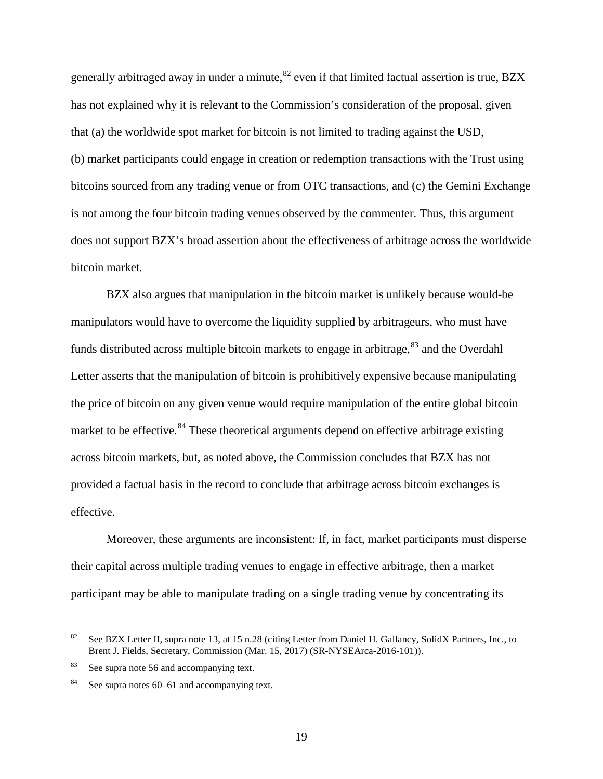generally arbitraged away in under a minute,  $82$  even if that limited factual assertion is true, BZX has not explained why it is relevant to the Commission's consideration of the proposal, given that (a) the worldwide spot market for bitcoin is not limited to trading against the USD, (b) market participants could engage in creation or redemption transactions with the Trust using bitcoins sourced from any trading venue or from OTC transactions, and (c) the Gemini Exchange is not among the four bitcoin trading venues observed by the commenter. Thus, this argument does not support BZX's broad assertion about the effectiveness of arbitrage across the worldwide bitcoin market.

BZX also argues that manipulation in the bitcoin market is unlikely because would-be manipulators would have to overcome the liquidity supplied by arbitrageurs, who must have funds distributed across multiple bitcoin markets to engage in arbitrage,<sup>[83](#page-18-1)</sup> and the Overdahl Letter asserts that the manipulation of bitcoin is prohibitively expensive because manipulating the price of bitcoin on any given venue would require manipulation of the entire global bitcoin market to be effective.<sup>[84](#page-18-2)</sup> These theoretical arguments depend on effective arbitrage existing across bitcoin markets, but, as noted above, the Commission concludes that BZX has not provided a factual basis in the record to conclude that arbitrage across bitcoin exchanges is effective.

Moreover, these arguments are inconsistent: If, in fact, market participants must disperse their capital across multiple trading venues to engage in effective arbitrage, then a market participant may be able to manipulate trading on a single trading venue by concentrating its

<span id="page-18-0"></span><sup>&</sup>lt;sup>82</sup> See BZX Letter II, supra note [13,](#page-2-7) at 15 n.28 (citing Letter from Daniel H. Gallancy, SolidX Partners, Inc., to Brent J. Fields, Secretary, Commission (Mar. 15, 2017) (SR-NYSEArca-2016-101)).

<span id="page-18-1"></span> $83$  See supra note [56](#page-12-5) and accompanying text.

<span id="page-18-2"></span><sup>84</sup> See supra note[s 60](#page-13-5)[–61](#page-13-6) and accompanying text.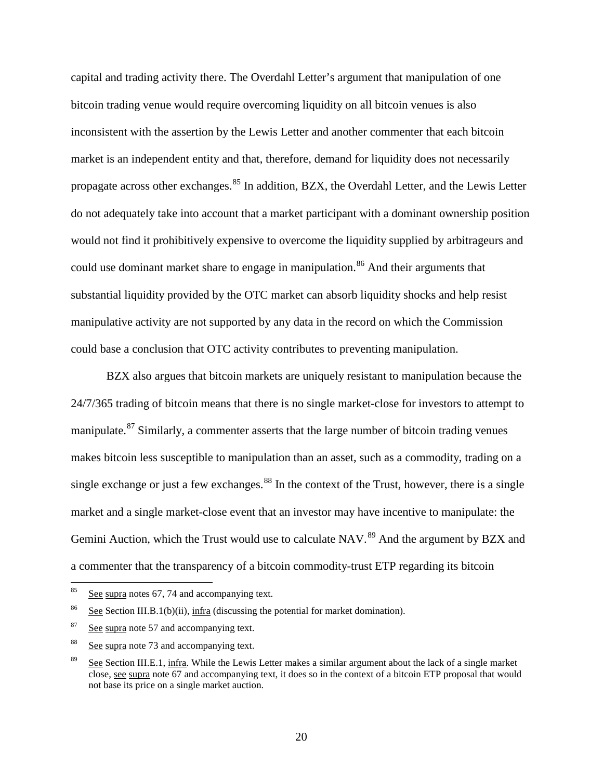capital and trading activity there. The Overdahl Letter's argument that manipulation of one bitcoin trading venue would require overcoming liquidity on all bitcoin venues is also inconsistent with the assertion by the Lewis Letter and another commenter that each bitcoin market is an independent entity and that, therefore, demand for liquidity does not necessarily propagate across other exchanges.<sup>[85](#page-19-0)</sup> In addition, BZX, the Overdahl Letter, and the Lewis Letter do not adequately take into account that a market participant with a dominant ownership position would not find it prohibitively expensive to overcome the liquidity supplied by arbitrageurs and could use dominant market share to engage in manipulation.<sup>[86](#page-19-1)</sup> And their arguments that substantial liquidity provided by the OTC market can absorb liquidity shocks and help resist manipulative activity are not supported by any data in the record on which the Commission could base a conclusion that OTC activity contributes to preventing manipulation.

BZX also argues that bitcoin markets are uniquely resistant to manipulation because the 24/7/365 trading of bitcoin means that there is no single market-close for investors to attempt to manipulate.<sup>[87](#page-19-2)</sup> Similarly, a commenter asserts that the large number of bitcoin trading venues makes bitcoin less susceptible to manipulation than an asset, such as a commodity, trading on a single exchange or just a few exchanges. $88$  In the context of the Trust, however, there is a single market and a single market-close event that an investor may have incentive to manipulate: the Gemini Auction, which the Trust would use to calculate NAV.<sup>[89](#page-19-4)</sup> And the argument by BZX and a commenter that the transparency of a bitcoin commodity-trust ETP regarding its bitcoin

<span id="page-19-0"></span> $85$  See supra note[s 67,](#page-14-6) [74](#page-16-4) and accompanying text.

<span id="page-19-1"></span><sup>&</sup>lt;sup>86</sup> See Section [III.B.1\(b\)\(ii\),](#page-25-0)  $\frac{1}{\ln \ln a}$  (discussing the potential for market domination).

<span id="page-19-2"></span> $87$  See supra note [57](#page-12-6) and accompanying text.

<span id="page-19-3"></span><sup>88</sup> See supra note [73](#page-16-5) and accompanying text.

<span id="page-19-4"></span>See Section [III.E.1,](#page-59-1) infra. While the Lewis Letter makes a similar argument about the lack of a single market close, see supra not[e 67](#page-14-6) and accompanying text, it does so in the context of a bitcoin ETP proposal that would not base its price on a single market auction.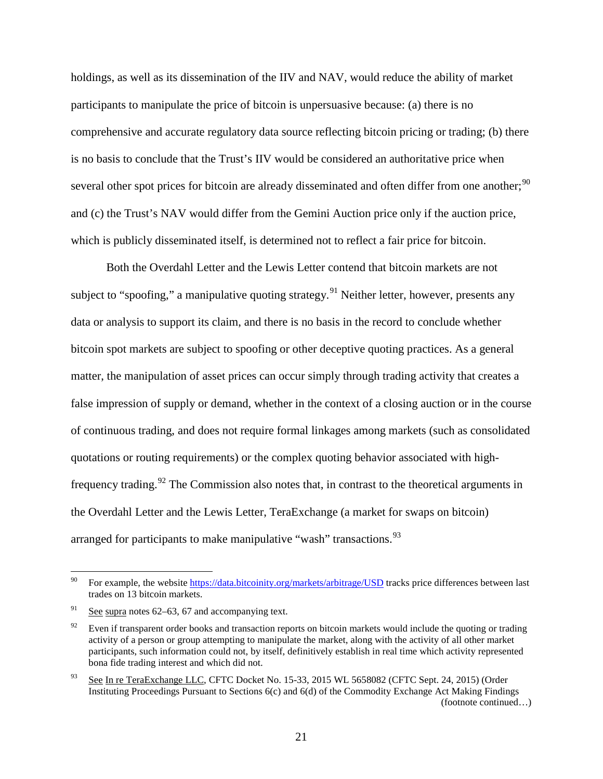holdings, as well as its dissemination of the IIV and NAV, would reduce the ability of market participants to manipulate the price of bitcoin is unpersuasive because: (a) there is no comprehensive and accurate regulatory data source reflecting bitcoin pricing or trading; (b) there is no basis to conclude that the Trust's IIV would be considered an authoritative price when several other spot prices for bitcoin are already disseminated and often differ from one another;  $90$ and (c) the Trust's NAV would differ from the Gemini Auction price only if the auction price, which is publicly disseminated itself, is determined not to reflect a fair price for bitcoin.

Both the Overdahl Letter and the Lewis Letter contend that bitcoin markets are not subject to "spoofing," a manipulative quoting strategy.<sup>[91](#page-20-1)</sup> Neither letter, however, presents any data or analysis to support its claim, and there is no basis in the record to conclude whether bitcoin spot markets are subject to spoofing or other deceptive quoting practices. As a general matter, the manipulation of asset prices can occur simply through trading activity that creates a false impression of supply or demand, whether in the context of a closing auction or in the course of continuous trading, and does not require formal linkages among markets (such as consolidated quotations or routing requirements) or the complex quoting behavior associated with high-frequency trading.<sup>[92](#page-20-2)</sup> The Commission also notes that, in contrast to the theoretical arguments in the Overdahl Letter and the Lewis Letter, TeraExchange (a market for swaps on bitcoin) arranged for participants to make manipulative "wash" transactions.<sup>[93](#page-20-3)</sup>

<span id="page-20-0"></span><sup>&</sup>lt;sup>90</sup> For example, the website<https://data.bitcoinity.org/markets/arbitrage/USD> tracks price differences between last trades on 13 bitcoin markets.

<span id="page-20-1"></span> $^{91}$  See supra note[s 62](#page-13-7)[–63,](#page-13-8) [67](#page-14-6) and accompanying text.

<span id="page-20-2"></span><sup>&</sup>lt;sup>92</sup> Even if transparent order books and transaction reports on bitcoin markets would include the quoting or trading activity of a person or group attempting to manipulate the market, along with the activity of all other market participants, such information could not, by itself, definitively establish in real time which activity represented bona fide trading interest and which did not.

<span id="page-20-3"></span><sup>&</sup>lt;sup>93</sup> See In re TeraExchange LLC, CFTC Docket No. 15-33, 2015 WL 5658082 (CFTC Sept. 24, 2015) (Order Instituting Proceedings Pursuant to Sections 6(c) and 6(d) of the Commodity Exchange Act Making Findings (footnote continued…)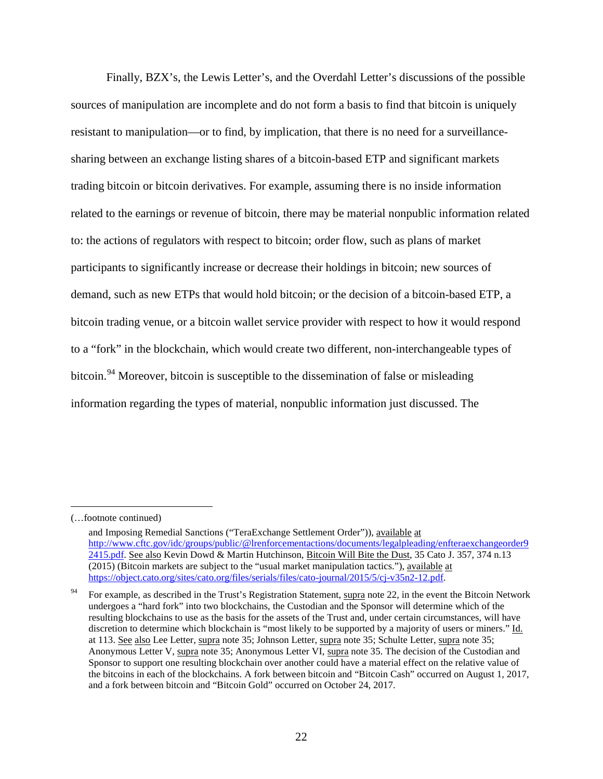Finally, BZX's, the Lewis Letter's, and the Overdahl Letter's discussions of the possible sources of manipulation are incomplete and do not form a basis to find that bitcoin is uniquely resistant to manipulation—or to find, by implication, that there is no need for a surveillancesharing between an exchange listing shares of a bitcoin-based ETP and significant markets trading bitcoin or bitcoin derivatives. For example, assuming there is no inside information related to the earnings or revenue of bitcoin, there may be material nonpublic information related to: the actions of regulators with respect to bitcoin; order flow, such as plans of market participants to significantly increase or decrease their holdings in bitcoin; new sources of demand, such as new ETPs that would hold bitcoin; or the decision of a bitcoin-based ETP, a bitcoin trading venue, or a bitcoin wallet service provider with respect to how it would respond to a "fork" in the blockchain, which would create two different, non-interchangeable types of bitcoin.<sup>[94](#page-21-0)</sup> Moreover, bitcoin is susceptible to the dissemination of false or misleading information regarding the types of material, nonpublic information just discussed. The

 $\overline{a}$ 

<sup>(…</sup>footnote continued)

and Imposing Remedial Sanctions ("TeraExchange Settlement Order")), available at [http://www.cftc.gov/idc/groups/public/@lrenforcementactions/documents/legalpleading/enfteraexchangeorder9](http://www.cftc.gov/idc/groups/public/@lrenforcementactions/documents/legalpleading/enfteraexchangeorder92415.pdf) [2415.pdf.](http://www.cftc.gov/idc/groups/public/@lrenforcementactions/documents/legalpleading/enfteraexchangeorder92415.pdf) See also Kevin Dowd & Martin Hutchinson, Bitcoin Will Bite the Dust, 35 Cato J. 357, 374 n.13 (2015) (Bitcoin markets are subject to the "usual market manipulation tactics."), available at [https://object.cato.org/sites/cato.org/files/serials/files/cato-journal/2015/5/cj-v35n2-12.pdf.](https://object.cato.org/sites/cato.org/files/serials/files/cato-journal/2015/5/cj-v35n2-12.pdf)

<span id="page-21-0"></span><sup>&</sup>lt;sup>94</sup> For example, as described in the Trust's Registration Statement, supra note [22,](#page-5-4) in the event the Bitcoin Network undergoes a "hard fork" into two blockchains, the Custodian and the Sponsor will determine which of the resulting blockchains to use as the basis for the assets of the Trust and, under certain circumstances, will have discretion to determine which blockchain is "most likely to be supported by a majority of users or miners." Id. at 113. See also Lee Letter, supra note [35;](#page-7-4) Johnson Letter, supra note 35; Schulte Letter, supra note 35; Anonymous Letter V, supra note [35;](#page-7-4) Anonymous Letter VI, supra note [35.](#page-7-4) The decision of the Custodian and Sponsor to support one resulting blockchain over another could have a material effect on the relative value of the bitcoins in each of the blockchains. A fork between bitcoin and "Bitcoin Cash" occurred on August 1, 2017, and a fork between bitcoin and "Bitcoin Gold" occurred on October 24, 2017.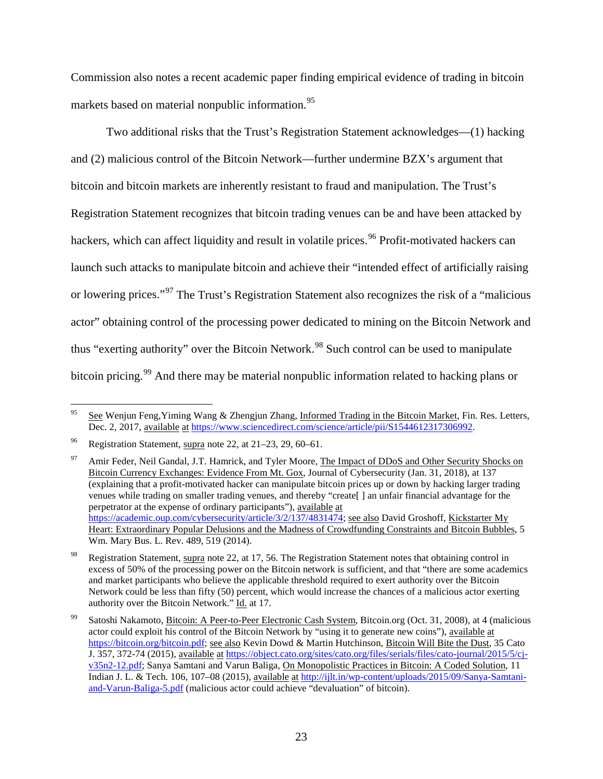Commission also notes a recent academic paper finding empirical evidence of trading in bitcoin markets based on material nonpublic information.<sup>[95](#page-22-0)</sup>

Two additional risks that the Trust's Registration Statement acknowledges—(1) hacking and (2) malicious control of the Bitcoin Network—further undermine BZX's argument that bitcoin and bitcoin markets are inherently resistant to fraud and manipulation. The Trust's Registration Statement recognizes that bitcoin trading venues can be and have been attacked by hackers, which can affect liquidity and result in volatile prices.<sup>[96](#page-22-1)</sup> Profit-motivated hackers can launch such attacks to manipulate bitcoin and achieve their "intended effect of artificially raising or lowering prices."[97](#page-22-2) The Trust's Registration Statement also recognizes the risk of a "malicious actor" obtaining control of the processing power dedicated to mining on the Bitcoin Network and thus "exerting authority" over the Bitcoin Network.<sup>[98](#page-22-3)</sup> Such control can be used to manipulate bitcoin pricing.<sup>[99](#page-22-4)</sup> And there may be material nonpublic information related to hacking plans or

<span id="page-22-0"></span><sup>&</sup>lt;sup>95</sup> See Wenjun Feng, Yiming Wang & Zhengjun Zhang, Informed Trading in the Bitcoin Market, Fin. Res. Letters, Dec. 2, 2017, available at [https://www.sciencedirect.com/science/article/pii/S1544612317306992.](https://www.sciencedirect.com/science/article/pii/S1544612317306992)

<span id="page-22-1"></span>Registration Statement, supra note [22,](#page-5-4) at 21–23, 29, 60–61.

<span id="page-22-2"></span><sup>&</sup>lt;sup>97</sup> Amir Feder, Neil Gandal, J.T. Hamrick, and Tyler Moore, The Impact of DDoS and Other Security Shocks on Bitcoin Currency Exchanges: Evidence From Mt. Gox, Journal of Cybersecurity (Jan. 31, 2018), at 137 (explaining that a profit-motivated hacker can manipulate bitcoin prices up or down by hacking larger trading venues while trading on smaller trading venues, and thereby "create[ ] an unfair financial advantage for the perpetrator at the expense of ordinary participants"), available at [https://academic.oup.com/cybersecurity/article/3/2/137/4831474;](https://academic.oup.com/cybersecurity/article/3/2/137/4831474) see also David Groshoff, Kickstarter My Heart: Extraordinary Popular Delusions and the Madness of Crowdfunding Constraints and Bitcoin Bubbles, 5 Wm. Mary Bus. L. Rev. 489, 519 (2014).

<span id="page-22-3"></span>Registration Statement, supra note [22,](#page-5-4) at 17, 56. The Registration Statement notes that obtaining control in excess of 50% of the processing power on the Bitcoin network is sufficient, and that "there are some academics and market participants who believe the applicable threshold required to exert authority over the Bitcoin Network could be less than fifty (50) percent, which would increase the chances of a malicious actor exerting authority over the Bitcoin Network." Id. at 17.

<span id="page-22-4"></span>Satoshi Nakamoto, Bitcoin: A Peer-to-Peer Electronic Cash System, Bitcoin.org (Oct. 31, 2008), at 4 (malicious actor could exploit his control of the Bitcoin Network by "using it to generate new coins"), available at [https://bitcoin.org/bitcoin.pdf;](https://bitcoin.org/bitcoin.pdf) see also Kevin Dowd & Martin Hutchinson, Bitcoin Will Bite the Dust, 35 Cato J. 357, 372-74 (2015), available at [https://object.cato.org/sites/cato.org/files/serials/files/cato-journal/2015/5/cj](https://object.cato.org/sites/cato.org/files/serials/files/cato-journal/2015/5/cj-v35n2-12.pdf)[v35n2-12.pdf;](https://object.cato.org/sites/cato.org/files/serials/files/cato-journal/2015/5/cj-v35n2-12.pdf) Sanya Samtani and Varun Baliga, On Monopolistic Practices in Bitcoin: A Coded Solution, 11 Indian J. L. & Tech. 106, 107–08 (2015), available at [http://ijlt.in/wp-content/uploads/2015/09/Sanya-Samtani](http://ijlt.in/wp-content/uploads/2015/09/Sanya-Samtani-and-Varun-Baliga-5.pdf)[and-Varun-Baliga-5.pdf](http://ijlt.in/wp-content/uploads/2015/09/Sanya-Samtani-and-Varun-Baliga-5.pdf) (malicious actor could achieve "devaluation" of bitcoin).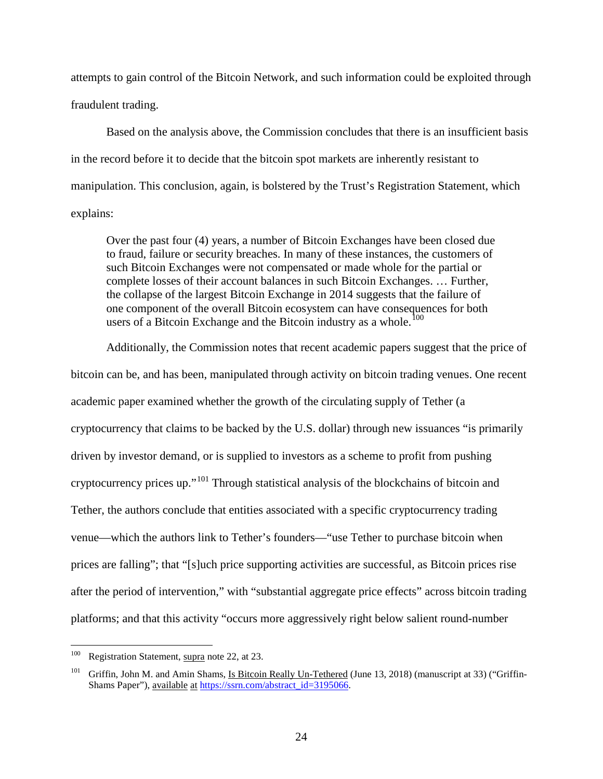attempts to gain control of the Bitcoin Network, and such information could be exploited through fraudulent trading.

Based on the analysis above, the Commission concludes that there is an insufficient basis in the record before it to decide that the bitcoin spot markets are inherently resistant to manipulation. This conclusion, again, is bolstered by the Trust's Registration Statement, which explains:

Over the past four (4) years, a number of Bitcoin Exchanges have been closed due to fraud, failure or security breaches. In many of these instances, the customers of such Bitcoin Exchanges were not compensated or made whole for the partial or complete losses of their account balances in such Bitcoin Exchanges. … Further, the collapse of the largest Bitcoin Exchange in 2014 suggests that the failure of one component of the overall Bitcoin ecosystem can have consequences for both users of a Bitcoin Exchange and the Bitcoin industry as a whole.<sup>[100](#page-23-0)</sup>

<span id="page-23-2"></span>Additionally, the Commission notes that recent academic papers suggest that the price of bitcoin can be, and has been, manipulated through activity on bitcoin trading venues. One recent academic paper examined whether the growth of the circulating supply of Tether (a cryptocurrency that claims to be backed by the U.S. dollar) through new issuances "is primarily driven by investor demand, or is supplied to investors as a scheme to profit from pushing cryptocurrency prices up."[101](#page-23-1) Through statistical analysis of the blockchains of bitcoin and Tether, the authors conclude that entities associated with a specific cryptocurrency trading venue—which the authors link to Tether's founders—"use Tether to purchase bitcoin when prices are falling"; that "[s]uch price supporting activities are successful, as Bitcoin prices rise after the period of intervention," with "substantial aggregate price effects" across bitcoin trading platforms; and that this activity "occurs more aggressively right below salient round-number

<span id="page-23-0"></span><sup>&</sup>lt;sup>100</sup> Registration Statement, supra note [22,](#page-5-4) at 23.

<span id="page-23-1"></span>Griffin, John M. and Amin Shams, Is Bitcoin Really Un-Tethered (June 13, 2018) (manuscript at 33) ("GriffinShams Paper"), available at [https://ssrn.com/abstract\\_id=3195066.](https://ssrn.com/abstract_id=3195066)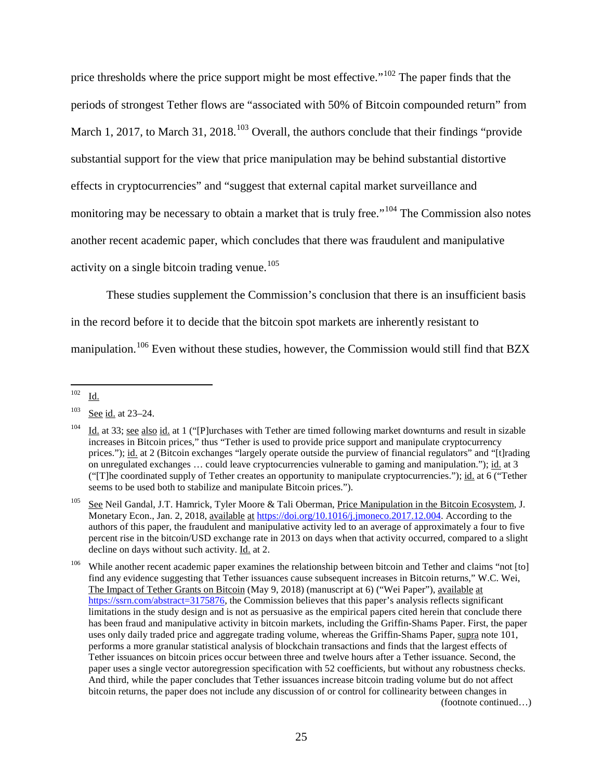price thresholds where the price support might be most effective."<sup>[102](#page-24-0)</sup> The paper finds that the periods of strongest Tether flows are "associated with 50% of Bitcoin compounded return" from March 1, 2017, to March 31, 2018.<sup>[103](#page-24-1)</sup> Overall, the authors conclude that their findings "provide" substantial support for the view that price manipulation may be behind substantial distortive effects in cryptocurrencies" and "suggest that external capital market surveillance and monitoring may be necessary to obtain a market that is truly free."<sup>[104](#page-24-2)</sup> The Commission also notes another recent academic paper, which concludes that there was fraudulent and manipulative activity on a single bitcoin trading venue. [105](#page-24-3)

These studies supplement the Commission's conclusion that there is an insufficient basis in the record before it to decide that the bitcoin spot markets are inherently resistant to manipulation.<sup>[106](#page-24-4)</sup> Even without these studies, however, the Commission would still find that BZX

<span id="page-24-0"></span> <sup>102</sup> Id.

<span id="page-24-1"></span><sup>103</sup> See id. at 23–24.

<span id="page-24-2"></span><sup>&</sup>lt;sup>104</sup> Id. at 33; see also id. at 1 ("[P]urchases with Tether are timed following market downturns and result in sizable increases in Bitcoin prices," thus "Tether is used to provide price support and manipulate cryptocurrency prices."); id. at 2 (Bitcoin exchanges "largely operate outside the purview of financial regulators" and "[t]rading on unregulated exchanges … could leave cryptocurrencies vulnerable to gaming and manipulation."); id. at 3 ("[T]he coordinated supply of Tether creates an opportunity to manipulate cryptocurrencies."); id. at 6 ("Tether seems to be used both to stabilize and manipulate Bitcoin prices.").

<span id="page-24-3"></span><sup>&</sup>lt;sup>105</sup> See Neil Gandal, J.T. Hamrick, Tyler Moore & Tali Oberman, Price Manipulation in the Bitcoin Ecosystem, J. Monetary Econ., Jan. 2, 2018, available at [https://doi.org/10.1016/j.jmoneco.2017.12.004.](https://doi.org/10.1016/j.jmoneco.2017.12.004) According to the authors of this paper, the fraudulent and manipulative activity led to an average of approximately a four to five percent rise in the bitcoin/USD exchange rate in 2013 on days when that activity occurred, compared to a slight decline on days without such activity. Id. at 2.

<span id="page-24-4"></span><sup>&</sup>lt;sup>106</sup> While another recent academic paper examines the relationship between bitcoin and Tether and claims "not [to] find any evidence suggesting that Tether issuances cause subsequent increases in Bitcoin returns," W.C. Wei, The Impact of Tether Grants on Bitcoin (May 9, 2018) (manuscript at 6) ("Wei Paper"), available at [https://ssrn.com/abstract=3175876,](https://ssrn.com/abstract=3175876) the Commission believes that this paper's analysis reflects significant limitations in the study design and is not as persuasive as the empirical papers cited herein that conclude there has been fraud and manipulative activity in bitcoin markets, including the Griffin-Shams Paper. First, the paper uses only daily traded price and aggregate trading volume, whereas the Griffin-Shams Paper, supra not[e 101,](#page-23-2) performs a more granular statistical analysis of blockchain transactions and finds that the largest effects of Tether issuances on bitcoin prices occur between three and twelve hours after a Tether issuance. Second, the paper uses a single vector autoregression specification with 52 coefficients, but without any robustness checks. And third, while the paper concludes that Tether issuances increase bitcoin trading volume but do not affect bitcoin returns, the paper does not include any discussion of or control for collinearity between changes in (footnote continued…)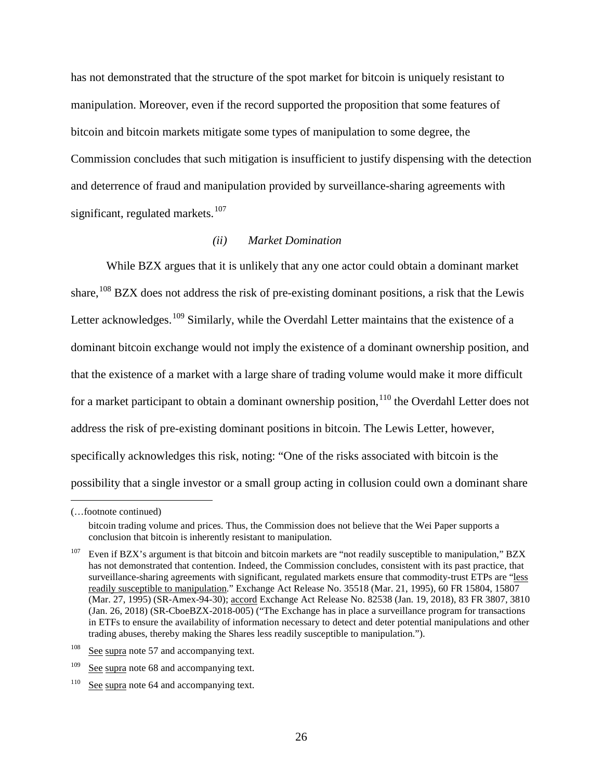has not demonstrated that the structure of the spot market for bitcoin is uniquely resistant to manipulation. Moreover, even if the record supported the proposition that some features of bitcoin and bitcoin markets mitigate some types of manipulation to some degree, the Commission concludes that such mitigation is insufficient to justify dispensing with the detection and deterrence of fraud and manipulation provided by surveillance-sharing agreements with significant, regulated markets.<sup>[107](#page-25-1)</sup>

### *(ii) Market Domination*

<span id="page-25-0"></span>While BZX argues that it is unlikely that any one actor could obtain a dominant market share,  $108$  BZX does not address the risk of pre-existing dominant positions, a risk that the Lewis Letter acknowledges.<sup>[109](#page-25-3)</sup> Similarly, while the Overdahl Letter maintains that the existence of a dominant bitcoin exchange would not imply the existence of a dominant ownership position, and that the existence of a market with a large share of trading volume would make it more difficult for a market participant to obtain a dominant ownership position,  $110$  the Overdahl Letter does not address the risk of pre-existing dominant positions in bitcoin. The Lewis Letter, however, specifically acknowledges this risk, noting: "One of the risks associated with bitcoin is the possibility that a single investor or a small group acting in collusion could own a dominant share

 $\overline{a}$ 

<sup>(…</sup>footnote continued)

bitcoin trading volume and prices. Thus, the Commission does not believe that the Wei Paper supports a conclusion that bitcoin is inherently resistant to manipulation.

<span id="page-25-1"></span><sup>&</sup>lt;sup>107</sup> Even if BZX's argument is that bitcoin and bitcoin markets are "not readily susceptible to manipulation," BZX has not demonstrated that contention. Indeed, the Commission concludes, consistent with its past practice, that surveillance-sharing agreements with significant, regulated markets ensure that commodity-trust ETPs are "less readily susceptible to manipulation." Exchange Act Release No. 35518 (Mar. 21, 1995), 60 FR 15804, 15807 (Mar. 27, 1995) (SR-Amex-94-30); accord Exchange Act Release No. 82538 (Jan. 19, 2018), 83 FR 3807, 3810 (Jan. 26, 2018) (SR-CboeBZX-2018-005) ("The Exchange has in place a surveillance program for transactions in ETFs to ensure the availability of information necessary to detect and deter potential manipulations and other trading abuses, thereby making the Shares less readily susceptible to manipulation.").

<span id="page-25-2"></span> $108$  See supra note [57](#page-12-6) and accompanying text.

<span id="page-25-3"></span><sup>&</sup>lt;sup>109</sup> See supra note [68](#page-14-5) and accompanying text.

<span id="page-25-4"></span><sup>&</sup>lt;sup>110</sup> See supra note [64](#page-13-9) and accompanying text.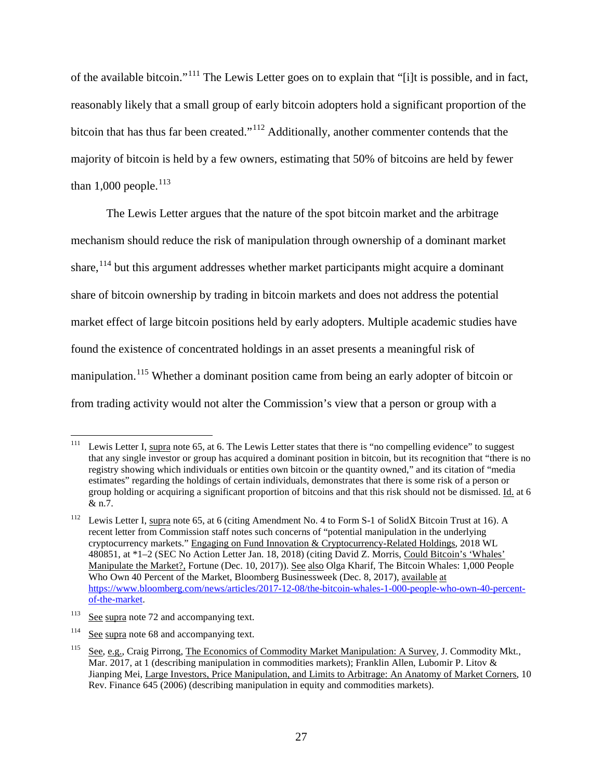of the available bitcoin."[111](#page-26-0) The Lewis Letter goes on to explain that "[i]t is possible, and in fact, reasonably likely that a small group of early bitcoin adopters hold a significant proportion of the bitcoin that has thus far been created."<sup>[112](#page-26-1)</sup> Additionally, another commenter contends that the majority of bitcoin is held by a few owners, estimating that 50% of bitcoins are held by fewer than 1,000 people. $^{113}$  $^{113}$  $^{113}$ 

The Lewis Letter argues that the nature of the spot bitcoin market and the arbitrage mechanism should reduce the risk of manipulation through ownership of a dominant market share,  $114$  but this argument addresses whether market participants might acquire a dominant share of bitcoin ownership by trading in bitcoin markets and does not address the potential market effect of large bitcoin positions held by early adopters. Multiple academic studies have found the existence of concentrated holdings in an asset presents a meaningful risk of manipulation.<sup>[115](#page-26-4)</sup> Whether a dominant position came from being an early adopter of bitcoin or from trading activity would not alter the Commission's view that a person or group with a

<span id="page-26-0"></span><sup>&</sup>lt;sup>111</sup> Lewis Letter I, supra note [65,](#page-14-0) at 6. The Lewis Letter states that there is "no compelling evidence" to suggest that any single investor or group has acquired a dominant position in bitcoin, but its recognition that "there is no registry showing which individuals or entities own bitcoin or the quantity owned," and its citation of "media estimates" regarding the holdings of certain individuals, demonstrates that there is some risk of a person or group holding or acquiring a significant proportion of bitcoins and that this risk should not be dismissed. Id. at 6 & n.7.

<span id="page-26-1"></span><sup>&</sup>lt;sup>112</sup> Lewis Letter I, supra note [65,](#page-14-0) at 6 (citing Amendment No. 4 to Form S-1 of SolidX Bitcoin Trust at 16). A recent letter from Commission staff notes such concerns of "potential manipulation in the underlying cryptocurrency markets." Engaging on Fund Innovation & Cryptocurrency-Related Holdings, 2018 WL 480851, at \*1–2 (SEC No Action Letter Jan. 18, 2018) (citing David Z. Morris, Could Bitcoin's 'Whales' Manipulate the Market?, Fortune (Dec. 10, 2017)). See also Olga Kharif, The Bitcoin Whales: 1,000 People Who Own 40 Percent of the Market, Bloomberg Businessweek (Dec. 8, 2017), available at [https://www.bloomberg.com/news/articles/2017-12-08/the-bitcoin-whales-1-000-people-who-own-40-percent](https://www.bloomberg.com/news/articles/2017-12-08/the-bitcoin-whales-1-000-people-who-own-40-percent-of-the-market)[of-the-market.](https://www.bloomberg.com/news/articles/2017-12-08/the-bitcoin-whales-1-000-people-who-own-40-percent-of-the-market)

<span id="page-26-2"></span> $113$  See supra note [72](#page-15-7) and accompanying text.

<span id="page-26-3"></span><sup>&</sup>lt;sup>114</sup> See supra note [68](#page-14-5) and accompanying text.

<span id="page-26-4"></span><sup>115</sup> See, e.g., Craig Pirrong, The Economics of Commodity Market Manipulation: A Survey, J. Commodity Mkt., Mar. 2017, at 1 (describing manipulation in commodities markets); Franklin Allen, Lubomir P. Litov & Jianping Mei, Large Investors, Price Manipulation, and Limits to Arbitrage: An Anatomy of Market Corners, 10 Rev. Finance 645 (2006) (describing manipulation in equity and commodities markets).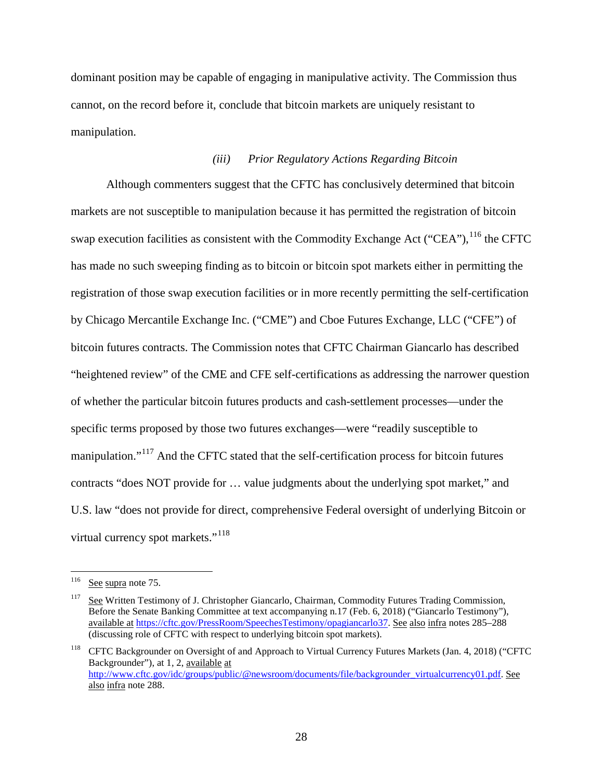dominant position may be capable of engaging in manipulative activity. The Commission thus cannot, on the record before it, conclude that bitcoin markets are uniquely resistant to manipulation.

### *(iii) Prior Regulatory Actions Regarding Bitcoin*

Although commenters suggest that the CFTC has conclusively determined that bitcoin markets are not susceptible to manipulation because it has permitted the registration of bitcoin swap execution facilities as consistent with the Commodity Exchange Act ("CEA"),  $^{116}$  $^{116}$  $^{116}$  the CFTC has made no such sweeping finding as to bitcoin or bitcoin spot markets either in permitting the registration of those swap execution facilities or in more recently permitting the self-certification by Chicago Mercantile Exchange Inc. ("CME") and Cboe Futures Exchange, LLC ("CFE") of bitcoin futures contracts. The Commission notes that CFTC Chairman Giancarlo has described "heightened review" of the CME and CFE self-certifications as addressing the narrower question of whether the particular bitcoin futures products and cash-settlement processes—under the specific terms proposed by those two futures exchanges—were "readily susceptible to manipulation."<sup>[117](#page-27-1)</sup> And the CFTC stated that the self-certification process for bitcoin futures contracts "does NOT provide for … value judgments about the underlying spot market," and U.S. law "does not provide for direct, comprehensive Federal oversight of underlying Bitcoin or virtual currency spot markets."<sup>[118](#page-27-2)</sup>

<span id="page-27-3"></span><span id="page-27-0"></span> <sup>116</sup> See supra note [75.](#page-16-6)

<span id="page-27-1"></span><sup>&</sup>lt;sup>117</sup> See Written Testimony of J. Christopher Giancarlo, Chairman, Commodity Futures Trading Commission, Before the Senate Banking Committee at text accompanying n.17 (Feb. 6, 2018) ("Giancarlo Testimony"), available at [https://cftc.gov/PressRoom/SpeechesTestimony/opagiancarlo37.](https://cftc.gov/PressRoom/SpeechesTestimony/opagiancarlo37) See also infra note[s 285](#page-71-0)[–288](#page-72-1) (discussing role of CFTC with respect to underlying bitcoin spot markets).

<span id="page-27-2"></span><sup>&</sup>lt;sup>118</sup> CFTC Backgrounder on Oversight of and Approach to Virtual Currency Futures Markets (Jan. 4, 2018) ("CFTC Backgrounder"), at 1, 2, available at [http://www.cftc.gov/idc/groups/public/@newsroom/documents/file/backgrounder\\_virtualcurrency01.pdf.](http://www.cftc.gov/idc/groups/public/@newsroom/documents/file/backgrounder_virtualcurrency01.pdf) See also infra note [288.](#page-72-1)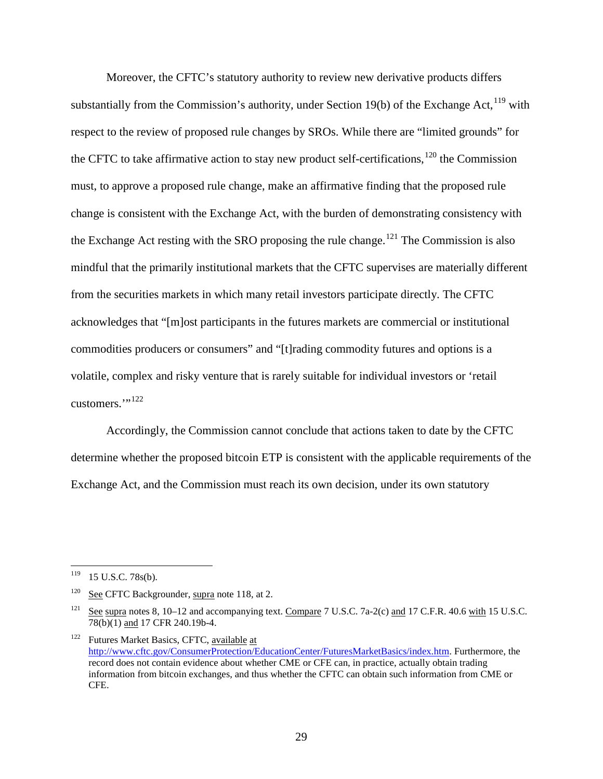Moreover, the CFTC's statutory authority to review new derivative products differs substantially from the Commission's authority, under Section 19(b) of the Exchange Act,  $^{119}$  $^{119}$  $^{119}$  with respect to the review of proposed rule changes by SROs. While there are "limited grounds" for the CFTC to take affirmative action to stay new product self-certifications,  $120$  the Commission must, to approve a proposed rule change, make an affirmative finding that the proposed rule change is consistent with the Exchange Act, with the burden of demonstrating consistency with the Exchange Act resting with the SRO proposing the rule change.<sup>[121](#page-28-2)</sup> The Commission is also mindful that the primarily institutional markets that the CFTC supervises are materially different from the securities markets in which many retail investors participate directly. The CFTC acknowledges that "[m]ost participants in the futures markets are commercial or institutional commodities producers or consumers" and "[t]rading commodity futures and options is a volatile, complex and risky venture that is rarely suitable for individual investors or 'retail customers. $"$ <sup>[122](#page-28-3)</sup>

Accordingly, the Commission cannot conclude that actions taken to date by the CFTC determine whether the proposed bitcoin ETP is consistent with the applicable requirements of the Exchange Act, and the Commission must reach its own decision, under its own statutory

<span id="page-28-0"></span> <sup>119</sup> 15 U.S.C. 78s(b).

<span id="page-28-1"></span><sup>&</sup>lt;sup>120</sup> See CFTC Backgrounder, supra note [118,](#page-27-3) at 2.

<span id="page-28-2"></span><sup>&</sup>lt;sup>121</sup> See supra notes [8,](#page-1-7) [10](#page-1-6)[–12](#page-2-8) and accompanying text. Compare 7 U.S.C. 7a-2(c) and 17 C.F.R. 40.6 with 15 U.S.C. 78(b)(1) and 17 CFR 240.19b-4.

<span id="page-28-3"></span><sup>&</sup>lt;sup>122</sup> Futures Market Basics, CFTC, available at [http://www.cftc.gov/ConsumerProtection/EducationCenter/FuturesMarketBasics/index.htm.](http://www.cftc.gov/ConsumerProtection/EducationCenter/FuturesMarketBasics/index.htm) Furthermore, the record does not contain evidence about whether CME or CFE can, in practice, actually obtain trading information from bitcoin exchanges, and thus whether the CFTC can obtain such information from CME or CFE.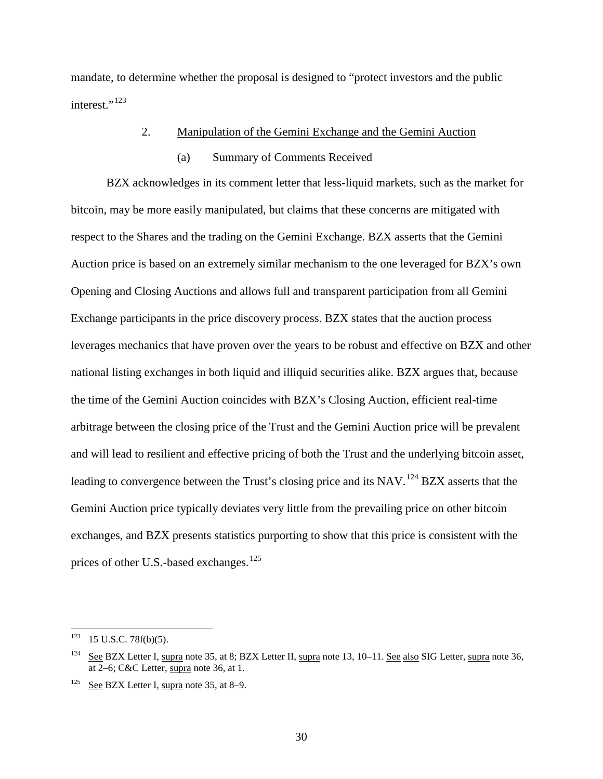mandate, to determine whether the proposal is designed to "protect investors and the public interest."<sup>[123](#page-29-1)</sup>

## 2. Manipulation of the Gemini Exchange and the Gemini Auction

#### (a) Summary of Comments Received

<span id="page-29-0"></span>BZX acknowledges in its comment letter that less-liquid markets, such as the market for bitcoin, may be more easily manipulated, but claims that these concerns are mitigated with respect to the Shares and the trading on the Gemini Exchange. BZX asserts that the Gemini Auction price is based on an extremely similar mechanism to the one leveraged for BZX's own Opening and Closing Auctions and allows full and transparent participation from all Gemini Exchange participants in the price discovery process. BZX states that the auction process leverages mechanics that have proven over the years to be robust and effective on BZX and other national listing exchanges in both liquid and illiquid securities alike. BZX argues that, because the time of the Gemini Auction coincides with BZX's Closing Auction, efficient real-time arbitrage between the closing price of the Trust and the Gemini Auction price will be prevalent and will lead to resilient and effective pricing of both the Trust and the underlying bitcoin asset, leading to convergence between the Trust's closing price and its NAV.<sup>[124](#page-29-2)</sup> BZX asserts that the Gemini Auction price typically deviates very little from the prevailing price on other bitcoin exchanges, and BZX presents statistics purporting to show that this price is consistent with the prices of other U.S.-based exchanges.<sup>[125](#page-29-3)</sup>

<span id="page-29-1"></span> $123$  15 U.S.C. 78f(b)(5).

<span id="page-29-2"></span><sup>&</sup>lt;sup>124</sup> See BZX Letter I, supra note [35,](#page-7-4) at 8; BZX Letter II, supra note [13,](#page-2-7) 10–11. See also SIG Letter, supra note 36, at 2–6; C&C Letter, supra note [36,](#page-8-8) at 1.

<span id="page-29-3"></span><sup>&</sup>lt;sup>125</sup> See BZX Letter I, supra note [35,](#page-7-4) at 8–9.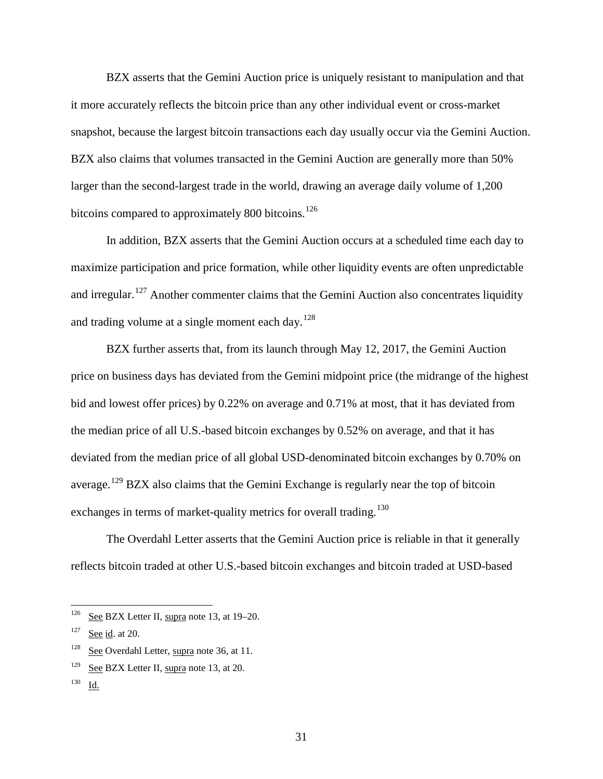BZX asserts that the Gemini Auction price is uniquely resistant to manipulation and that it more accurately reflects the bitcoin price than any other individual event or cross-market snapshot, because the largest bitcoin transactions each day usually occur via the Gemini Auction. BZX also claims that volumes transacted in the Gemini Auction are generally more than 50% larger than the second-largest trade in the world, drawing an average daily volume of 1,200 bitcoins compared to approximately 800 bitcoins.<sup>[126](#page-30-0)</sup>

In addition, BZX asserts that the Gemini Auction occurs at a scheduled time each day to maximize participation and price formation, while other liquidity events are often unpredictable and irregular.<sup>[127](#page-30-1)</sup> Another commenter claims that the Gemini Auction also concentrates liquidity and trading volume at a single moment each day.<sup>[128](#page-30-2)</sup>

BZX further asserts that, from its launch through May 12, 2017, the Gemini Auction price on business days has deviated from the Gemini midpoint price (the midrange of the highest bid and lowest offer prices) by 0.22% on average and 0.71% at most, that it has deviated from the median price of all U.S.-based bitcoin exchanges by 0.52% on average, and that it has deviated from the median price of all global USD-denominated bitcoin exchanges by 0.70% on average.<sup>[129](#page-30-3)</sup> BZX also claims that the Gemini Exchange is regularly near the top of bitcoin exchanges in terms of market-quality metrics for overall trading.<sup>[130](#page-30-4)</sup>

The Overdahl Letter asserts that the Gemini Auction price is reliable in that it generally reflects bitcoin traded at other U.S.-based bitcoin exchanges and bitcoin traded at USD-based

<span id="page-30-0"></span><sup>&</sup>lt;sup>126</sup> See BZX Letter II, supra note [13,](#page-2-7) at 19–20.

<span id="page-30-1"></span> $127$  See id. at 20.

<span id="page-30-2"></span> $128$  See Overdahl Letter, supra note [36,](#page-8-8) at 11.

<span id="page-30-3"></span><sup>&</sup>lt;sup>129</sup> See BZX Letter II, supra note [13,](#page-2-7) at 20.

<span id="page-30-4"></span><sup>130</sup> Id.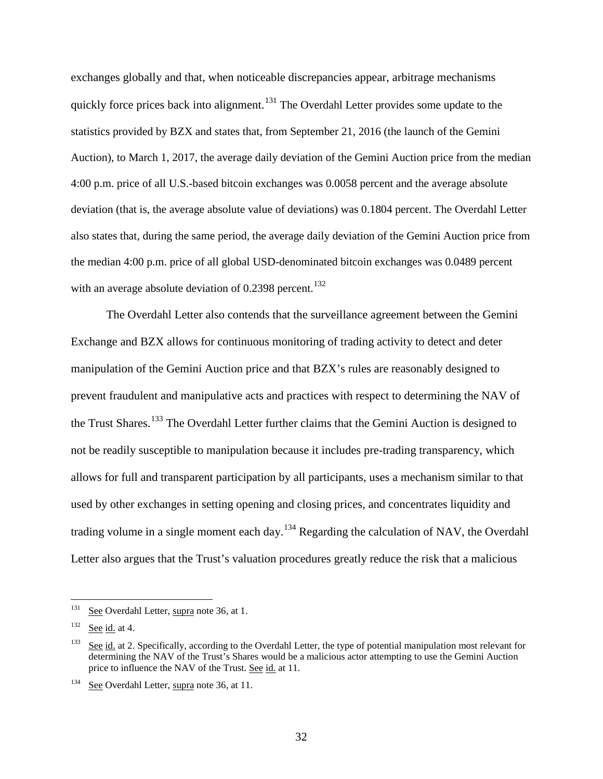exchanges globally and that, when noticeable discrepancies appear, arbitrage mechanisms quickly force prices back into alignment.<sup>[131](#page-31-0)</sup> The Overdahl Letter provides some update to the statistics provided by BZX and states that, from September 21, 2016 (the launch of the Gemini Auction), to March 1, 2017, the average daily deviation of the Gemini Auction price from the median 4:00 p.m. price of all U.S.-based bitcoin exchanges was 0.0058 percent and the average absolute deviation (that is, the average absolute value of deviations) was 0.1804 percent. The Overdahl Letter also states that, during the same period, the average daily deviation of the Gemini Auction price from the median 4:00 p.m. price of all global USD-denominated bitcoin exchanges was 0.0489 percent with an average absolute deviation of  $0.2398$  percent.<sup>[132](#page-31-1)</sup>

The Overdahl Letter also contends that the surveillance agreement between the Gemini Exchange and BZX allows for continuous monitoring of trading activity to detect and deter manipulation of the Gemini Auction price and that BZX's rules are reasonably designed to prevent fraudulent and manipulative acts and practices with respect to determining the NAV of the Trust Shares.<sup>[133](#page-31-2)</sup> The Overdahl Letter further claims that the Gemini Auction is designed to not be readily susceptible to manipulation because it includes pre-trading transparency, which allows for full and transparent participation by all participants, uses a mechanism similar to that used by other exchanges in setting opening and closing prices, and concentrates liquidity and trading volume in a single moment each day.<sup>[134](#page-31-3)</sup> Regarding the calculation of NAV, the Overdahl Letter also argues that the Trust's valuation procedures greatly reduce the risk that a malicious

<span id="page-31-0"></span><sup>&</sup>lt;sup>131</sup> See Overdahl Letter, supra note [36,](#page-8-8) at 1.

<span id="page-31-1"></span> $132$  See id. at 4.

<span id="page-31-2"></span><sup>&</sup>lt;sup>133</sup> See id. at 2. Specifically, according to the Overdahl Letter, the type of potential manipulation most relevant for determining the NAV of the Trust's Shares would be a malicious actor attempting to use the Gemini Auction price to influence the NAV of the Trust. See id. at 11.

<span id="page-31-3"></span><sup>&</sup>lt;sup>134</sup> See Overdahl Letter, supra note [36,](#page-8-8) at 11.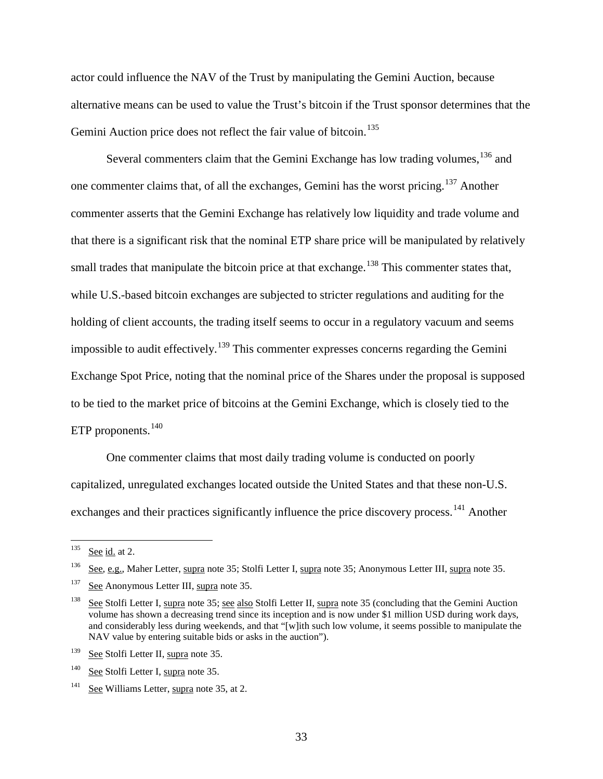actor could influence the NAV of the Trust by manipulating the Gemini Auction, because alternative means can be used to value the Trust's bitcoin if the Trust sponsor determines that the Gemini Auction price does not reflect the fair value of bitcoin.<sup>[135](#page-32-0)</sup>

Several commenters claim that the Gemini Exchange has low trading volumes, <sup>[136](#page-32-1)</sup> and one commenter claims that, of all the exchanges, Gemini has the worst pricing.<sup>[137](#page-32-2)</sup> Another commenter asserts that the Gemini Exchange has relatively low liquidity and trade volume and that there is a significant risk that the nominal ETP share price will be manipulated by relatively small trades that manipulate the bitcoin price at that exchange.<sup>[138](#page-32-3)</sup> This commenter states that, while U.S.-based bitcoin exchanges are subjected to stricter regulations and auditing for the holding of client accounts, the trading itself seems to occur in a regulatory vacuum and seems impossible to audit effectively.<sup>[139](#page-32-4)</sup> This commenter expresses concerns regarding the Gemini Exchange Spot Price, noting that the nominal price of the Shares under the proposal is supposed to be tied to the market price of bitcoins at the Gemini Exchange, which is closely tied to the ETP proponents.<sup>[140](#page-32-5)</sup>

One commenter claims that most daily trading volume is conducted on poorly capitalized, unregulated exchanges located outside the United States and that these non-U.S. exchanges and their practices significantly influence the price discovery process.<sup>[141](#page-32-6)</sup> Another

<span id="page-32-0"></span> $135$  See id. at 2.

<span id="page-32-1"></span>See, e.g., Maher Letter, supra note [35;](#page-7-4) Stolfi Letter I, supra note 35; Anonymous Letter III, supra not[e 35.](#page-7-4)

<span id="page-32-2"></span><sup>&</sup>lt;sup>137</sup> See Anonymous Letter III, supra not[e 35.](#page-7-4)

<span id="page-32-3"></span><sup>&</sup>lt;sup>138</sup> See Stolfi Letter I, supra note [35;](#page-7-4) see also Stolfi Letter II, supra note [35](#page-7-4) (concluding that the Gemini Auction volume has shown a decreasing trend since its inception and is now under \$1 million USD during work days, and considerably less during weekends, and that "[w]ith such low volume, it seems possible to manipulate the NAV value by entering suitable bids or asks in the auction").

<span id="page-32-4"></span><sup>&</sup>lt;sup>139</sup> See Stolfi Letter II, supra note [35.](#page-7-4)

<span id="page-32-5"></span><sup>&</sup>lt;sup>140</sup> See Stolfi Letter I, supra note [35.](#page-7-4)

<span id="page-32-6"></span><sup>&</sup>lt;sup>141</sup> See Williams Letter, supra note [35,](#page-7-4) at 2.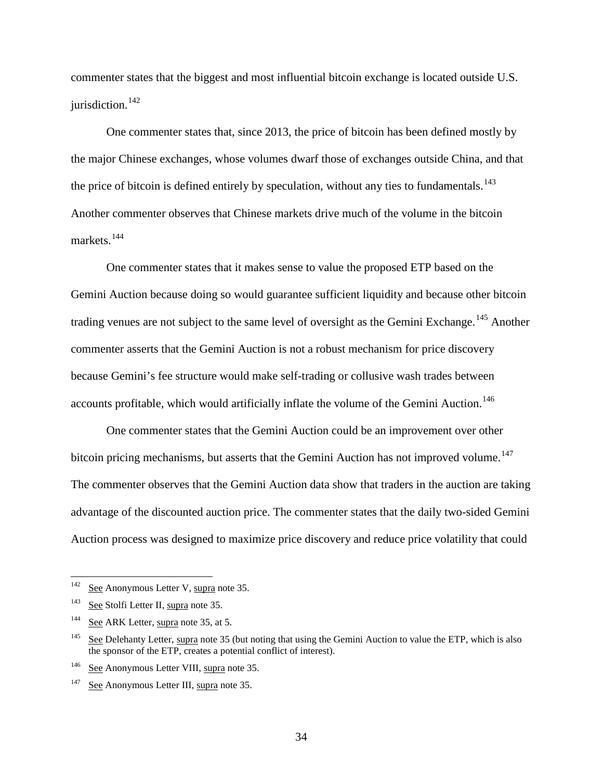commenter states that the biggest and most influential bitcoin exchange is located outside U.S. jurisdiction.<sup>[142](#page-33-0)</sup>

One commenter states that, since 2013, the price of bitcoin has been defined mostly by the major Chinese exchanges, whose volumes dwarf those of exchanges outside China, and that the price of bitcoin is defined entirely by speculation, without any ties to fundamentals.<sup>[143](#page-33-1)</sup> Another commenter observes that Chinese markets drive much of the volume in the bitcoin markets.<sup>[144](#page-33-2)</sup>

One commenter states that it makes sense to value the proposed ETP based on the Gemini Auction because doing so would guarantee sufficient liquidity and because other bitcoin trading venues are not subject to the same level of oversight as the Gemini Exchange.<sup>[145](#page-33-3)</sup> Another commenter asserts that the Gemini Auction is not a robust mechanism for price discovery because Gemini's fee structure would make self-trading or collusive wash trades between accounts profitable, which would artificially inflate the volume of the Gemini Auction.<sup>[146](#page-33-4)</sup>

One commenter states that the Gemini Auction could be an improvement over other bitcoin pricing mechanisms, but asserts that the Gemini Auction has not improved volume.<sup>[147](#page-33-5)</sup> The commenter observes that the Gemini Auction data show that traders in the auction are taking advantage of the discounted auction price. The commenter states that the daily two-sided Gemini Auction process was designed to maximize price discovery and reduce price volatility that could

<span id="page-33-0"></span> $142$  See Anonymous Letter V, supra note [35.](#page-7-4)

<span id="page-33-1"></span><sup>&</sup>lt;sup>143</sup> See Stolfi Letter II, supra note [35.](#page-7-4)

<span id="page-33-2"></span><sup>&</sup>lt;sup>144</sup> <u>See</u> ARK Letter, supra note [35,](#page-7-4) at 5.

<span id="page-33-3"></span> $145$  See Delehanty Letter, supra note [35](#page-7-4) (but noting that using the Gemini Auction to value the ETP, which is also the sponsor of the ETP, creates a potential conflict of interest).

<span id="page-33-4"></span><sup>146</sup> See Anonymous Letter VIII, supra note [35.](#page-7-4)

<span id="page-33-5"></span><sup>&</sup>lt;sup>147</sup> See Anonymous Letter III, supra not[e 35.](#page-7-4)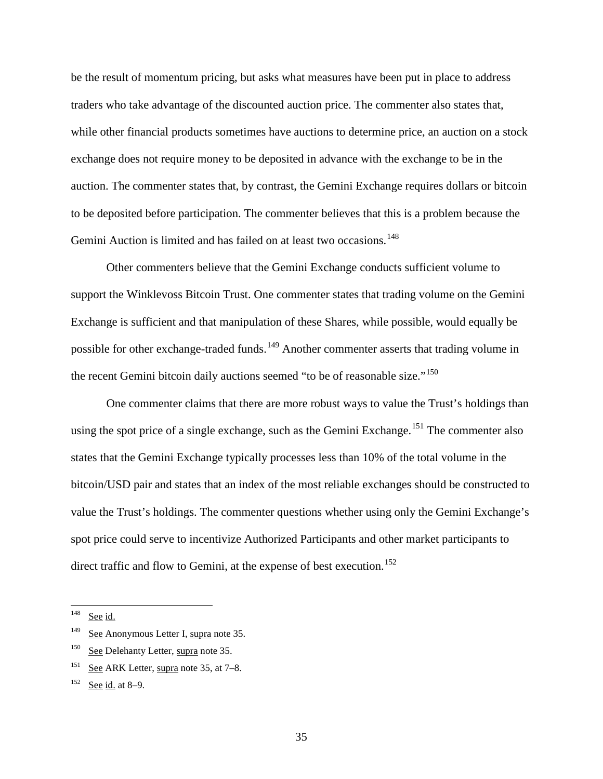be the result of momentum pricing, but asks what measures have been put in place to address traders who take advantage of the discounted auction price. The commenter also states that, while other financial products sometimes have auctions to determine price, an auction on a stock exchange does not require money to be deposited in advance with the exchange to be in the auction. The commenter states that, by contrast, the Gemini Exchange requires dollars or bitcoin to be deposited before participation. The commenter believes that this is a problem because the Gemini Auction is limited and has failed on at least two occasions.<sup>[148](#page-34-0)</sup>

Other commenters believe that the Gemini Exchange conducts sufficient volume to support the Winklevoss Bitcoin Trust. One commenter states that trading volume on the Gemini Exchange is sufficient and that manipulation of these Shares, while possible, would equally be possible for other exchange-traded funds.<sup>[149](#page-34-1)</sup> Another commenter asserts that trading volume in the recent Gemini bitcoin daily auctions seemed "to be of reasonable size."<sup>[150](#page-34-2)</sup>

One commenter claims that there are more robust ways to value the Trust's holdings than using the spot price of a single exchange, such as the Gemini Exchange.<sup>[151](#page-34-3)</sup> The commenter also states that the Gemini Exchange typically processes less than 10% of the total volume in the bitcoin/USD pair and states that an index of the most reliable exchanges should be constructed to value the Trust's holdings. The commenter questions whether using only the Gemini Exchange's spot price could serve to incentivize Authorized Participants and other market participants to direct traffic and flow to Gemini, at the expense of best execution.<sup>[152](#page-34-4)</sup>

<span id="page-34-0"></span> $148$  See id.

<span id="page-34-1"></span><sup>&</sup>lt;sup>149</sup> See Anonymous Letter I, supra note [35.](#page-7-4)

<span id="page-34-2"></span><sup>&</sup>lt;sup>150</sup> See Delehanty Letter, supra note [35.](#page-7-4)

<span id="page-34-3"></span><sup>&</sup>lt;sup>151</sup> See ARK Letter, supra note [35,](#page-7-4) at  $7-8$ .

<span id="page-34-4"></span> $152$  See id. at 8–9.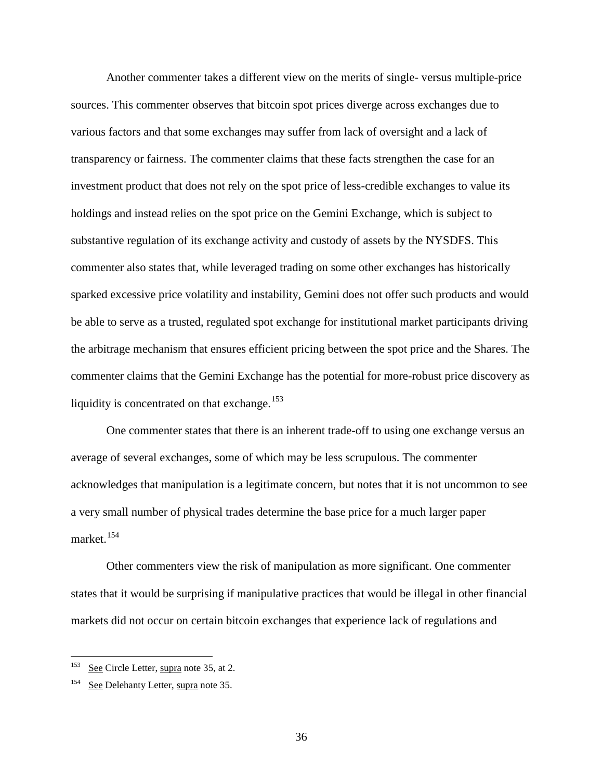Another commenter takes a different view on the merits of single- versus multiple-price sources. This commenter observes that bitcoin spot prices diverge across exchanges due to various factors and that some exchanges may suffer from lack of oversight and a lack of transparency or fairness. The commenter claims that these facts strengthen the case for an investment product that does not rely on the spot price of less-credible exchanges to value its holdings and instead relies on the spot price on the Gemini Exchange, which is subject to substantive regulation of its exchange activity and custody of assets by the NYSDFS. This commenter also states that, while leveraged trading on some other exchanges has historically sparked excessive price volatility and instability, Gemini does not offer such products and would be able to serve as a trusted, regulated spot exchange for institutional market participants driving the arbitrage mechanism that ensures efficient pricing between the spot price and the Shares. The commenter claims that the Gemini Exchange has the potential for more-robust price discovery as liquidity is concentrated on that exchange.<sup>[153](#page-35-0)</sup>

One commenter states that there is an inherent trade-off to using one exchange versus an average of several exchanges, some of which may be less scrupulous. The commenter acknowledges that manipulation is a legitimate concern, but notes that it is not uncommon to see a very small number of physical trades determine the base price for a much larger paper market.<sup>[154](#page-35-1)</sup>

Other commenters view the risk of manipulation as more significant. One commenter states that it would be surprising if manipulative practices that would be illegal in other financial markets did not occur on certain bitcoin exchanges that experience lack of regulations and

<span id="page-35-0"></span>See Circle Letter, supra note [35,](#page-7-4) at 2.

<span id="page-35-1"></span>See Delehanty Letter, supra note [35.](#page-7-4)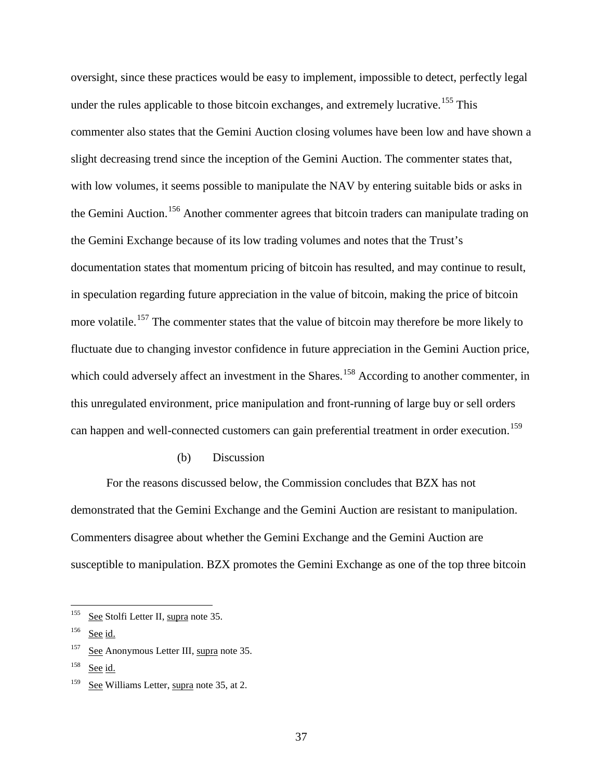oversight, since these practices would be easy to implement, impossible to detect, perfectly legal under the rules applicable to those bitcoin exchanges, and extremely lucrative.<sup>[155](#page-36-0)</sup> This commenter also states that the Gemini Auction closing volumes have been low and have shown a slight decreasing trend since the inception of the Gemini Auction. The commenter states that, with low volumes, it seems possible to manipulate the NAV by entering suitable bids or asks in the Gemini Auction.<sup>[156](#page-36-1)</sup> Another commenter agrees that bitcoin traders can manipulate trading on the Gemini Exchange because of its low trading volumes and notes that the Trust's documentation states that momentum pricing of bitcoin has resulted, and may continue to result, in speculation regarding future appreciation in the value of bitcoin, making the price of bitcoin more volatile.<sup>[157](#page-36-2)</sup> The commenter states that the value of bitcoin may therefore be more likely to fluctuate due to changing investor confidence in future appreciation in the Gemini Auction price, which could adversely affect an investment in the Shares.<sup>[158](#page-36-3)</sup> According to another commenter, in this unregulated environment, price manipulation and front-running of large buy or sell orders can happen and well-connected customers can gain preferential treatment in order execution.<sup>[159](#page-36-4)</sup>

## (b) Discussion

<span id="page-36-5"></span>For the reasons discussed below, the Commission concludes that BZX has not demonstrated that the Gemini Exchange and the Gemini Auction are resistant to manipulation. Commenters disagree about whether the Gemini Exchange and the Gemini Auction are susceptible to manipulation. BZX promotes the Gemini Exchange as one of the top three bitcoin

<span id="page-36-3"></span><sup>158</sup> See id.

<span id="page-36-0"></span> $155$  See Stolfi Letter II, supra note [35.](#page-7-0)

<span id="page-36-1"></span> $156$  See id.

<span id="page-36-2"></span>See Anonymous Letter III, supra not[e 35.](#page-7-0)

<span id="page-36-4"></span><sup>&</sup>lt;sup>159</sup> See Williams Letter, supra note [35,](#page-7-0) at 2.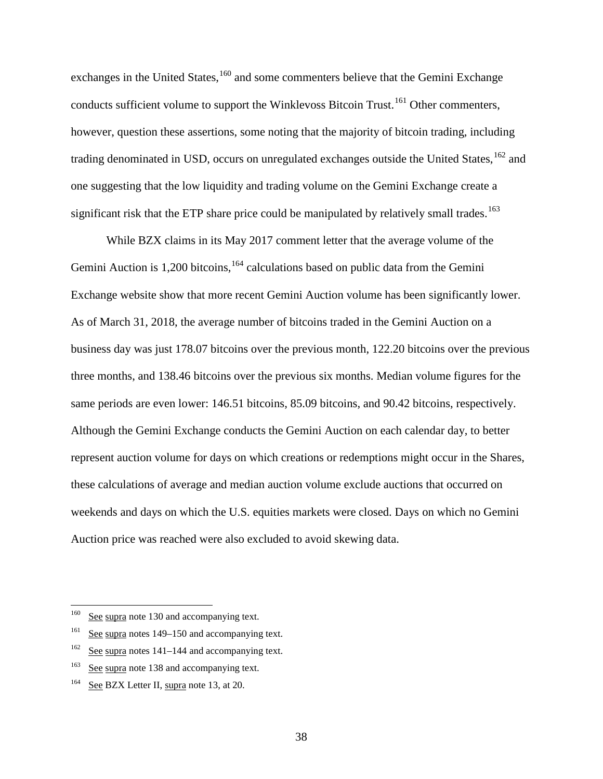exchanges in the United States,  $160$  and some commenters believe that the Gemini Exchange conducts sufficient volume to support the Winklevoss Bitcoin Trust.<sup>[161](#page-37-1)</sup> Other commenters, however, question these assertions, some noting that the majority of bitcoin trading, including trading denominated in USD, occurs on unregulated exchanges outside the United States, <sup>[162](#page-37-2)</sup> and one suggesting that the low liquidity and trading volume on the Gemini Exchange create a significant risk that the ETP share price could be manipulated by relatively small trades.<sup>[163](#page-37-3)</sup>

While BZX claims in its May 2017 comment letter that the average volume of the Gemini Auction is  $1,200$  bitcoins,  $164$  calculations based on public data from the Gemini Exchange website show that more recent Gemini Auction volume has been significantly lower. As of March 31, 2018, the average number of bitcoins traded in the Gemini Auction on a business day was just 178.07 bitcoins over the previous month, 122.20 bitcoins over the previous three months, and 138.46 bitcoins over the previous six months. Median volume figures for the same periods are even lower: 146.51 bitcoins, 85.09 bitcoins, and 90.42 bitcoins, respectively. Although the Gemini Exchange conducts the Gemini Auction on each calendar day, to better represent auction volume for days on which creations or redemptions might occur in the Shares, these calculations of average and median auction volume exclude auctions that occurred on weekends and days on which the U.S. equities markets were closed. Days on which no Gemini Auction price was reached were also excluded to avoid skewing data.

<span id="page-37-0"></span><sup>&</sup>lt;sup>160</sup> See supra note [130](#page-30-0) and accompanying text.

<span id="page-37-1"></span><sup>&</sup>lt;sup>161</sup> See supra note[s 149](#page-34-0)[–150](#page-34-1) and accompanying text.

<span id="page-37-2"></span> $162$  See supra note[s 141](#page-32-0)[–144](#page-33-0) and accompanying text.

<span id="page-37-3"></span><sup>&</sup>lt;sup>163</sup> See supra note [138](#page-32-1) and accompanying text.

<span id="page-37-4"></span><sup>&</sup>lt;sup>164</sup> See BZX Letter II, supra note [13,](#page-2-0) at 20.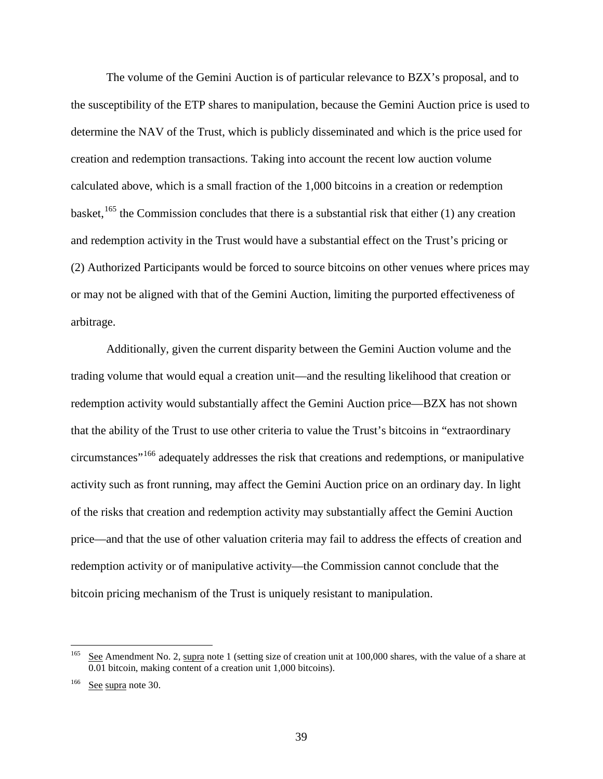<span id="page-38-2"></span>The volume of the Gemini Auction is of particular relevance to BZX's proposal, and to the susceptibility of the ETP shares to manipulation, because the Gemini Auction price is used to determine the NAV of the Trust, which is publicly disseminated and which is the price used for creation and redemption transactions. Taking into account the recent low auction volume calculated above, which is a small fraction of the 1,000 bitcoins in a creation or redemption basket,  $^{165}$  $^{165}$  $^{165}$  the Commission concludes that there is a substantial risk that either (1) any creation and redemption activity in the Trust would have a substantial effect on the Trust's pricing or (2) Authorized Participants would be forced to source bitcoins on other venues where prices may or may not be aligned with that of the Gemini Auction, limiting the purported effectiveness of arbitrage.

Additionally, given the current disparity between the Gemini Auction volume and the trading volume that would equal a creation unit—and the resulting likelihood that creation or redemption activity would substantially affect the Gemini Auction price—BZX has not shown that the ability of the Trust to use other criteria to value the Trust's bitcoins in "extraordinary circumstances"[166](#page-38-1) adequately addresses the risk that creations and redemptions, or manipulative activity such as front running, may affect the Gemini Auction price on an ordinary day. In light of the risks that creation and redemption activity may substantially affect the Gemini Auction price—and that the use of other valuation criteria may fail to address the effects of creation and redemption activity or of manipulative activity—the Commission cannot conclude that the bitcoin pricing mechanism of the Trust is uniquely resistant to manipulation.

<span id="page-38-0"></span><sup>&</sup>lt;sup>165</sup> See Amendment No. 2, supra note [1](#page-0-0) (setting size of creation unit at 100,000 shares, with the value of a share at 0.01 bitcoin, making content of a creation unit 1,000 bitcoins).

<span id="page-38-1"></span><sup>166</sup> See supra note [30.](#page-6-0)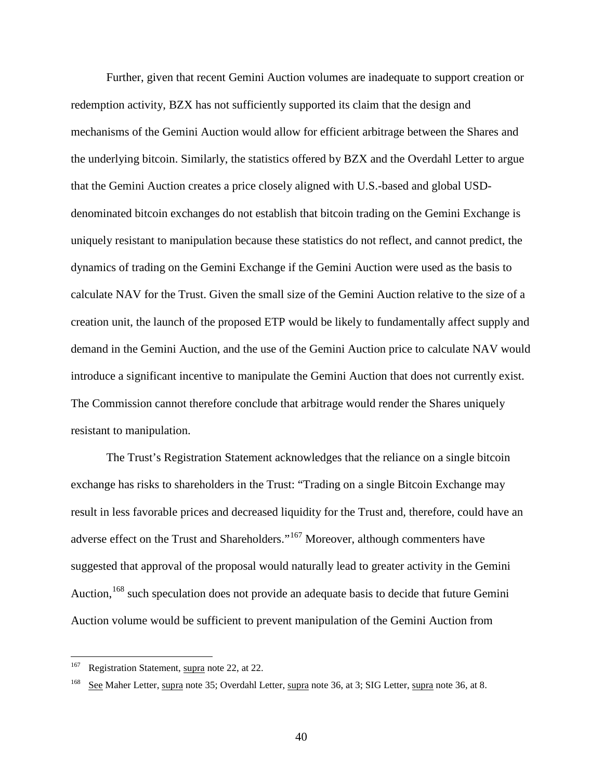Further, given that recent Gemini Auction volumes are inadequate to support creation or redemption activity, BZX has not sufficiently supported its claim that the design and mechanisms of the Gemini Auction would allow for efficient arbitrage between the Shares and the underlying bitcoin. Similarly, the statistics offered by BZX and the Overdahl Letter to argue that the Gemini Auction creates a price closely aligned with U.S.-based and global USDdenominated bitcoin exchanges do not establish that bitcoin trading on the Gemini Exchange is uniquely resistant to manipulation because these statistics do not reflect, and cannot predict, the dynamics of trading on the Gemini Exchange if the Gemini Auction were used as the basis to calculate NAV for the Trust. Given the small size of the Gemini Auction relative to the size of a creation unit, the launch of the proposed ETP would be likely to fundamentally affect supply and demand in the Gemini Auction, and the use of the Gemini Auction price to calculate NAV would introduce a significant incentive to manipulate the Gemini Auction that does not currently exist. The Commission cannot therefore conclude that arbitrage would render the Shares uniquely resistant to manipulation.

The Trust's Registration Statement acknowledges that the reliance on a single bitcoin exchange has risks to shareholders in the Trust: "Trading on a single Bitcoin Exchange may result in less favorable prices and decreased liquidity for the Trust and, therefore, could have an adverse effect on the Trust and Shareholders."[167](#page-39-0) Moreover, although commenters have suggested that approval of the proposal would naturally lead to greater activity in the Gemini Auction, <sup>[168](#page-39-1)</sup> such speculation does not provide an adequate basis to decide that future Gemini Auction volume would be sufficient to prevent manipulation of the Gemini Auction from

<span id="page-39-0"></span><sup>&</sup>lt;sup>167</sup> Registration Statement, supra note [22,](#page-5-0) at 22.

<span id="page-39-1"></span><sup>&</sup>lt;sup>168</sup> See Maher Letter, supra note [35;](#page-7-0) Overdahl Letter, supra note [36,](#page-8-0) at 3; SIG Letter, supra note 36, at 8.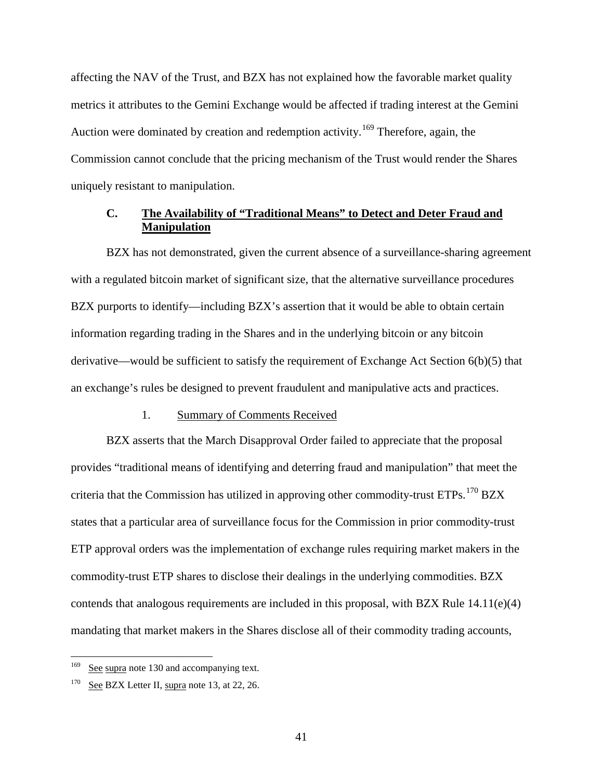affecting the NAV of the Trust, and BZX has not explained how the favorable market quality metrics it attributes to the Gemini Exchange would be affected if trading interest at the Gemini Auction were dominated by creation and redemption activity.<sup>[169](#page-40-0)</sup> Therefore, again, the Commission cannot conclude that the pricing mechanism of the Trust would render the Shares uniquely resistant to manipulation.

# **C. The Availability of "Traditional Means" to Detect and Deter Fraud and Manipulation**

BZX has not demonstrated, given the current absence of a surveillance-sharing agreement with a regulated bitcoin market of significant size, that the alternative surveillance procedures BZX purports to identify—including BZX's assertion that it would be able to obtain certain information regarding trading in the Shares and in the underlying bitcoin or any bitcoin derivative—would be sufficient to satisfy the requirement of Exchange Act Section 6(b)(5) that an exchange's rules be designed to prevent fraudulent and manipulative acts and practices.

#### 1. Summary of Comments Received

BZX asserts that the March Disapproval Order failed to appreciate that the proposal provides "traditional means of identifying and deterring fraud and manipulation" that meet the criteria that the Commission has utilized in approving other commodity-trust ETPs.<sup>[170](#page-40-1)</sup> BZX states that a particular area of surveillance focus for the Commission in prior commodity-trust ETP approval orders was the implementation of exchange rules requiring market makers in the commodity-trust ETP shares to disclose their dealings in the underlying commodities. BZX contends that analogous requirements are included in this proposal, with BZX Rule 14.11(e)(4) mandating that market makers in the Shares disclose all of their commodity trading accounts,

<span id="page-40-0"></span>See supra note [130](#page-30-0) and accompanying text.

<span id="page-40-1"></span> $170$  See BZX Letter II, supra note [13,](#page-2-0) at 22, 26.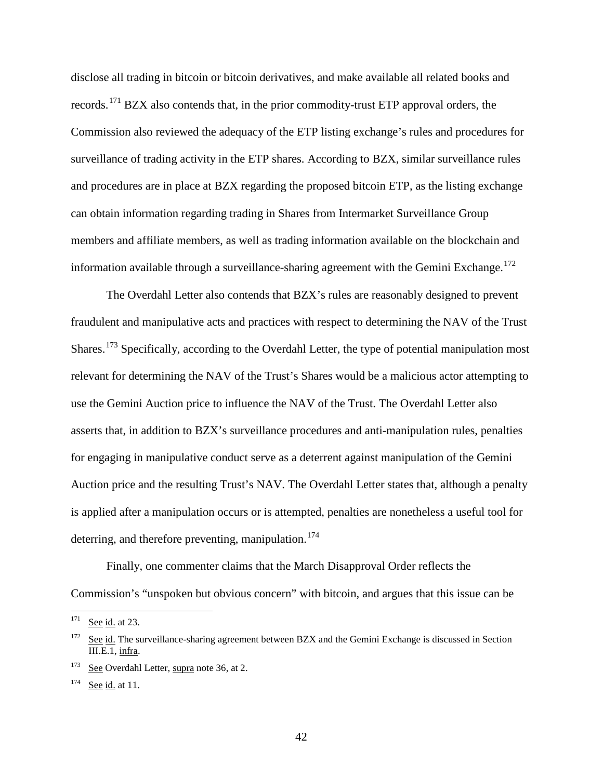<span id="page-41-4"></span>disclose all trading in bitcoin or bitcoin derivatives, and make available all related books and records.[171](#page-41-0) BZX also contends that, in the prior commodity-trust ETP approval orders, the Commission also reviewed the adequacy of the ETP listing exchange's rules and procedures for surveillance of trading activity in the ETP shares. According to BZX, similar surveillance rules and procedures are in place at BZX regarding the proposed bitcoin ETP, as the listing exchange can obtain information regarding trading in Shares from Intermarket Surveillance Group members and affiliate members, as well as trading information available on the blockchain and information available through a surveillance-sharing agreement with the Gemini Exchange.<sup>[172](#page-41-1)</sup>

The Overdahl Letter also contends that BZX's rules are reasonably designed to prevent fraudulent and manipulative acts and practices with respect to determining the NAV of the Trust Shares.<sup>[173](#page-41-2)</sup> Specifically, according to the Overdahl Letter, the type of potential manipulation most relevant for determining the NAV of the Trust's Shares would be a malicious actor attempting to use the Gemini Auction price to influence the NAV of the Trust. The Overdahl Letter also asserts that, in addition to BZX's surveillance procedures and anti-manipulation rules, penalties for engaging in manipulative conduct serve as a deterrent against manipulation of the Gemini Auction price and the resulting Trust's NAV. The Overdahl Letter states that, although a penalty is applied after a manipulation occurs or is attempted, penalties are nonetheless a useful tool for deterring, and therefore preventing, manipulation.<sup>[174](#page-41-3)</sup>

<span id="page-41-5"></span>Finally, one commenter claims that the March Disapproval Order reflects the Commission's "unspoken but obvious concern" with bitcoin, and argues that this issue can be

<span id="page-41-0"></span> $171$  See id. at 23.

<span id="page-41-1"></span> $172$  See id. The surveillance-sharing agreement between BZX and the Gemini Exchange is discussed in Section [III.E.1,](#page-59-0) infra.

<span id="page-41-2"></span><sup>173</sup> See Overdahl Letter, supra note [36,](#page-8-0) at 2.

<span id="page-41-3"></span> $174$  See id. at 11.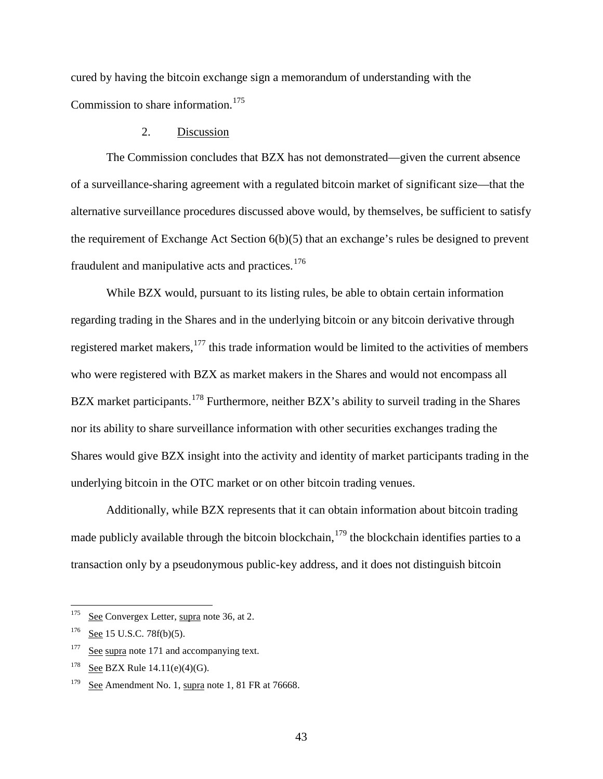cured by having the bitcoin exchange sign a memorandum of understanding with the Commission to share information.<sup>[175](#page-42-0)</sup>

# <span id="page-42-5"></span>2. Discussion

<span id="page-42-6"></span>The Commission concludes that BZX has not demonstrated—given the current absence of a surveillance-sharing agreement with a regulated bitcoin market of significant size—that the alternative surveillance procedures discussed above would, by themselves, be sufficient to satisfy the requirement of Exchange Act Section 6(b)(5) that an exchange's rules be designed to prevent fraudulent and manipulative acts and practices.<sup>[176](#page-42-1)</sup>

While BZX would, pursuant to its listing rules, be able to obtain certain information regarding trading in the Shares and in the underlying bitcoin or any bitcoin derivative through registered market makers, $177$  this trade information would be limited to the activities of members who were registered with BZX as market makers in the Shares and would not encompass all BZX market participants.<sup>[178](#page-42-3)</sup> Furthermore, neither BZX's ability to surveil trading in the Shares nor its ability to share surveillance information with other securities exchanges trading the Shares would give BZX insight into the activity and identity of market participants trading in the underlying bitcoin in the OTC market or on other bitcoin trading venues.

Additionally, while BZX represents that it can obtain information about bitcoin trading made publicly available through the bitcoin blockchain,  $179$  the blockchain identifies parties to a transaction only by a pseudonymous public-key address, and it does not distinguish bitcoin

<span id="page-42-0"></span><sup>&</sup>lt;sup>175</sup> See Convergex Letter, supra note [36,](#page-8-0) at 2.

<span id="page-42-1"></span> $176$  See 15 U.S.C. 78f(b)(5).

<span id="page-42-2"></span> $177$  See supra note [171](#page-41-4) and accompanying text.

<span id="page-42-3"></span><sup>&</sup>lt;sup>178</sup> See BZX Rule  $14.11(e)(4)(G)$ .

<span id="page-42-4"></span><sup>&</sup>lt;sup>179</sup> See Amendment No. [1,](#page-0-0) supra note 1, 81 FR at 76668.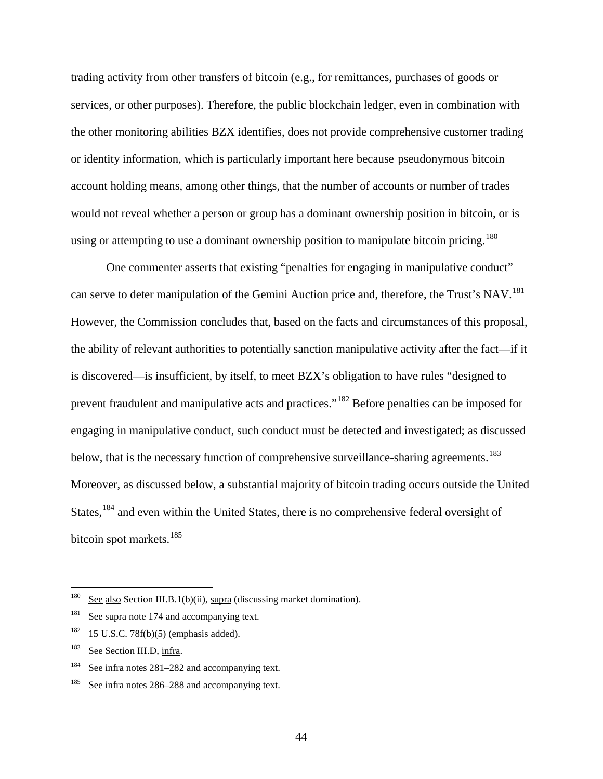trading activity from other transfers of bitcoin (e.g., for remittances, purchases of goods or services, or other purposes). Therefore, the public blockchain ledger, even in combination with the other monitoring abilities BZX identifies, does not provide comprehensive customer trading or identity information, which is particularly important here because pseudonymous bitcoin account holding means, among other things, that the number of accounts or number of trades would not reveal whether a person or group has a dominant ownership position in bitcoin, or is using or attempting to use a dominant ownership position to manipulate bitcoin pricing.<sup>[180](#page-43-0)</sup>

One commenter asserts that existing "penalties for engaging in manipulative conduct" can serve to deter manipulation of the Gemini Auction price and, therefore, the Trust's NAV.<sup>[181](#page-43-1)</sup> However, the Commission concludes that, based on the facts and circumstances of this proposal, the ability of relevant authorities to potentially sanction manipulative activity after the fact—if it is discovered—is insufficient, by itself, to meet BZX's obligation to have rules "designed to prevent fraudulent and manipulative acts and practices."[182](#page-43-2) Before penalties can be imposed for engaging in manipulative conduct, such conduct must be detected and investigated; as discussed below, that is the necessary function of comprehensive surveillance-sharing agreements.<sup>[183](#page-43-3)</sup> Moreover, as discussed below, a substantial majority of bitcoin trading occurs outside the United States,<sup>[184](#page-43-4)</sup> and even within the United States, there is no comprehensive federal oversight of bitcoin spot markets.<sup>[185](#page-43-5)</sup>

<span id="page-43-0"></span> $^{180}$  See also Section [III.B.1\(b\)\(ii\),](#page-25-0) supra (discussing market domination).

<span id="page-43-1"></span><sup>&</sup>lt;sup>181</sup> See supra note [174](#page-41-5) and accompanying text.

<span id="page-43-2"></span> $182$  15 U.S.C. 78f(b)(5) (emphasis added).

<span id="page-43-3"></span><sup>&</sup>lt;sup>183</sup> See Section [III.D,](#page-44-0) infra.

<span id="page-43-4"></span><sup>184</sup> See infra notes [281–](#page-71-0)[282](#page-71-1) and accompanying text.

<span id="page-43-5"></span><sup>&</sup>lt;sup>185</sup> See infra notes [286–](#page-71-2)[288](#page-72-0) and accompanying text.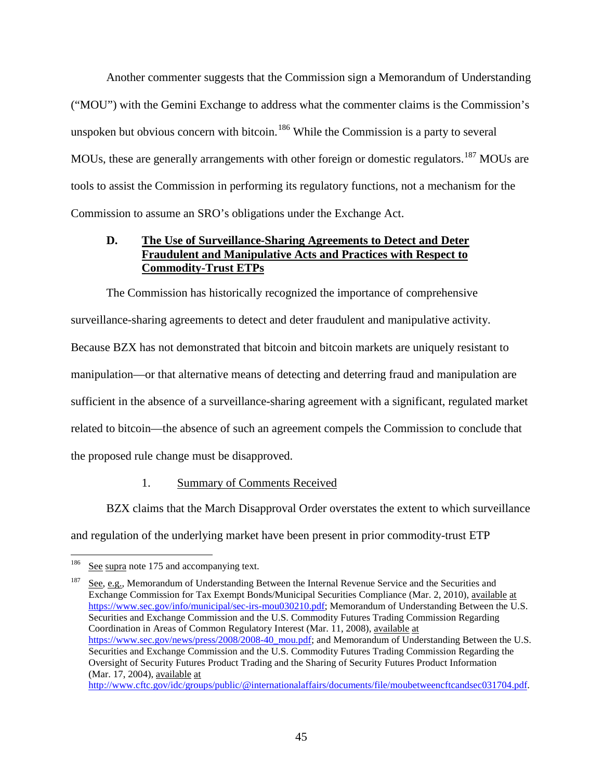Another commenter suggests that the Commission sign a Memorandum of Understanding ("MOU") with the Gemini Exchange to address what the commenter claims is the Commission's unspoken but obvious concern with bitcoin.<sup>[186](#page-44-1)</sup> While the Commission is a party to several MOUs, these are generally arrangements with other foreign or domestic regulators.<sup>[187](#page-44-2)</sup> MOUs are tools to assist the Commission in performing its regulatory functions, not a mechanism for the Commission to assume an SRO's obligations under the Exchange Act.

# <span id="page-44-0"></span>**D. The Use of Surveillance-Sharing Agreements to Detect and Deter Fraudulent and Manipulative Acts and Practices with Respect to Commodity-Trust ETPs**

The Commission has historically recognized the importance of comprehensive surveillance-sharing agreements to detect and deter fraudulent and manipulative activity. Because BZX has not demonstrated that bitcoin and bitcoin markets are uniquely resistant to manipulation—or that alternative means of detecting and deterring fraud and manipulation are sufficient in the absence of a surveillance-sharing agreement with a significant, regulated market related to bitcoin—the absence of such an agreement compels the Commission to conclude that the proposed rule change must be disapproved.

# 1. Summary of Comments Received

BZX claims that the March Disapproval Order overstates the extent to which surveillance and regulation of the underlying market have been present in prior commodity-trust ETP

<span id="page-44-1"></span><sup>&</sup>lt;sup>186</sup> See supra note [175](#page-42-5) and accompanying text.

<span id="page-44-2"></span><sup>&</sup>lt;sup>187</sup> See, e.g., Memorandum of Understanding Between the Internal Revenue Service and the Securities and Exchange Commission for Tax Exempt Bonds/Municipal Securities Compliance (Mar. 2, 2010), available at [https://www.sec.gov/info/municipal/sec-irs-mou030210.pdf;](https://www.sec.gov/info/municipal/sec-irs-mou030210.pdf) Memorandum of Understanding Between the U.S. Securities and Exchange Commission and the U.S. Commodity Futures Trading Commission Regarding Coordination in Areas of Common Regulatory Interest (Mar. 11, 2008), available at [https://www.sec.gov/news/press/2008/2008-40\\_mou.pdf;](https://www.sec.gov/news/press/2008/2008-40_mou.pdf) and Memorandum of Understanding Between the U.S. Securities and Exchange Commission and the U.S. Commodity Futures Trading Commission Regarding the Oversight of Security Futures Product Trading and the Sharing of Security Futures Product Information (Mar. 17, 2004), available at [http://www.cftc.gov/idc/groups/public/@internationalaffairs/documents/file/moubetweencftcandsec031704.pdf.](http://www.cftc.gov/idc/groups/public/@internationalaffairs/documents/file/moubetweencftcandsec031704.pdf)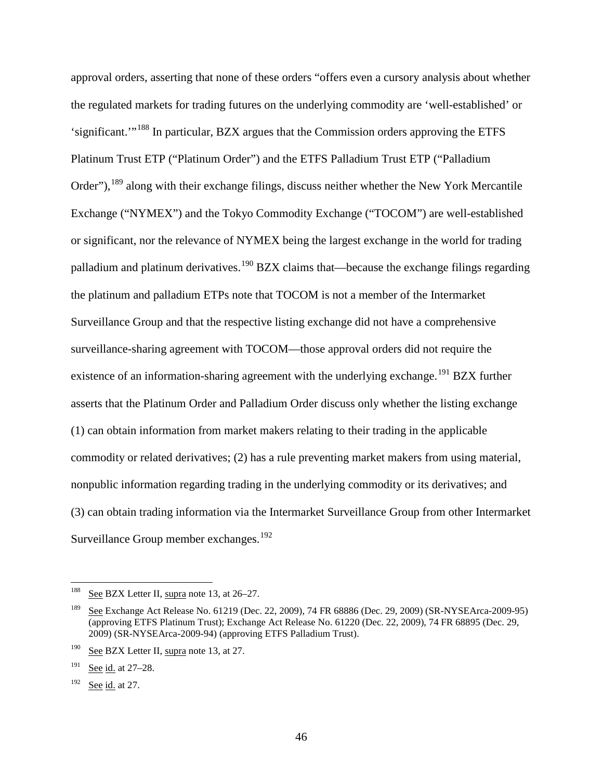<span id="page-45-5"></span>approval orders, asserting that none of these orders "offers even a cursory analysis about whether the regulated markets for trading futures on the underlying commodity are 'well-established' or 'significant.'"[188](#page-45-0) In particular, BZX argues that the Commission orders approving the ETFS Platinum Trust ETP ("Platinum Order") and the ETFS Palladium Trust ETP ("Palladium Order"), <sup>[189](#page-45-1)</sup> along with their exchange filings, discuss neither whether the New York Mercantile Exchange ("NYMEX") and the Tokyo Commodity Exchange ("TOCOM") are well-established or significant, nor the relevance of NYMEX being the largest exchange in the world for trading palladium and platinum derivatives.<sup>[190](#page-45-2)</sup> BZX claims that—because the exchange filings regarding the platinum and palladium ETPs note that TOCOM is not a member of the Intermarket Surveillance Group and that the respective listing exchange did not have a comprehensive surveillance-sharing agreement with TOCOM—those approval orders did not require the existence of an information-sharing agreement with the underlying exchange.<sup>[191](#page-45-3)</sup> BZX further asserts that the Platinum Order and Palladium Order discuss only whether the listing exchange (1) can obtain information from market makers relating to their trading in the applicable commodity or related derivatives; (2) has a rule preventing market makers from using material, nonpublic information regarding trading in the underlying commodity or its derivatives; and (3) can obtain trading information via the Intermarket Surveillance Group from other Intermarket Surveillance Group member exchanges.<sup>[192](#page-45-4)</sup>

<span id="page-45-0"></span><sup>&</sup>lt;sup>188</sup> See BZX Letter II, supra note [13,](#page-2-0) at 26–27.

<span id="page-45-1"></span><sup>189</sup> See Exchange Act Release No. 61219 (Dec. 22, 2009), 74 FR 68886 (Dec. 29, 2009) (SR-NYSEArca-2009-95) (approving ETFS Platinum Trust); Exchange Act Release No. 61220 (Dec. 22, 2009), 74 FR 68895 (Dec. 29, 2009) (SR-NYSEArca-2009-94) (approving ETFS Palladium Trust).

<span id="page-45-2"></span><sup>&</sup>lt;sup>190</sup> See BZX Letter II, supra note [13,](#page-2-0) at 27.

<span id="page-45-3"></span><sup>191</sup> See id. at 27–28.

<span id="page-45-4"></span> $192$  See id. at 27.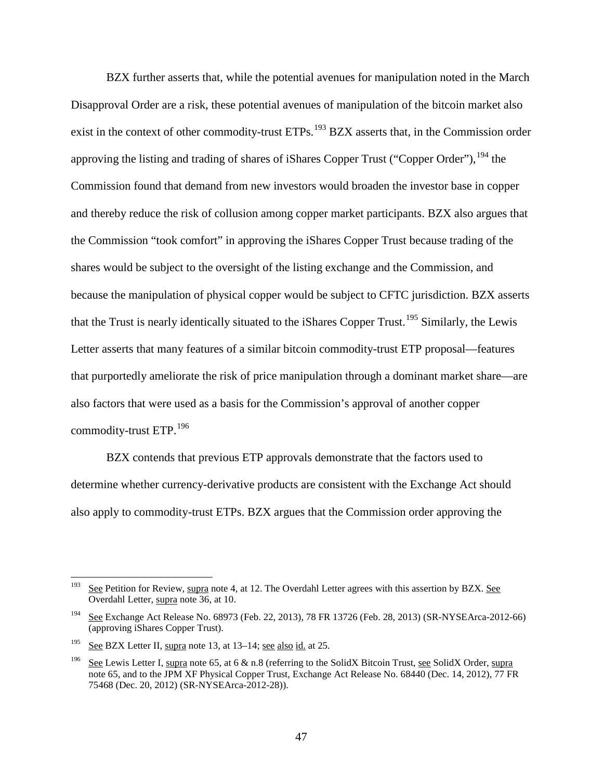<span id="page-46-4"></span>BZX further asserts that, while the potential avenues for manipulation noted in the March Disapproval Order are a risk, these potential avenues of manipulation of the bitcoin market also exist in the context of other commodity-trust ETPs.<sup>[193](#page-46-0)</sup> BZX asserts that, in the Commission order approving the listing and trading of shares of iShares Copper Trust ("Copper Order"),  $^{194}$  $^{194}$  $^{194}$  the Commission found that demand from new investors would broaden the investor base in copper and thereby reduce the risk of collusion among copper market participants. BZX also argues that the Commission "took comfort" in approving the iShares Copper Trust because trading of the shares would be subject to the oversight of the listing exchange and the Commission, and because the manipulation of physical copper would be subject to CFTC jurisdiction. BZX asserts that the Trust is nearly identically situated to the iShares Copper Trust.<sup>[195](#page-46-2)</sup> Similarly, the Lewis Letter asserts that many features of a similar bitcoin commodity-trust ETP proposal—features that purportedly ameliorate the risk of price manipulation through a dominant market share—are also factors that were used as a basis for the Commission's approval of another copper commodity-trust ETP.[196](#page-46-3)

<span id="page-46-6"></span><span id="page-46-5"></span>BZX contends that previous ETP approvals demonstrate that the factors used to determine whether currency-derivative products are consistent with the Exchange Act should also apply to commodity-trust ETPs. BZX argues that the Commission order approving the

<span id="page-46-0"></span><sup>&</sup>lt;sup>193</sup> See Petition for Review, supra note [4,](#page-0-1) at 12. The Overdahl Letter agrees with this assertion by BZX. See Overdahl Letter, supra note [36,](#page-8-0) at 10.

<span id="page-46-1"></span><sup>&</sup>lt;sup>194</sup> See Exchange Act Release No. 68973 (Feb. 22, 2013), 78 FR 13726 (Feb. 28, 2013) (SR-NYSEArca-2012-66) (approving iShares Copper Trust).

<span id="page-46-2"></span><sup>195</sup> See BZX Letter II, supra note [13,](#page-2-0) at 13–14; see also id. at 25.

<span id="page-46-3"></span><sup>&</sup>lt;sup>196</sup> See Lewis Letter I, supra note [65,](#page-14-0) at 6 & n.8 (referring to the SolidX Bitcoin Trust, see SolidX Order, supra note [65,](#page-14-0) and to the JPM XF Physical Copper Trust, Exchange Act Release No. 68440 (Dec. 14, 2012), 77 FR 75468 (Dec. 20, 2012) (SR-NYSEArca-2012-28)).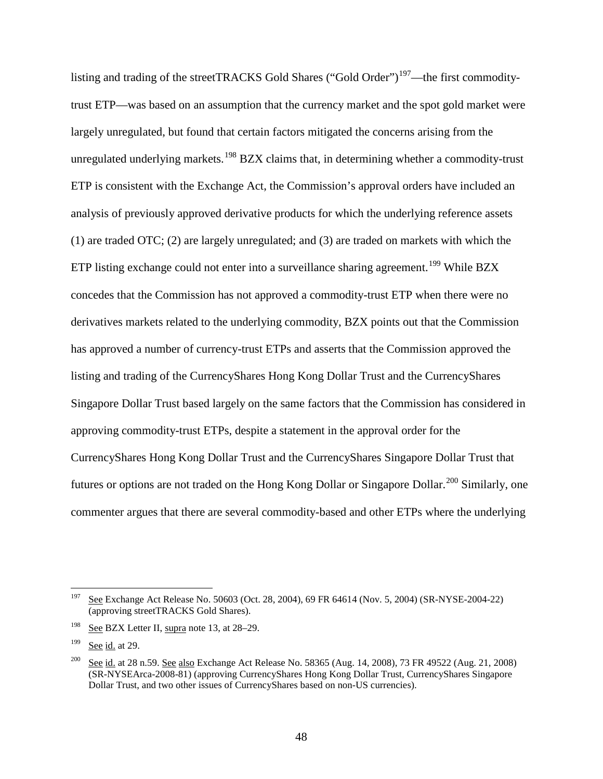<span id="page-47-5"></span><span id="page-47-4"></span>listing and trading of the streetTRACKS Gold Shares ("Gold Order")<sup>197</sup>—the first commoditytrust ETP—was based on an assumption that the currency market and the spot gold market were largely unregulated, but found that certain factors mitigated the concerns arising from the unregulated underlying markets.<sup>[198](#page-47-1)</sup> BZX claims that, in determining whether a commodity-trust ETP is consistent with the Exchange Act, the Commission's approval orders have included an analysis of previously approved derivative products for which the underlying reference assets (1) are traded OTC; (2) are largely unregulated; and (3) are traded on markets with which the ETP listing exchange could not enter into a surveillance sharing agreement.<sup>[199](#page-47-2)</sup> While BZX concedes that the Commission has not approved a commodity-trust ETP when there were no derivatives markets related to the underlying commodity, BZX points out that the Commission has approved a number of currency-trust ETPs and asserts that the Commission approved the listing and trading of the CurrencyShares Hong Kong Dollar Trust and the CurrencyShares Singapore Dollar Trust based largely on the same factors that the Commission has considered in approving commodity-trust ETPs, despite a statement in the approval order for the CurrencyShares Hong Kong Dollar Trust and the CurrencyShares Singapore Dollar Trust that futures or options are not traded on the Hong Kong Dollar or Singapore Dollar.<sup>[200](#page-47-3)</sup> Similarly, one commenter argues that there are several commodity-based and other ETPs where the underlying

<span id="page-47-6"></span><span id="page-47-0"></span><sup>&</sup>lt;sup>197</sup> See Exchange Act Release No. 50603 (Oct. 28, 2004), 69 FR 64614 (Nov. 5, 2004) (SR-NYSE-2004-22) (approving streetTRACKS Gold Shares).

<span id="page-47-1"></span><sup>198</sup> See BZX Letter II, supra note [13,](#page-2-0) at 28–29.

<span id="page-47-2"></span> $199$  See id. at 29.

<span id="page-47-3"></span> $\frac{200}{200}$  See id. at 28 n.59. See also Exchange Act Release No. 58365 (Aug. 14, 2008), 73 FR 49522 (Aug. 21, 2008) (SR-NYSEArca-2008-81) (approving CurrencyShares Hong Kong Dollar Trust, CurrencyShares Singapore Dollar Trust, and two other issues of CurrencyShares based on non-US currencies).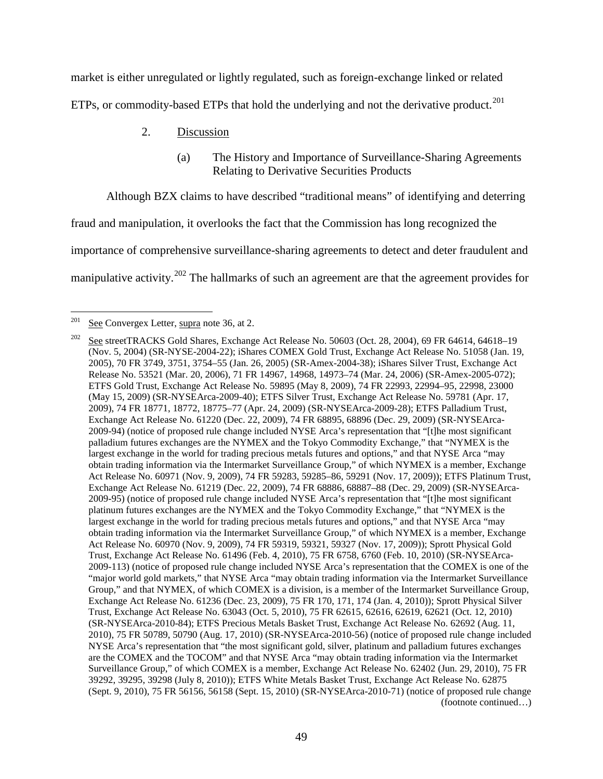market is either unregulated or lightly regulated, such as foreign-exchange linked or related ETPs, or commodity-based ETPs that hold the underlying and not the derivative product.<sup>[201](#page-48-0)</sup>

- <span id="page-48-3"></span>2. Discussion
	- (a) The History and Importance of Surveillance-Sharing Agreements Relating to Derivative Securities Products

<span id="page-48-4"></span>Although BZX claims to have described "traditional means" of identifying and deterring

fraud and manipulation, it overlooks the fact that the Commission has long recognized the

importance of comprehensive surveillance-sharing agreements to detect and deter fraudulent and

<span id="page-48-2"></span>manipulative activity.<sup>[202](#page-48-1)</sup> The hallmarks of such an agreement are that the agreement provides for

<span id="page-48-1"></span><span id="page-48-0"></span> $201$  See Convergex Letter, supra note [36,](#page-8-0) at 2.

<sup>202</sup> See streetTRACKS Gold Shares, Exchange Act Release No. 50603 (Oct. 28, 2004), 69 FR 64614, 64618–19 (Nov. 5, 2004) (SR-NYSE-2004-22); iShares COMEX Gold Trust, Exchange Act Release No. 51058 (Jan. 19, 2005), 70 FR 3749, 3751, 3754–55 (Jan. 26, 2005) (SR-Amex-2004-38); iShares Silver Trust, Exchange Act Release No. 53521 (Mar. 20, 2006), 71 FR 14967, 14968, 14973–74 (Mar. 24, 2006) (SR-Amex-2005-072); ETFS Gold Trust, Exchange Act Release No. 59895 (May 8, 2009), 74 FR 22993, 22994–95, 22998, 23000 (May 15, 2009) (SR-NYSEArca-2009-40); ETFS Silver Trust, Exchange Act Release No. 59781 (Apr. 17, 2009), 74 FR 18771, 18772, 18775–77 (Apr. 24, 2009) (SR-NYSEArca-2009-28); ETFS Palladium Trust, Exchange Act Release No. 61220 (Dec. 22, 2009), 74 FR 68895, 68896 (Dec. 29, 2009) (SR-NYSEArca-2009-94) (notice of proposed rule change included NYSE Arca's representation that "[t]he most significant palladium futures exchanges are the NYMEX and the Tokyo Commodity Exchange," that "NYMEX is the largest exchange in the world for trading precious metals futures and options," and that NYSE Arca "may obtain trading information via the Intermarket Surveillance Group," of which NYMEX is a member, Exchange Act Release No. 60971 (Nov. 9, 2009), 74 FR 59283, 59285–86, 59291 (Nov. 17, 2009)); ETFS Platinum Trust, Exchange Act Release No. 61219 (Dec. 22, 2009), 74 FR 68886, 68887–88 (Dec. 29, 2009) (SR-NYSEArca-2009-95) (notice of proposed rule change included NYSE Arca's representation that "[t]he most significant platinum futures exchanges are the NYMEX and the Tokyo Commodity Exchange," that "NYMEX is the largest exchange in the world for trading precious metals futures and options," and that NYSE Arca "may obtain trading information via the Intermarket Surveillance Group," of which NYMEX is a member, Exchange Act Release No. 60970 (Nov. 9, 2009), 74 FR 59319, 59321, 59327 (Nov. 17, 2009)); Sprott Physical Gold Trust, Exchange Act Release No. 61496 (Feb. 4, 2010), 75 FR 6758, 6760 (Feb. 10, 2010) (SR-NYSEArca-2009-113) (notice of proposed rule change included NYSE Arca's representation that the COMEX is one of the "major world gold markets," that NYSE Arca "may obtain trading information via the Intermarket Surveillance Group," and that NYMEX, of which COMEX is a division, is a member of the Intermarket Surveillance Group, Exchange Act Release No. 61236 (Dec. 23, 2009), 75 FR 170, 171, 174 (Jan. 4, 2010)); Sprott Physical Silver Trust, Exchange Act Release No. 63043 (Oct. 5, 2010), 75 FR 62615, 62616, 62619, 62621 (Oct. 12, 2010) (SR-NYSEArca-2010-84); ETFS Precious Metals Basket Trust, Exchange Act Release No. 62692 (Aug. 11, 2010), 75 FR 50789, 50790 (Aug. 17, 2010) (SR-NYSEArca-2010-56) (notice of proposed rule change included NYSE Arca's representation that "the most significant gold, silver, platinum and palladium futures exchanges are the COMEX and the TOCOM" and that NYSE Arca "may obtain trading information via the Intermarket Surveillance Group," of which COMEX is a member, Exchange Act Release No. 62402 (Jun. 29, 2010), 75 FR 39292, 39295, 39298 (July 8, 2010)); ETFS White Metals Basket Trust, Exchange Act Release No. 62875 (Sept. 9, 2010), 75 FR 56156, 56158 (Sept. 15, 2010) (SR-NYSEArca-2010-71) (notice of proposed rule change (footnote continued…)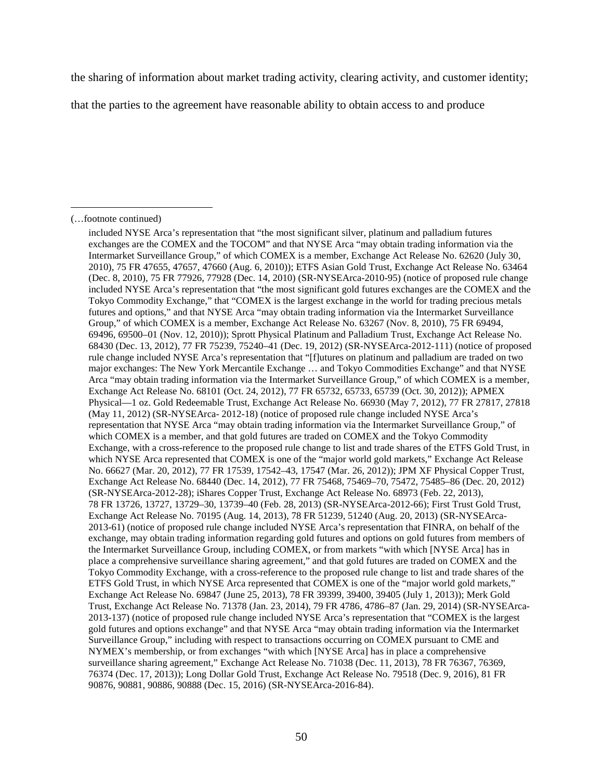the sharing of information about market trading activity, clearing activity, and customer identity;

that the parties to the agreement have reasonable ability to obtain access to and produce

(…footnote continued)

included NYSE Arca's representation that "the most significant silver, platinum and palladium futures exchanges are the COMEX and the TOCOM" and that NYSE Arca "may obtain trading information via the Intermarket Surveillance Group," of which COMEX is a member, Exchange Act Release No. 62620 (July 30, 2010), 75 FR 47655, 47657, 47660 (Aug. 6, 2010)); ETFS Asian Gold Trust, Exchange Act Release No. 63464 (Dec. 8, 2010), 75 FR 77926, 77928 (Dec. 14, 2010) (SR-NYSEArca-2010-95) (notice of proposed rule change included NYSE Arca's representation that "the most significant gold futures exchanges are the COMEX and the Tokyo Commodity Exchange," that "COMEX is the largest exchange in the world for trading precious metals futures and options," and that NYSE Arca "may obtain trading information via the Intermarket Surveillance Group," of which COMEX is a member, Exchange Act Release No. 63267 (Nov. 8, 2010), 75 FR 69494, 69496, 69500–01 (Nov. 12, 2010)); Sprott Physical Platinum and Palladium Trust, Exchange Act Release No. 68430 (Dec. 13, 2012), 77 FR 75239, 75240–41 (Dec. 19, 2012) (SR-NYSEArca-2012-111) (notice of proposed rule change included NYSE Arca's representation that "[f]utures on platinum and palladium are traded on two major exchanges: The New York Mercantile Exchange … and Tokyo Commodities Exchange" and that NYSE Arca "may obtain trading information via the Intermarket Surveillance Group," of which COMEX is a member, Exchange Act Release No. 68101 (Oct. 24, 2012), 77 FR 65732, 65733, 65739 (Oct. 30, 2012)); APMEX Physical—1 oz. Gold Redeemable Trust, Exchange Act Release No. 66930 (May 7, 2012), 77 FR 27817, 27818 (May 11, 2012) (SR-NYSEArca- 2012-18) (notice of proposed rule change included NYSE Arca's representation that NYSE Arca "may obtain trading information via the Intermarket Surveillance Group," of which COMEX is a member, and that gold futures are traded on COMEX and the Tokyo Commodity Exchange, with a cross-reference to the proposed rule change to list and trade shares of the ETFS Gold Trust, in which NYSE Arca represented that COMEX is one of the "major world gold markets," Exchange Act Release No. 66627 (Mar. 20, 2012), 77 FR 17539, 17542–43, 17547 (Mar. 26, 2012)); JPM XF Physical Copper Trust, Exchange Act Release No. 68440 (Dec. 14, 2012), 77 FR 75468, 75469–70, 75472, 75485–86 (Dec. 20, 2012) (SR-NYSEArca-2012-28); iShares Copper Trust, Exchange Act Release No. 68973 (Feb. 22, 2013), 78 FR 13726, 13727, 13729–30, 13739–40 (Feb. 28, 2013) (SR-NYSEArca-2012-66); First Trust Gold Trust, Exchange Act Release No. 70195 (Aug. 14, 2013), 78 FR 51239, 51240 (Aug. 20, 2013) (SR-NYSEArca-2013-61) (notice of proposed rule change included NYSE Arca's representation that FINRA, on behalf of the exchange, may obtain trading information regarding gold futures and options on gold futures from members of the Intermarket Surveillance Group, including COMEX, or from markets "with which [NYSE Arca] has in place a comprehensive surveillance sharing agreement," and that gold futures are traded on COMEX and the Tokyo Commodity Exchange, with a cross-reference to the proposed rule change to list and trade shares of the ETFS Gold Trust, in which NYSE Arca represented that COMEX is one of the "major world gold markets," Exchange Act Release No. 69847 (June 25, 2013), 78 FR 39399, 39400, 39405 (July 1, 2013)); Merk Gold Trust, Exchange Act Release No. 71378 (Jan. 23, 2014), 79 FR 4786, 4786–87 (Jan. 29, 2014) (SR-NYSEArca-2013-137) (notice of proposed rule change included NYSE Arca's representation that "COMEX is the largest gold futures and options exchange" and that NYSE Arca "may obtain trading information via the Intermarket Surveillance Group," including with respect to transactions occurring on COMEX pursuant to CME and NYMEX's membership, or from exchanges "with which [NYSE Arca] has in place a comprehensive surveillance sharing agreement," Exchange Act Release No. 71038 (Dec. 11, 2013), 78 FR 76367, 76369, 76374 (Dec. 17, 2013)); Long Dollar Gold Trust, Exchange Act Release No. 79518 (Dec. 9, 2016), 81 FR 90876, 90881, 90886, 90888 (Dec. 15, 2016) (SR-NYSEArca-2016-84).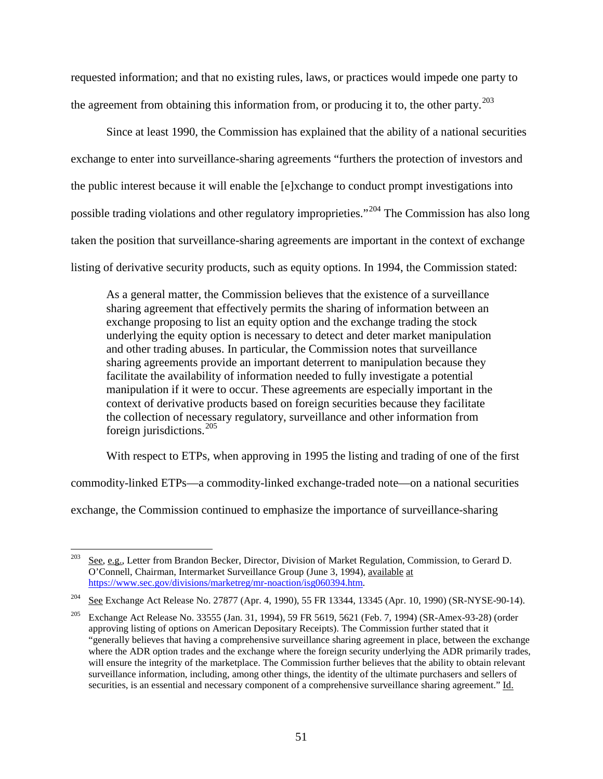requested information; and that no existing rules, laws, or practices would impede one party to the agreement from obtaining this information from, or producing it to, the other party.<sup>[203](#page-50-0)</sup>

Since at least 1990, the Commission has explained that the ability of a national securities exchange to enter into surveillance-sharing agreements "furthers the protection of investors and the public interest because it will enable the [e]xchange to conduct prompt investigations into possible trading violations and other regulatory improprieties."[204](#page-50-1) The Commission has also long taken the position that surveillance-sharing agreements are important in the context of exchange listing of derivative security products, such as equity options. In 1994, the Commission stated:

As a general matter, the Commission believes that the existence of a surveillance sharing agreement that effectively permits the sharing of information between an exchange proposing to list an equity option and the exchange trading the stock underlying the equity option is necessary to detect and deter market manipulation and other trading abuses. In particular, the Commission notes that surveillance sharing agreements provide an important deterrent to manipulation because they facilitate the availability of information needed to fully investigate a potential manipulation if it were to occur. These agreements are especially important in the context of derivative products based on foreign securities because they facilitate the collection of necessary regulatory, surveillance and other information from foreign jurisdictions.<sup>[205](#page-50-2)</sup>

With respect to ETPs, when approving in 1995 the listing and trading of one of the first

commodity-linked ETPs—a commodity-linked exchange-traded note—on a national securities

exchange, the Commission continued to emphasize the importance of surveillance-sharing

<span id="page-50-0"></span><sup>&</sup>lt;sup>203</sup> See, e.g., Letter from Brandon Becker, Director, Division of Market Regulation, Commission, to Gerard D. O'Connell, Chairman, Intermarket Surveillance Group (June 3, 1994), available at [https://www.sec.gov/divisions/marketreg/mr-noaction/isg060394.htm.](https://www.sec.gov/divisions/marketreg/mr-noaction/isg060394.htm)

<span id="page-50-1"></span><sup>&</sup>lt;sup>204</sup> See Exchange Act Release No. 27877 (Apr. 4, 1990), 55 FR 13344, 13345 (Apr. 10, 1990) (SR-NYSE-90-14).

<span id="page-50-2"></span><sup>&</sup>lt;sup>205</sup> Exchange Act Release No. 33555 (Jan. 31, 1994), 59 FR 5619, 5621 (Feb. 7, 1994) (SR-Amex-93-28) (order approving listing of options on American Depositary Receipts). The Commission further stated that it "generally believes that having a comprehensive surveillance sharing agreement in place, between the exchange where the ADR option trades and the exchange where the foreign security underlying the ADR primarily trades, will ensure the integrity of the marketplace. The Commission further believes that the ability to obtain relevant surveillance information, including, among other things, the identity of the ultimate purchasers and sellers of securities, is an essential and necessary component of a comprehensive surveillance sharing agreement." Id.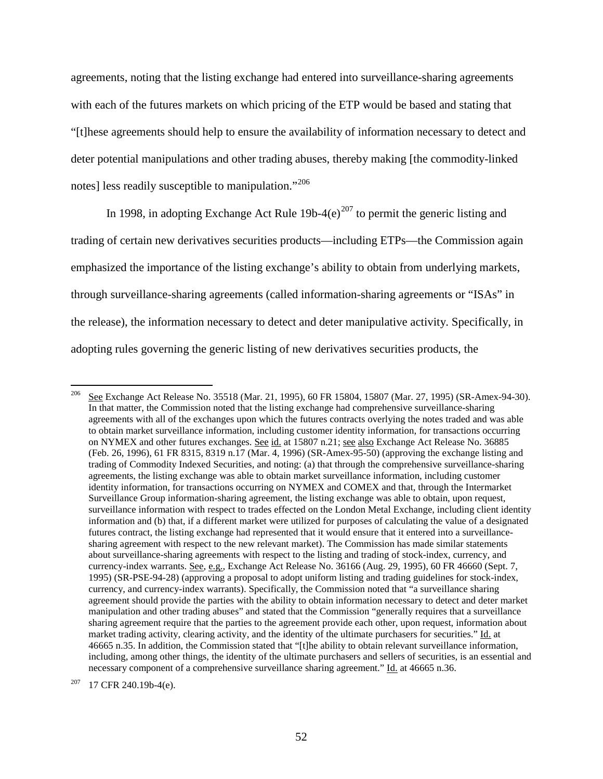agreements, noting that the listing exchange had entered into surveillance-sharing agreements with each of the futures markets on which pricing of the ETP would be based and stating that "[t]hese agreements should help to ensure the availability of information necessary to detect and deter potential manipulations and other trading abuses, thereby making [the commodity-linked notes] less readily susceptible to manipulation."<sup>[206](#page-51-0)</sup>

In 1998, in adopting Exchange Act Rule 19b-4(e)<sup>[207](#page-51-1)</sup> to permit the generic listing and trading of certain new derivatives securities products—including ETPs—the Commission again emphasized the importance of the listing exchange's ability to obtain from underlying markets, through surveillance-sharing agreements (called information-sharing agreements or "ISAs" in the release), the information necessary to detect and deter manipulative activity. Specifically, in adopting rules governing the generic listing of new derivatives securities products, the

<span id="page-51-0"></span><sup>&</sup>lt;sup>206</sup> See Exchange Act Release No. 35518 (Mar. 21, 1995), 60 FR 15804, 15807 (Mar. 27, 1995) (SR-Amex-94-30). In that matter, the Commission noted that the listing exchange had comprehensive surveillance-sharing agreements with all of the exchanges upon which the futures contracts overlying the notes traded and was able to obtain market surveillance information, including customer identity information, for transactions occurring on NYMEX and other futures exchanges. See id. at 15807 n.21; see also Exchange Act Release No. 36885 (Feb. 26, 1996), 61 FR 8315, 8319 n.17 (Mar. 4, 1996) (SR-Amex-95-50) (approving the exchange listing and trading of Commodity Indexed Securities, and noting: (a) that through the comprehensive surveillance-sharing agreements, the listing exchange was able to obtain market surveillance information, including customer identity information, for transactions occurring on NYMEX and COMEX and that, through the Intermarket Surveillance Group information-sharing agreement, the listing exchange was able to obtain, upon request, surveillance information with respect to trades effected on the London Metal Exchange, including client identity information and (b) that, if a different market were utilized for purposes of calculating the value of a designated futures contract, the listing exchange had represented that it would ensure that it entered into a surveillancesharing agreement with respect to the new relevant market). The Commission has made similar statements about surveillance-sharing agreements with respect to the listing and trading of stock-index, currency, and currency-index warrants. See, e.g., Exchange Act Release No. 36166 (Aug. 29, 1995), 60 FR 46660 (Sept. 7, 1995) (SR-PSE-94-28) (approving a proposal to adopt uniform listing and trading guidelines for stock-index, currency, and currency-index warrants). Specifically, the Commission noted that "a surveillance sharing agreement should provide the parties with the ability to obtain information necessary to detect and deter market manipulation and other trading abuses" and stated that the Commission "generally requires that a surveillance sharing agreement require that the parties to the agreement provide each other, upon request, information about market trading activity, clearing activity, and the identity of the ultimate purchasers for securities." Id. at 46665 n.35. In addition, the Commission stated that "[t]he ability to obtain relevant surveillance information, including, among other things, the identity of the ultimate purchasers and sellers of securities, is an essential and necessary component of a comprehensive surveillance sharing agreement." Id. at 46665 n.36.

<span id="page-51-1"></span> $207$  17 CFR 240.19b-4(e).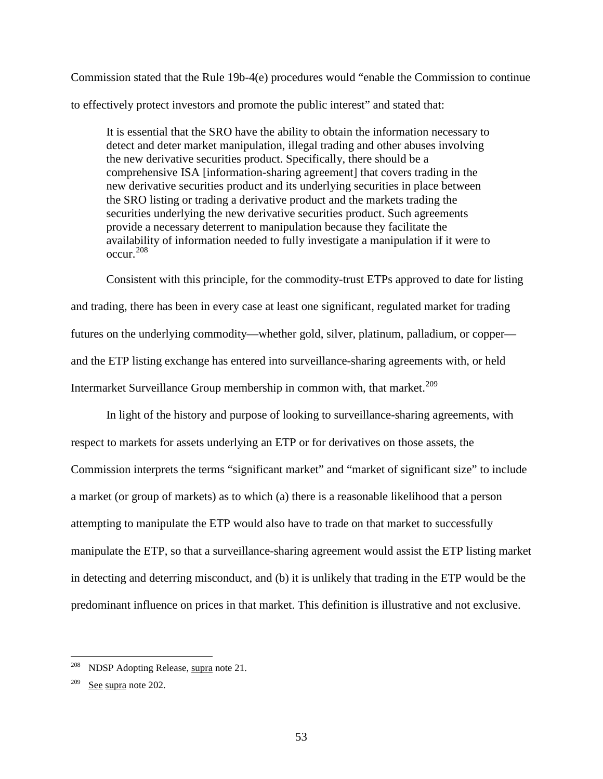Commission stated that the Rule 19b-4(e) procedures would "enable the Commission to continue to effectively protect investors and promote the public interest" and stated that:

It is essential that the SRO have the ability to obtain the information necessary to detect and deter market manipulation, illegal trading and other abuses involving the new derivative securities product. Specifically, there should be a comprehensive ISA [information-sharing agreement] that covers trading in the new derivative securities product and its underlying securities in place between the SRO listing or trading a derivative product and the markets trading the securities underlying the new derivative securities product. Such agreements provide a necessary deterrent to manipulation because they facilitate the availability of information needed to fully investigate a manipulation if it were to occur.[208](#page-52-0)

Consistent with this principle, for the commodity-trust ETPs approved to date for listing and trading, there has been in every case at least one significant, regulated market for trading futures on the underlying commodity—whether gold, silver, platinum, palladium, or copper and the ETP listing exchange has entered into surveillance-sharing agreements with, or held Intermarket Surveillance Group membership in common with, that market.<sup>[209](#page-52-1)</sup>

In light of the history and purpose of looking to surveillance-sharing agreements, with respect to markets for assets underlying an ETP or for derivatives on those assets, the Commission interprets the terms "significant market" and "market of significant size" to include a market (or group of markets) as to which (a) there is a reasonable likelihood that a person attempting to manipulate the ETP would also have to trade on that market to successfully manipulate the ETP, so that a surveillance-sharing agreement would assist the ETP listing market in detecting and deterring misconduct, and (b) it is unlikely that trading in the ETP would be the predominant influence on prices in that market. This definition is illustrative and not exclusive.

<span id="page-52-0"></span>NDSP Adopting Release, supra note [21.](#page-4-0)

<span id="page-52-1"></span> $209$  See supra note [202.](#page-48-2)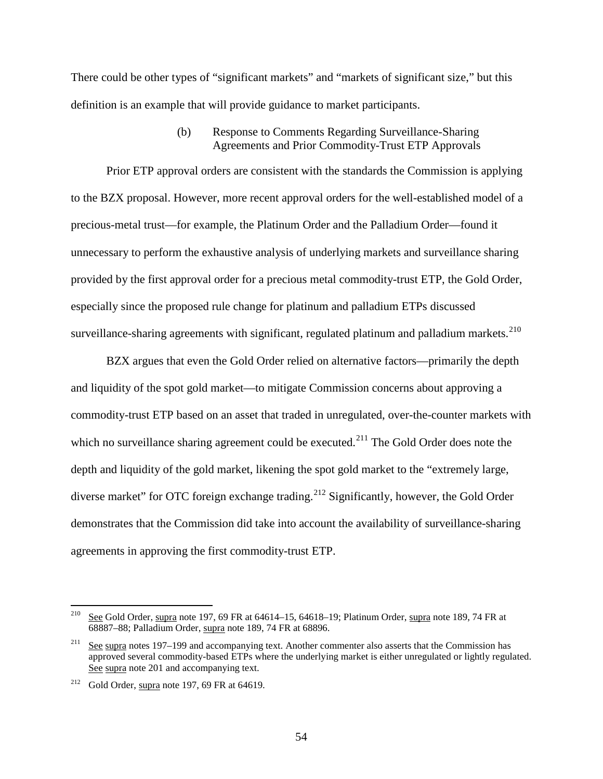There could be other types of "significant markets" and "markets of significant size," but this definition is an example that will provide guidance to market participants.

# (b) Response to Comments Regarding Surveillance-Sharing Agreements and Prior Commodity-Trust ETP Approvals

Prior ETP approval orders are consistent with the standards the Commission is applying to the BZX proposal. However, more recent approval orders for the well-established model of a precious-metal trust—for example, the Platinum Order and the Palladium Order—found it unnecessary to perform the exhaustive analysis of underlying markets and surveillance sharing provided by the first approval order for a precious metal commodity-trust ETP, the Gold Order, especially since the proposed rule change for platinum and palladium ETPs discussed surveillance-sharing agreements with significant, regulated platinum and palladium markets.<sup>[210](#page-53-0)</sup>

BZX argues that even the Gold Order relied on alternative factors—primarily the depth and liquidity of the spot gold market—to mitigate Commission concerns about approving a commodity-trust ETP based on an asset that traded in unregulated, over-the-counter markets with which no surveillance sharing agreement could be executed. $^{211}$  $^{211}$  $^{211}$  The Gold Order does note the depth and liquidity of the gold market, likening the spot gold market to the "extremely large, diverse market" for OTC foreign exchange trading.<sup>[212](#page-53-2)</sup> Significantly, however, the Gold Order demonstrates that the Commission did take into account the availability of surveillance-sharing agreements in approving the first commodity-trust ETP.

<span id="page-53-0"></span><sup>&</sup>lt;sup>210</sup> See Gold Order, supra not[e 197,](#page-47-4) 69 FR at 64614–15, 64618–19; Platinum Order, supra not[e 189,](#page-45-5) 74 FR at 68887–88; Palladium Order, supra not[e 189,](#page-45-5) 74 FR at 68896.

<span id="page-53-1"></span><sup>&</sup>lt;sup>211</sup> See supra note[s 197](#page-47-4)[–199](#page-47-5) and accompanying text. Another commenter also asserts that the Commission has approved several commodity-based ETPs where the underlying market is either unregulated or lightly regulated. See supra note [201](#page-48-3) and accompanying text.

<span id="page-53-2"></span><sup>&</sup>lt;sup>212</sup> Gold Order, supra not[e 197,](#page-47-4) 69 FR at 64619.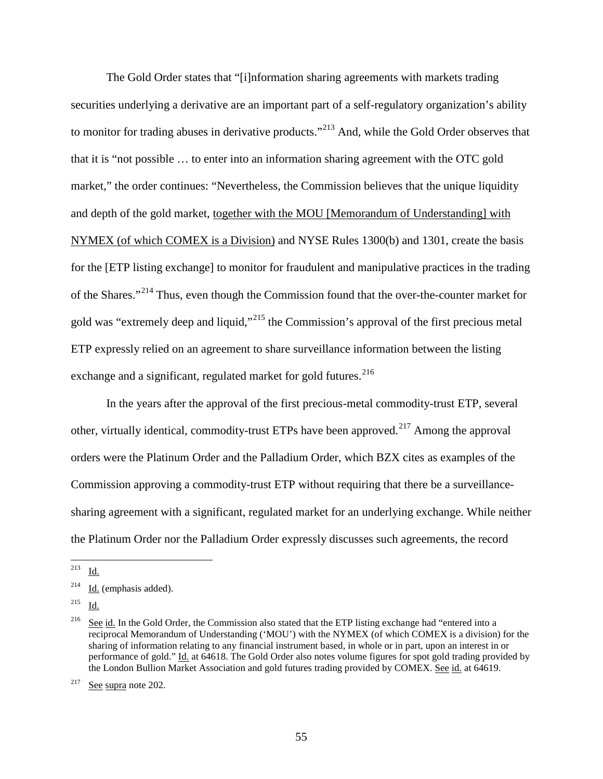The Gold Order states that "[i]nformation sharing agreements with markets trading securities underlying a derivative are an important part of a self-regulatory organization's ability to monitor for trading abuses in derivative products."<sup>[213](#page-54-0)</sup> And, while the Gold Order observes that that it is "not possible … to enter into an information sharing agreement with the OTC gold market," the order continues: "Nevertheless, the Commission believes that the unique liquidity and depth of the gold market, together with the MOU [Memorandum of Understanding] with NYMEX (of which COMEX is a Division) and NYSE Rules 1300(b) and 1301, create the basis for the [ETP listing exchange] to monitor for fraudulent and manipulative practices in the trading of the Shares."[214](#page-54-1) Thus, even though the Commission found that the over-the-counter market for gold was "extremely deep and liquid,"[215](#page-54-2) the Commission's approval of the first precious metal ETP expressly relied on an agreement to share surveillance information between the listing exchange and a significant, regulated market for gold futures.<sup>[216](#page-54-3)</sup>

In the years after the approval of the first precious-metal commodity-trust ETP, several other, virtually identical, commodity-trust ETPs have been approved.<sup>[217](#page-54-4)</sup> Among the approval orders were the Platinum Order and the Palladium Order, which BZX cites as examples of the Commission approving a commodity-trust ETP without requiring that there be a surveillancesharing agreement with a significant, regulated market for an underlying exchange. While neither the Platinum Order nor the Palladium Order expressly discusses such agreements, the record

<span id="page-54-0"></span> <sup>213</sup> Id.

<span id="page-54-1"></span> $214$  Id. (emphasis added).

<span id="page-54-2"></span><sup>215</sup> Id.

<span id="page-54-3"></span><sup>&</sup>lt;sup>216</sup> See id. In the Gold Order, the Commission also stated that the ETP listing exchange had "entered into a reciprocal Memorandum of Understanding ('MOU') with the NYMEX (of which COMEX is a division) for the sharing of information relating to any financial instrument based, in whole or in part, upon an interest in or performance of gold." Id. at 64618. The Gold Order also notes volume figures for spot gold trading provided by the London Bullion Market Association and gold futures trading provided by COMEX. See id. at 64619.

<span id="page-54-4"></span> $217$  See supra note [202.](#page-48-2)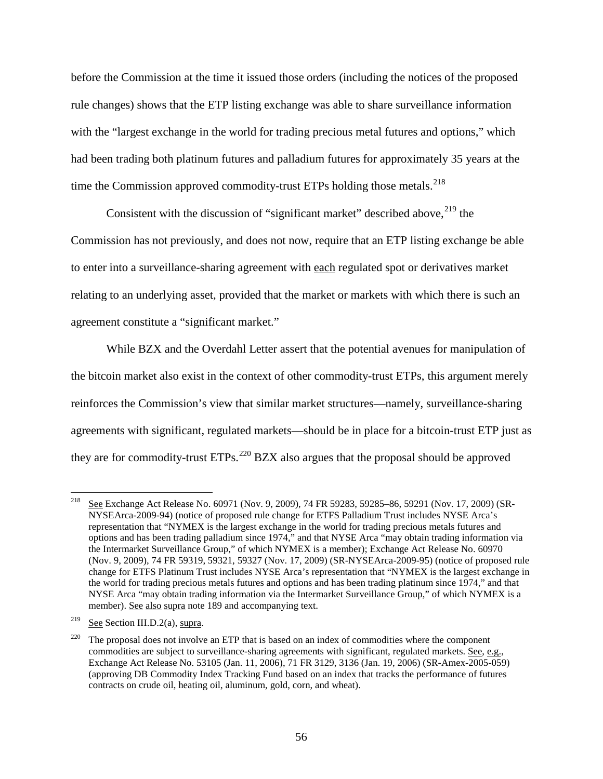before the Commission at the time it issued those orders (including the notices of the proposed rule changes) shows that the ETP listing exchange was able to share surveillance information with the "largest exchange in the world for trading precious metal futures and options," which had been trading both platinum futures and palladium futures for approximately 35 years at the time the Commission approved commodity-trust ETPs holding those metals. $^{218}$  $^{218}$  $^{218}$ 

Consistent with the discussion of "significant market" described above,  $219$  the Commission has not previously, and does not now, require that an ETP listing exchange be able to enter into a surveillance-sharing agreement with each regulated spot or derivatives market relating to an underlying asset, provided that the market or markets with which there is such an agreement constitute a "significant market."

While BZX and the Overdahl Letter assert that the potential avenues for manipulation of the bitcoin market also exist in the context of other commodity-trust ETPs, this argument merely reinforces the Commission's view that similar market structures—namely, surveillance-sharing agreements with significant, regulated markets—should be in place for a bitcoin-trust ETP just as they are for commodity-trust ETPs.<sup>[220](#page-55-2)</sup> BZX also argues that the proposal should be approved

<span id="page-55-0"></span> <sup>218</sup> See Exchange Act Release No. 60971 (Nov. 9, 2009), 74 FR 59283, 59285–86, 59291 (Nov. 17, 2009) (SR-NYSEArca-2009-94) (notice of proposed rule change for ETFS Palladium Trust includes NYSE Arca's representation that "NYMEX is the largest exchange in the world for trading precious metals futures and options and has been trading palladium since 1974," and that NYSE Arca "may obtain trading information via the Intermarket Surveillance Group," of which NYMEX is a member); Exchange Act Release No. 60970 (Nov. 9, 2009), 74 FR 59319, 59321, 59327 (Nov. 17, 2009) (SR-NYSEArca-2009-95) (notice of proposed rule change for ETFS Platinum Trust includes NYSE Arca's representation that "NYMEX is the largest exchange in the world for trading precious metals futures and options and has been trading platinum since 1974," and that NYSE Arca "may obtain trading information via the Intermarket Surveillance Group," of which NYMEX is a member). See also supra note [189](#page-45-5) and accompanying text.

<span id="page-55-1"></span><sup>&</sup>lt;sup>219</sup> See Section [III.D.2\(a\),](#page-48-4) supra.

<span id="page-55-2"></span> $220$  The proposal does not involve an ETP that is based on an index of commodities where the component commodities are subject to surveillance-sharing agreements with significant, regulated markets. See, e.g., Exchange Act Release No. 53105 (Jan. 11, 2006), 71 FR 3129, 3136 (Jan. 19, 2006) (SR-Amex-2005-059) (approving DB Commodity Index Tracking Fund based on an index that tracks the performance of futures contracts on crude oil, heating oil, aluminum, gold, corn, and wheat).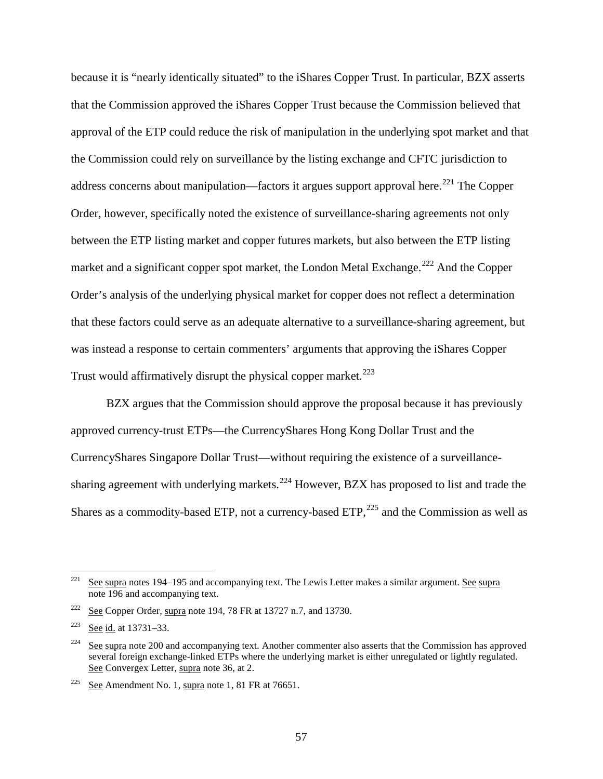because it is "nearly identically situated" to the iShares Copper Trust. In particular, BZX asserts that the Commission approved the iShares Copper Trust because the Commission believed that approval of the ETP could reduce the risk of manipulation in the underlying spot market and that the Commission could rely on surveillance by the listing exchange and CFTC jurisdiction to address concerns about manipulation—factors it argues support approval here.<sup>[221](#page-56-0)</sup> The Copper Order, however, specifically noted the existence of surveillance-sharing agreements not only between the ETP listing market and copper futures markets, but also between the ETP listing market and a significant copper spot market, the London Metal Exchange.<sup>[222](#page-56-1)</sup> And the Copper Order's analysis of the underlying physical market for copper does not reflect a determination that these factors could serve as an adequate alternative to a surveillance-sharing agreement, but was instead a response to certain commenters' arguments that approving the iShares Copper Trust would affirmatively disrupt the physical copper market.<sup>[223](#page-56-2)</sup>

BZX argues that the Commission should approve the proposal because it has previously approved currency-trust ETPs—the CurrencyShares Hong Kong Dollar Trust and the CurrencyShares Singapore Dollar Trust—without requiring the existence of a surveillance-sharing agreement with underlying markets.<sup>[224](#page-56-3)</sup> However, BZX has proposed to list and trade the Shares as a commodity-based ETP, not a currency-based ETP, $^{225}$  $^{225}$  $^{225}$  and the Commission as well as

<span id="page-56-0"></span><sup>&</sup>lt;sup>221</sup> See supra note[s 194](#page-46-4)[–195](#page-46-5) and accompanying text. The Lewis Letter makes a similar argument. See supra note [196](#page-46-6) and accompanying text.

<span id="page-56-1"></span> $222$  See Copper Order, supra note [194,](#page-46-4) 78 FR at 13727 n.7, and 13730.

<span id="page-56-2"></span><sup>223</sup> See id. at 13731–33.

<span id="page-56-3"></span><sup>&</sup>lt;sup>224</sup> See supra note [200](#page-47-6) and accompanying text. Another commenter also asserts that the Commission has approved several foreign exchange-linked ETPs where the underlying market is either unregulated or lightly regulated. See Convergex Letter, supra note [36,](#page-8-0) at 2.

<span id="page-56-4"></span><sup>&</sup>lt;sup>225</sup> See Amendment No. [1,](#page-0-0) supra note 1, 81 FR at  $76651$ .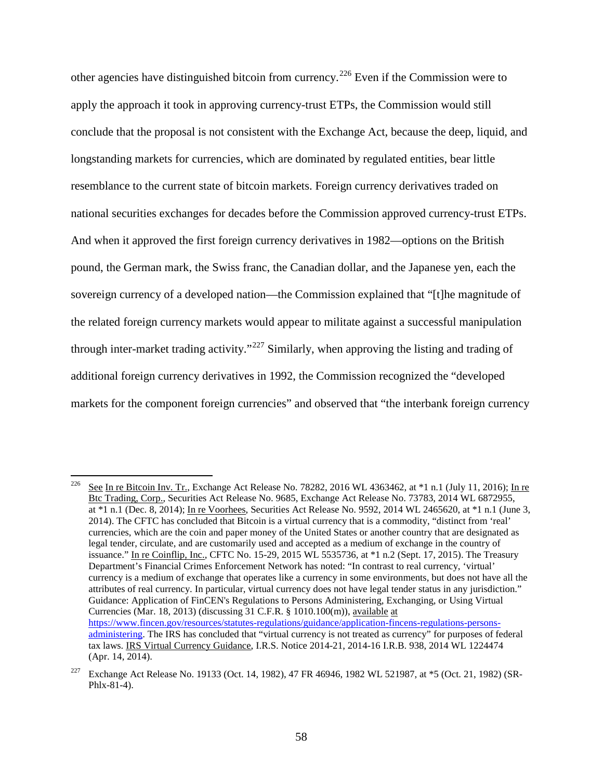other agencies have distinguished bitcoin from currency.<sup>[226](#page-57-0)</sup> Even if the Commission were to apply the approach it took in approving currency-trust ETPs, the Commission would still conclude that the proposal is not consistent with the Exchange Act, because the deep, liquid, and longstanding markets for currencies, which are dominated by regulated entities, bear little resemblance to the current state of bitcoin markets. Foreign currency derivatives traded on national securities exchanges for decades before the Commission approved currency-trust ETPs. And when it approved the first foreign currency derivatives in 1982—options on the British pound, the German mark, the Swiss franc, the Canadian dollar, and the Japanese yen, each the sovereign currency of a developed nation—the Commission explained that "[t]he magnitude of the related foreign currency markets would appear to militate against a successful manipulation through inter-market trading activity."<sup>[227](#page-57-1)</sup> Similarly, when approving the listing and trading of additional foreign currency derivatives in 1992, the Commission recognized the "developed markets for the component foreign currencies" and observed that "the interbank foreign currency

<span id="page-57-0"></span><sup>&</sup>lt;sup>226</sup> See In re Bitcoin Inv. Tr., Exchange Act Release No. 78282, 2016 WL 4363462, at  $*1$  n.1 (July 11, 2016); In re Btc Trading, Corp., Securities Act Release No. 9685, Exchange Act Release No. 73783, 2014 WL 6872955, at \*1 n.1 (Dec. 8, 2014); In re Voorhees, Securities Act Release No. 9592, 2014 WL 2465620, at \*1 n.1 (June 3, 2014). The CFTC has concluded that Bitcoin is a virtual currency that is a commodity, "distinct from 'real' currencies, which are the coin and paper money of the United States or another country that are designated as legal tender, circulate, and are customarily used and accepted as a medium of exchange in the country of issuance." In re Coinflip, Inc., CFTC No. 15-29, 2015 WL 5535736, at \*1 n.2 (Sept. 17, 2015). The Treasury Department's Financial Crimes Enforcement Network has noted: "In contrast to real currency, 'virtual' currency is a medium of exchange that operates like a currency in some environments, but does not have all the attributes of real currency. In particular, virtual currency does not have legal tender status in any jurisdiction." Guidance: Application of FinCEN's Regulations to Persons Administering, Exchanging, or Using Virtual Currencies (Mar. 18, 2013) (discussing 31 C.F.R. § 1010.100(m)), available at [https://www.fincen.gov/resources/statutes-regulations/guidance/application-fincens-regulations-persons](https://www.fincen.gov/resources/statutes-regulations/guidance/application-fincens-regulations-persons-administering)[administering.](https://www.fincen.gov/resources/statutes-regulations/guidance/application-fincens-regulations-persons-administering) The IRS has concluded that "virtual currency is not treated as currency" for purposes of federal tax laws. IRS Virtual Currency Guidance, I.R.S. Notice 2014-21, 2014-16 I.R.B. 938, 2014 WL 1224474 (Apr. 14, 2014).

<span id="page-57-1"></span><sup>&</sup>lt;sup>227</sup> Exchange Act Release No. 19133 (Oct. 14, 1982), 47 FR 46946, 1982 WL 521987, at \*5 (Oct. 21, 1982) (SR-Phlx-81-4).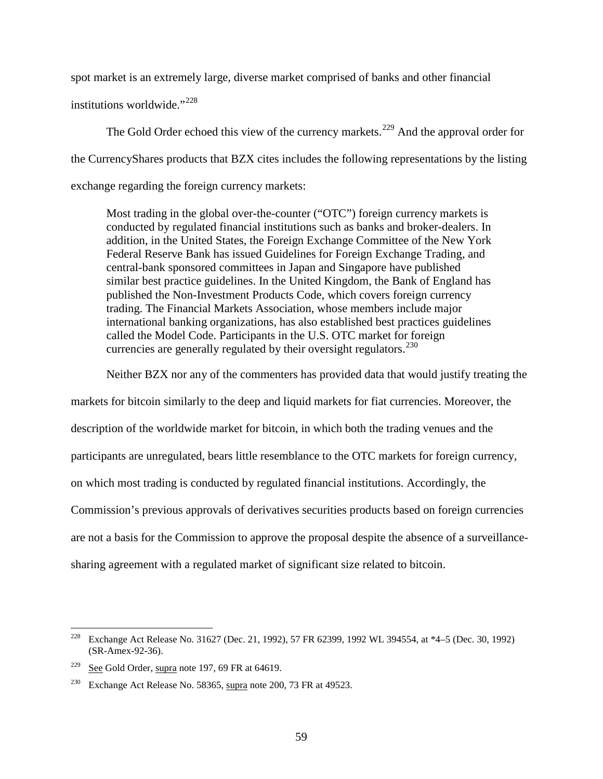spot market is an extremely large, diverse market comprised of banks and other financial

institutions worldwide."[228](#page-58-0)

The Gold Order echoed this view of the currency markets.<sup>[229](#page-58-1)</sup> And the approval order for the CurrencyShares products that BZX cites includes the following representations by the listing exchange regarding the foreign currency markets:

Most trading in the global over-the-counter ("OTC") foreign currency markets is conducted by regulated financial institutions such as banks and broker-dealers. In addition, in the United States, the Foreign Exchange Committee of the New York Federal Reserve Bank has issued Guidelines for Foreign Exchange Trading, and central-bank sponsored committees in Japan and Singapore have published similar best practice guidelines. In the United Kingdom, the Bank of England has published the Non-Investment Products Code, which covers foreign currency trading. The Financial Markets Association, whose members include major international banking organizations, has also established best practices guidelines called the Model Code. Participants in the U.S. OTC market for foreign currencies are generally regulated by their oversight regulators.  $230$ 

Neither BZX nor any of the commenters has provided data that would justify treating the

markets for bitcoin similarly to the deep and liquid markets for fiat currencies. Moreover, the description of the worldwide market for bitcoin, in which both the trading venues and the participants are unregulated, bears little resemblance to the OTC markets for foreign currency, on which most trading is conducted by regulated financial institutions. Accordingly, the Commission's previous approvals of derivatives securities products based on foreign currencies are not a basis for the Commission to approve the proposal despite the absence of a surveillancesharing agreement with a regulated market of significant size related to bitcoin.

<span id="page-58-0"></span> <sup>228</sup> Exchange Act Release No. 31627 (Dec. 21, 1992), 57 FR 62399, 1992 WL 394554, at \*4–5 (Dec. 30, 1992) (SR-Amex-92-36).

<span id="page-58-1"></span><sup>&</sup>lt;sup>229</sup> See Gold Order, supra not[e 197,](#page-47-4) 69 FR at 64619.

<span id="page-58-2"></span><sup>&</sup>lt;sup>230</sup> Exchange Act Release No. 58365, supra not[e 200,](#page-47-6) 73 FR at 49523.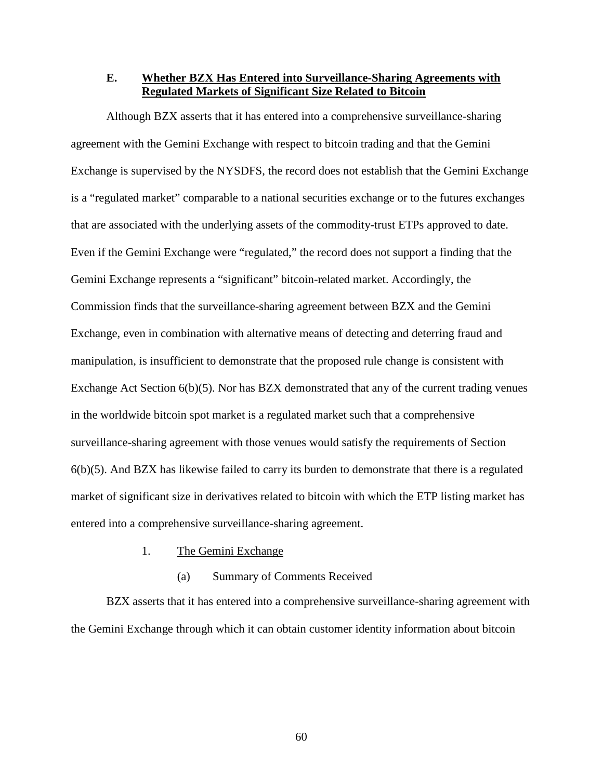**E. Whether BZX Has Entered into Surveillance-Sharing Agreements with Regulated Markets of Significant Size Related to Bitcoin**

Although BZX asserts that it has entered into a comprehensive surveillance-sharing agreement with the Gemini Exchange with respect to bitcoin trading and that the Gemini Exchange is supervised by the NYSDFS, the record does not establish that the Gemini Exchange is a "regulated market" comparable to a national securities exchange or to the futures exchanges that are associated with the underlying assets of the commodity-trust ETPs approved to date. Even if the Gemini Exchange were "regulated," the record does not support a finding that the Gemini Exchange represents a "significant" bitcoin-related market. Accordingly, the Commission finds that the surveillance-sharing agreement between BZX and the Gemini Exchange, even in combination with alternative means of detecting and deterring fraud and manipulation, is insufficient to demonstrate that the proposed rule change is consistent with Exchange Act Section 6(b)(5). Nor has BZX demonstrated that any of the current trading venues in the worldwide bitcoin spot market is a regulated market such that a comprehensive surveillance-sharing agreement with those venues would satisfy the requirements of Section  $6(b)(5)$ . And BZX has likewise failed to carry its burden to demonstrate that there is a regulated market of significant size in derivatives related to bitcoin with which the ETP listing market has entered into a comprehensive surveillance-sharing agreement.

- 1. The Gemini Exchange
	- (a) Summary of Comments Received

<span id="page-59-0"></span>BZX asserts that it has entered into a comprehensive surveillance-sharing agreement with the Gemini Exchange through which it can obtain customer identity information about bitcoin

60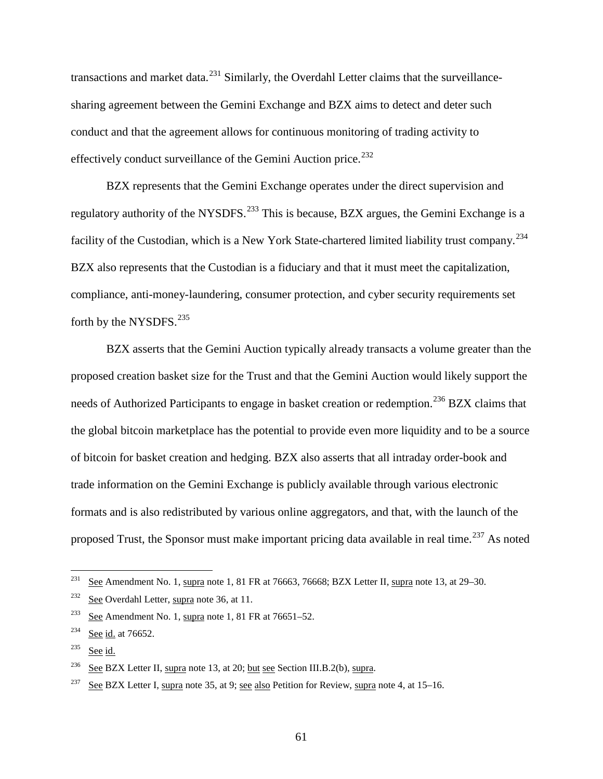transactions and market data.<sup>[231](#page-60-0)</sup> Similarly, the Overdahl Letter claims that the surveillancesharing agreement between the Gemini Exchange and BZX aims to detect and deter such conduct and that the agreement allows for continuous monitoring of trading activity to effectively conduct surveillance of the Gemini Auction price.<sup>[232](#page-60-1)</sup>

<span id="page-60-7"></span>BZX represents that the Gemini Exchange operates under the direct supervision and regulatory authority of the NYSDFS.<sup>[233](#page-60-2)</sup> This is because, BZX argues, the Gemini Exchange is a facility of the Custodian, which is a New York State-chartered limited liability trust company.<sup>[234](#page-60-3)</sup> BZX also represents that the Custodian is a fiduciary and that it must meet the capitalization, compliance, anti-money-laundering, consumer protection, and cyber security requirements set forth by the NYSDFS.<sup>[235](#page-60-4)</sup>

<span id="page-60-8"></span>BZX asserts that the Gemini Auction typically already transacts a volume greater than the proposed creation basket size for the Trust and that the Gemini Auction would likely support the needs of Authorized Participants to engage in basket creation or redemption.<sup>[236](#page-60-5)</sup> BZX claims that the global bitcoin marketplace has the potential to provide even more liquidity and to be a source of bitcoin for basket creation and hedging. BZX also asserts that all intraday order-book and trade information on the Gemini Exchange is publicly available through various electronic formats and is also redistributed by various online aggregators, and that, with the launch of the proposed Trust, the Sponsor must make important pricing data available in real time.<sup>[237](#page-60-6)</sup> As noted

<span id="page-60-9"></span><span id="page-60-0"></span><sup>&</sup>lt;sup>231</sup> See Amendment No. [1,](#page-0-0) supra note 1, 81 FR at 76663, 76668; BZX Letter II, supra not[e 13,](#page-2-0) at 29–30.

<span id="page-60-1"></span><sup>&</sup>lt;sup>232</sup> See Overdahl Letter, supra note [36,](#page-8-0) at 11.

<span id="page-60-2"></span> $233$  See Amendment No. [1,](#page-0-0) supra note 1, 81 FR at 76651–52.

<span id="page-60-3"></span> $234$  See id. at 76652.

<span id="page-60-4"></span> $235$  See id.

<span id="page-60-5"></span><sup>&</sup>lt;sup>236</sup> See BZX Letter II, supra note [13,](#page-2-0) at 20; but see Section [III.B.2\(b\),](#page-36-5) supra.

<span id="page-60-6"></span><sup>&</sup>lt;sup>237</sup> See BZX Letter I, supra note [35,](#page-7-0) at 9; <u>see also</u> Petition for Review, supra note [4,](#page-0-1) at 15–16.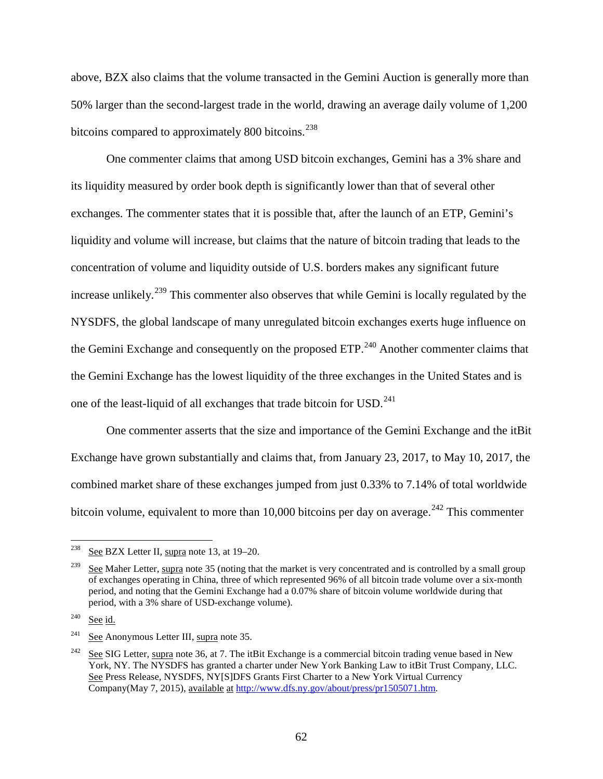above, BZX also claims that the volume transacted in the Gemini Auction is generally more than 50% larger than the second-largest trade in the world, drawing an average daily volume of 1,200 bitcoins compared to approximately 800 bitcoins.<sup>[238](#page-61-0)</sup>

<span id="page-61-5"></span>One commenter claims that among USD bitcoin exchanges, Gemini has a 3% share and its liquidity measured by order book depth is significantly lower than that of several other exchanges. The commenter states that it is possible that, after the launch of an ETP, Gemini's liquidity and volume will increase, but claims that the nature of bitcoin trading that leads to the concentration of volume and liquidity outside of U.S. borders makes any significant future increase unlikely.<sup>[239](#page-61-1)</sup> This commenter also observes that while Gemini is locally regulated by the NYSDFS, the global landscape of many unregulated bitcoin exchanges exerts huge influence on the Gemini Exchange and consequently on the proposed  $ETP<sup>240</sup>$  $ETP<sup>240</sup>$  $ETP<sup>240</sup>$  Another commenter claims that the Gemini Exchange has the lowest liquidity of the three exchanges in the United States and is one of the least-liquid of all exchanges that trade bitcoin for USD.<sup>[241](#page-61-3)</sup>

One commenter asserts that the size and importance of the Gemini Exchange and the itBit Exchange have grown substantially and claims that, from January 23, 2017, to May 10, 2017, the combined market share of these exchanges jumped from just 0.33% to 7.14% of total worldwide bitcoin volume, equivalent to more than 10,000 bitcoins per day on average.<sup>[242](#page-61-4)</sup> This commenter

<span id="page-61-0"></span> <sup>238</sup> See BZX Letter II, supra note [13,](#page-2-0) at 19–20.

<span id="page-61-1"></span>See Maher Letter, supra note [35](#page-7-0) (noting that the market is very concentrated and is controlled by a small group of exchanges operating in China, three of which represented 96% of all bitcoin trade volume over a six-month period, and noting that the Gemini Exchange had a 0.07% share of bitcoin volume worldwide during that period, with a 3% share of USD-exchange volume).

<span id="page-61-2"></span> $240$  See id.

<span id="page-61-3"></span><sup>241</sup> See Anonymous Letter III, supra not[e 35.](#page-7-0)

<span id="page-61-4"></span><sup>&</sup>lt;sup>242</sup> See SIG Letter, supra note [36,](#page-8-0) at 7. The itBit Exchange is a commercial bitcoin trading venue based in New York, NY. The NYSDFS has granted a charter under New York Banking Law to itBit Trust Company, LLC. See Press Release, NYSDFS, NY[S]DFS Grants First Charter to a New York Virtual Currency Company(May 7, 2015), available at [http://www.dfs.ny.gov/about/press/pr1505071.htm.](http://www.dfs.ny.gov/about/press/pr1505071.htm)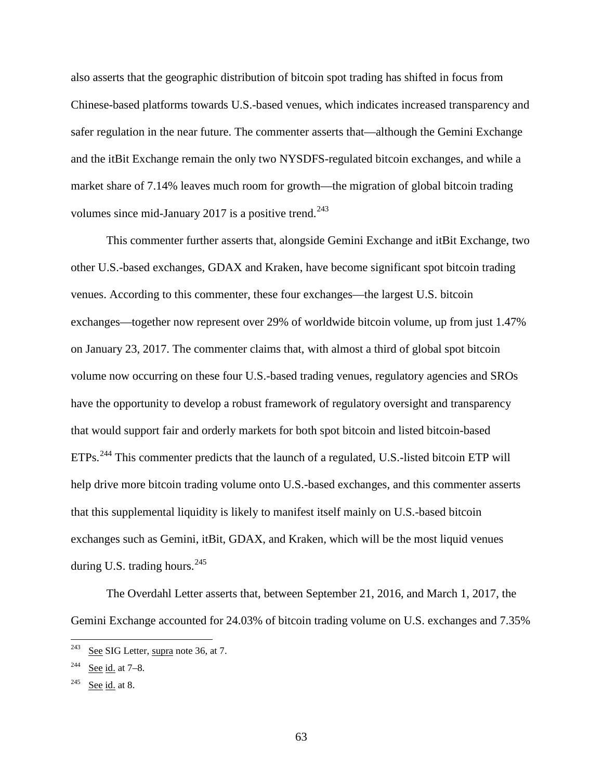also asserts that the geographic distribution of bitcoin spot trading has shifted in focus from Chinese-based platforms towards U.S.-based venues, which indicates increased transparency and safer regulation in the near future. The commenter asserts that—although the Gemini Exchange and the itBit Exchange remain the only two NYSDFS-regulated bitcoin exchanges, and while a market share of 7.14% leaves much room for growth—the migration of global bitcoin trading volumes since mid-January 2017 is a positive trend.<sup>[243](#page-62-0)</sup>

<span id="page-62-3"></span>This commenter further asserts that, alongside Gemini Exchange and itBit Exchange, two other U.S.-based exchanges, GDAX and Kraken, have become significant spot bitcoin trading venues. According to this commenter, these four exchanges—the largest U.S. bitcoin exchanges—together now represent over 29% of worldwide bitcoin volume, up from just 1.47% on January 23, 2017. The commenter claims that, with almost a third of global spot bitcoin volume now occurring on these four U.S.-based trading venues, regulatory agencies and SROs have the opportunity to develop a robust framework of regulatory oversight and transparency that would support fair and orderly markets for both spot bitcoin and listed bitcoin-based ETPs.<sup>[244](#page-62-1)</sup> This commenter predicts that the launch of a regulated, U.S.-listed bitcoin ETP will help drive more bitcoin trading volume onto U.S.-based exchanges, and this commenter asserts that this supplemental liquidity is likely to manifest itself mainly on U.S.-based bitcoin exchanges such as Gemini, itBit, GDAX, and Kraken, which will be the most liquid venues during U.S. trading hours.<sup>[245](#page-62-2)</sup>

<span id="page-62-4"></span>The Overdahl Letter asserts that, between September 21, 2016, and March 1, 2017, the Gemini Exchange accounted for 24.03% of bitcoin trading volume on U.S. exchanges and 7.35%

<span id="page-62-0"></span> <sup>243</sup> See SIG Letter, supra note [36,](#page-8-0) at 7.

<span id="page-62-1"></span> $244$  See id. at 7–8.

<span id="page-62-2"></span> $245$  See id. at 8.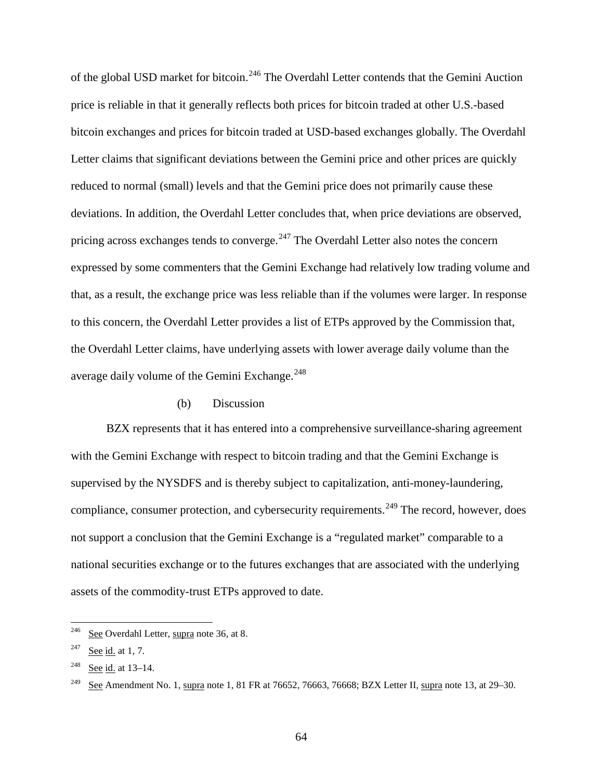<span id="page-63-5"></span>of the global USD market for bitcoin.<sup>[246](#page-63-0)</sup> The Overdahl Letter contends that the Gemini Auction price is reliable in that it generally reflects both prices for bitcoin traded at other U.S.-based bitcoin exchanges and prices for bitcoin traded at USD-based exchanges globally. The Overdahl Letter claims that significant deviations between the Gemini price and other prices are quickly reduced to normal (small) levels and that the Gemini price does not primarily cause these deviations. In addition, the Overdahl Letter concludes that, when price deviations are observed, pricing across exchanges tends to converge. $^{247}$  $^{247}$  $^{247}$  The Overdahl Letter also notes the concern expressed by some commenters that the Gemini Exchange had relatively low trading volume and that, as a result, the exchange price was less reliable than if the volumes were larger. In response to this concern, the Overdahl Letter provides a list of ETPs approved by the Commission that, the Overdahl Letter claims, have underlying assets with lower average daily volume than the average daily volume of the Gemini Exchange.<sup>[248](#page-63-2)</sup>

#### <span id="page-63-4"></span>(b) Discussion

<span id="page-63-6"></span>BZX represents that it has entered into a comprehensive surveillance-sharing agreement with the Gemini Exchange with respect to bitcoin trading and that the Gemini Exchange is supervised by the NYSDFS and is thereby subject to capitalization, anti-money-laundering, compliance, consumer protection, and cybersecurity requirements.<sup>[249](#page-63-3)</sup> The record, however, does not support a conclusion that the Gemini Exchange is a "regulated market" comparable to a national securities exchange or to the futures exchanges that are associated with the underlying assets of the commodity-trust ETPs approved to date.

<span id="page-63-0"></span> $246$  See Overdahl Letter, supra note [36,](#page-8-0) at 8.

<span id="page-63-1"></span> $247$  See id. at 1, 7.

<span id="page-63-2"></span><sup>248</sup> See id. at 13–14.

<span id="page-63-3"></span><sup>&</sup>lt;sup>249</sup> See Amendment No. [1,](#page-0-0) supra note 1, 81 FR at 76652, 76663, 76668; BZX Letter II, supra not[e 13,](#page-2-0) at 29–30.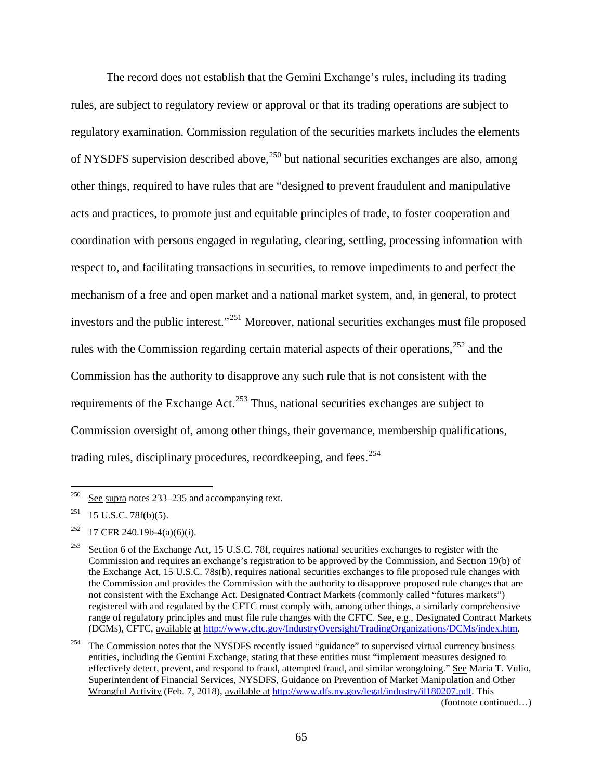The record does not establish that the Gemini Exchange's rules, including its trading rules, are subject to regulatory review or approval or that its trading operations are subject to regulatory examination. Commission regulation of the securities markets includes the elements of NYSDFS supervision described above,  $250$  but national securities exchanges are also, among other things, required to have rules that are "designed to prevent fraudulent and manipulative acts and practices, to promote just and equitable principles of trade, to foster cooperation and coordination with persons engaged in regulating, clearing, settling, processing information with respect to, and facilitating transactions in securities, to remove impediments to and perfect the mechanism of a free and open market and a national market system, and, in general, to protect investors and the public interest."<sup>[251](#page-64-1)</sup> Moreover, national securities exchanges must file proposed rules with the Commission regarding certain material aspects of their operations,<sup>[252](#page-64-2)</sup> and the Commission has the authority to disapprove any such rule that is not consistent with the requirements of the Exchange Act.<sup>[253](#page-64-3)</sup> Thus, national securities exchanges are subject to Commission oversight of, among other things, their governance, membership qualifications, trading rules, disciplinary procedures, recordkeeping, and fees.<sup>[254](#page-64-4)</sup>

(footnote continued…)

<span id="page-64-0"></span><sup>&</sup>lt;sup>250</sup> See supra note[s 233](#page-60-7)[–235](#page-60-8) and accompanying text.

<span id="page-64-1"></span> $251$  15 U.S.C. 78f(b)(5).

<span id="page-64-2"></span><sup>&</sup>lt;sup>252</sup> 17 CFR 240.19b-4(a)(6)(i).

<span id="page-64-3"></span><sup>&</sup>lt;sup>253</sup> Section 6 of the Exchange Act, 15 U.S.C. 78f, requires national securities exchanges to register with the Commission and requires an exchange's registration to be approved by the Commission, and Section 19(b) of the Exchange Act, 15 U.S.C. 78s(b), requires national securities exchanges to file proposed rule changes with the Commission and provides the Commission with the authority to disapprove proposed rule changes that are not consistent with the Exchange Act. Designated Contract Markets (commonly called "futures markets") registered with and regulated by the CFTC must comply with, among other things, a similarly comprehensive range of regulatory principles and must file rule changes with the CFTC. See, e.g., Designated Contract Markets (DCMs), CFTC, available at [http://www.cftc.gov/IndustryOversight/TradingOrganizations/DCMs/index.htm.](http://www.cftc.gov/IndustryOversight/TradingOrganizations/DCMs/index.htm)

<span id="page-64-4"></span><sup>&</sup>lt;sup>254</sup> The Commission notes that the NYSDFS recently issued "guidance" to supervised virtual currency business entities, including the Gemini Exchange, stating that these entities must "implement measures designed to effectively detect, prevent, and respond to fraud, attempted fraud, and similar wrongdoing." See Maria T. Vulio, Superintendent of Financial Services, NYSDFS, Guidance on Prevention of Market Manipulation and Other Wrongful Activity (Feb. 7, 2018), available at [http://www.dfs.ny.gov/legal/industry/il180207.pdf.](http://www.dfs.ny.gov/legal/industry/il180207.pdf) This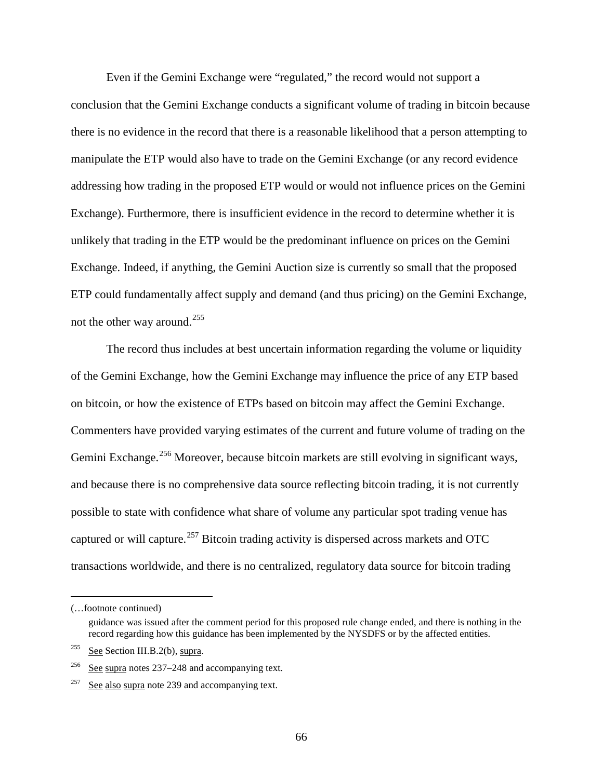Even if the Gemini Exchange were "regulated," the record would not support a conclusion that the Gemini Exchange conducts a significant volume of trading in bitcoin because there is no evidence in the record that there is a reasonable likelihood that a person attempting to manipulate the ETP would also have to trade on the Gemini Exchange (or any record evidence addressing how trading in the proposed ETP would or would not influence prices on the Gemini Exchange). Furthermore, there is insufficient evidence in the record to determine whether it is unlikely that trading in the ETP would be the predominant influence on prices on the Gemini Exchange. Indeed, if anything, the Gemini Auction size is currently so small that the proposed ETP could fundamentally affect supply and demand (and thus pricing) on the Gemini Exchange, not the other way around.[255](#page-65-0)

The record thus includes at best uncertain information regarding the volume or liquidity of the Gemini Exchange, how the Gemini Exchange may influence the price of any ETP based on bitcoin, or how the existence of ETPs based on bitcoin may affect the Gemini Exchange. Commenters have provided varying estimates of the current and future volume of trading on the Gemini Exchange.<sup>[256](#page-65-1)</sup> Moreover, because bitcoin markets are still evolving in significant ways, and because there is no comprehensive data source reflecting bitcoin trading, it is not currently possible to state with confidence what share of volume any particular spot trading venue has captured or will capture.<sup>[257](#page-65-2)</sup> Bitcoin trading activity is dispersed across markets and OTC transactions worldwide, and there is no centralized, regulatory data source for bitcoin trading

 <sup>(…</sup>footnote continued)

guidance was issued after the comment period for this proposed rule change ended, and there is nothing in the record regarding how this guidance has been implemented by the NYSDFS or by the affected entities.

<span id="page-65-0"></span> $255$  See Section III.B.2(b), supra.

<span id="page-65-1"></span><sup>256</sup> See supra note[s 237](#page-60-9)[–248](#page-63-4) and accompanying text.

<span id="page-65-2"></span><sup>&</sup>lt;sup>257</sup> See also supra note [239](#page-61-5) and accompanying text.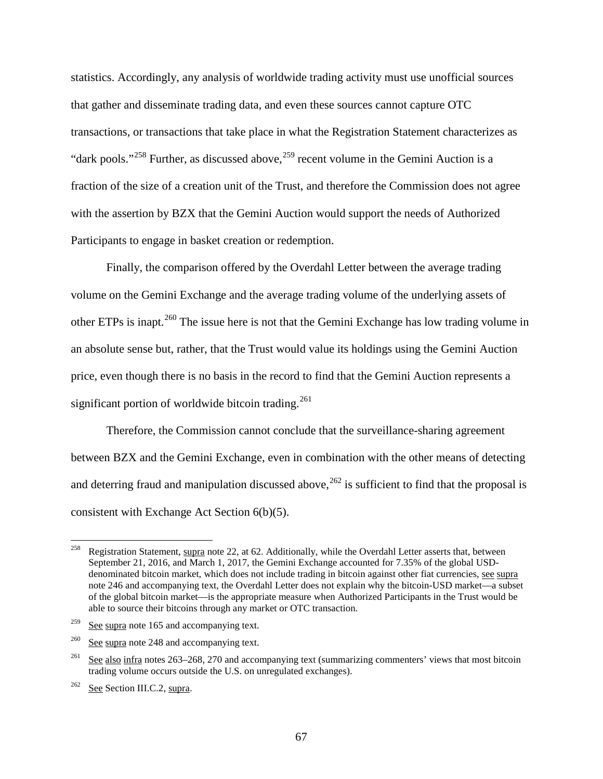statistics. Accordingly, any analysis of worldwide trading activity must use unofficial sources that gather and disseminate trading data, and even these sources cannot capture OTC transactions, or transactions that take place in what the Registration Statement characterizes as "dark pools."<sup>[258](#page-66-0)</sup> Further, as discussed above,<sup>[259](#page-66-1)</sup> recent volume in the Gemini Auction is a fraction of the size of a creation unit of the Trust, and therefore the Commission does not agree with the assertion by BZX that the Gemini Auction would support the needs of Authorized Participants to engage in basket creation or redemption.

Finally, the comparison offered by the Overdahl Letter between the average trading volume on the Gemini Exchange and the average trading volume of the underlying assets of other ETPs is inapt.<sup>[260](#page-66-2)</sup> The issue here is not that the Gemini Exchange has low trading volume in an absolute sense but, rather, that the Trust would value its holdings using the Gemini Auction price, even though there is no basis in the record to find that the Gemini Auction represents a significant portion of worldwide bitcoin trading.<sup>[261](#page-66-3)</sup>

Therefore, the Commission cannot conclude that the surveillance-sharing agreement between BZX and the Gemini Exchange, even in combination with the other means of detecting and deterring fraud and manipulation discussed above,  $262$  is sufficient to find that the proposal is consistent with Exchange Act Section 6(b)(5).

<span id="page-66-0"></span><sup>&</sup>lt;sup>258</sup> Registration Statement, supra note [22,](#page-5-0) at 62. Additionally, while the Overdahl Letter asserts that, between September 21, 2016, and March 1, 2017, the Gemini Exchange accounted for 7.35% of the global USDdenominated bitcoin market, which does not include trading in bitcoin against other fiat currencies, see supra note [246](#page-63-5) and accompanying text, the Overdahl Letter does not explain why the bitcoin-USD market—a subset of the global bitcoin market—is the appropriate measure when Authorized Participants in the Trust would be able to source their bitcoins through any market or OTC transaction.

<span id="page-66-1"></span><sup>&</sup>lt;sup>259</sup> See supra note [165](#page-38-2) and accompanying text.

<span id="page-66-2"></span> $260$  See supra note [248](#page-63-4) and accompanying text.

<span id="page-66-3"></span> $^{261}$  See also infra notes [263](#page-67-0)[–268,](#page-68-0) [270](#page-68-1) and accompanying text (summarizing commenters' views that most bitcoin trading volume occurs outside the U.S. on unregulated exchanges).

<span id="page-66-4"></span> $262$  See Section [III.C.2,](#page-42-6) supra.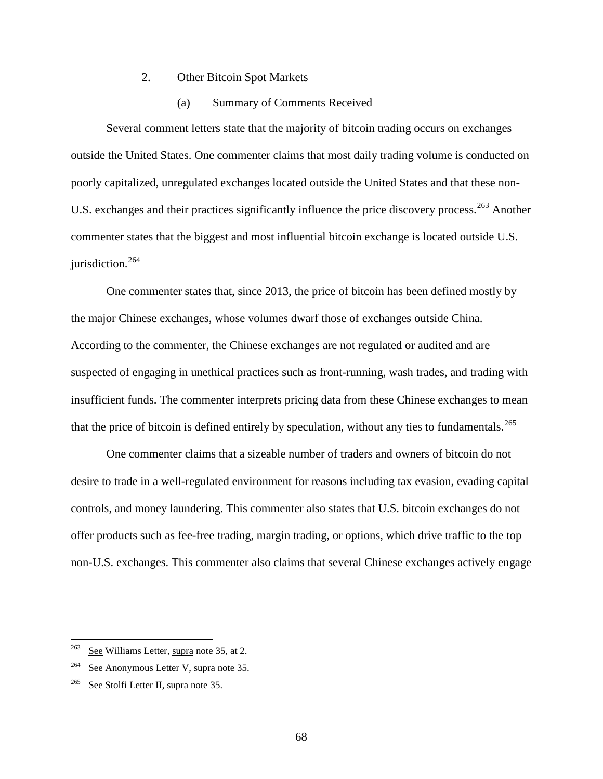## 2. Other Bitcoin Spot Markets

## <span id="page-67-0"></span>(a) Summary of Comments Received

Several comment letters state that the majority of bitcoin trading occurs on exchanges outside the United States. One commenter claims that most daily trading volume is conducted on poorly capitalized, unregulated exchanges located outside the United States and that these non-U.S. exchanges and their practices significantly influence the price discovery process.<sup>[263](#page-67-1)</sup> Another commenter states that the biggest and most influential bitcoin exchange is located outside U.S. jurisdiction.<sup>[264](#page-67-2)</sup>

<span id="page-67-4"></span>One commenter states that, since 2013, the price of bitcoin has been defined mostly by the major Chinese exchanges, whose volumes dwarf those of exchanges outside China. According to the commenter, the Chinese exchanges are not regulated or audited and are suspected of engaging in unethical practices such as front-running, wash trades, and trading with insufficient funds. The commenter interprets pricing data from these Chinese exchanges to mean that the price of bitcoin is defined entirely by speculation, without any ties to fundamentals.<sup>[265](#page-67-3)</sup>

<span id="page-67-5"></span>One commenter claims that a sizeable number of traders and owners of bitcoin do not desire to trade in a well-regulated environment for reasons including tax evasion, evading capital controls, and money laundering. This commenter also states that U.S. bitcoin exchanges do not offer products such as fee-free trading, margin trading, or options, which drive traffic to the top non-U.S. exchanges. This commenter also claims that several Chinese exchanges actively engage

<span id="page-67-1"></span> <sup>263</sup> See Williams Letter, supra note [35,](#page-7-0) at 2.

<span id="page-67-2"></span><sup>&</sup>lt;sup>264</sup> See Anonymous Letter V, supra note [35.](#page-7-0)

<span id="page-67-3"></span><sup>&</sup>lt;sup>265</sup> See Stolfi Letter II, supra note [35.](#page-7-0)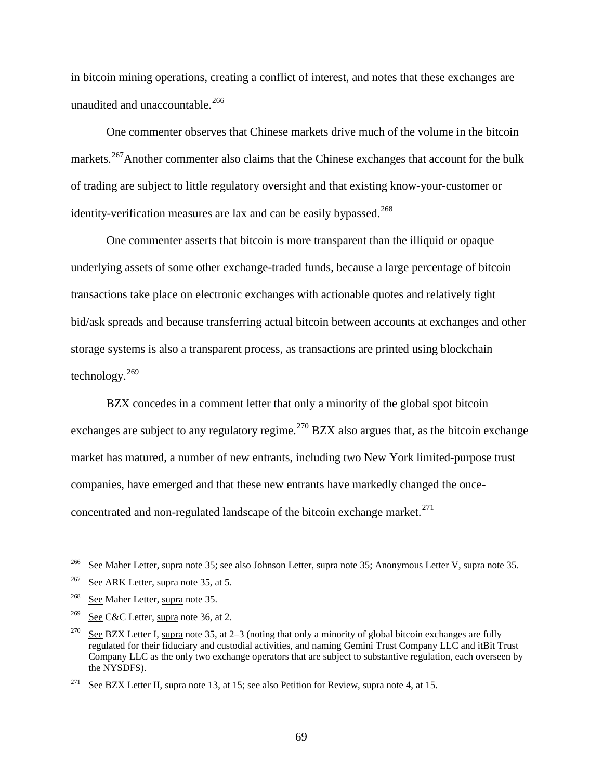in bitcoin mining operations, creating a conflict of interest, and notes that these exchanges are unaudited and unaccountable.<sup>[266](#page-68-2)</sup>

<span id="page-68-8"></span>One commenter observes that Chinese markets drive much of the volume in the bitcoin markets.<sup>267</sup>Another commenter also claims that the Chinese exchanges that account for the bulk of trading are subject to little regulatory oversight and that existing know-your-customer or identity-verification measures are lax and can be easily bypassed.<sup>[268](#page-68-4)</sup>

<span id="page-68-0"></span>One commenter asserts that bitcoin is more transparent than the illiquid or opaque underlying assets of some other exchange-traded funds, because a large percentage of bitcoin transactions take place on electronic exchanges with actionable quotes and relatively tight bid/ask spreads and because transferring actual bitcoin between accounts at exchanges and other storage systems is also a transparent process, as transactions are printed using blockchain technology. $269$ 

<span id="page-68-1"></span>BZX concedes in a comment letter that only a minority of the global spot bitcoin exchanges are subject to any regulatory regime.<sup>[270](#page-68-6)</sup> BZX also argues that, as the bitcoin exchange market has matured, a number of new entrants, including two New York limited-purpose trust companies, have emerged and that these new entrants have markedly changed the onceconcentrated and non-regulated landscape of the bitcoin exchange market. $^{271}$  $^{271}$  $^{271}$ 

<span id="page-68-2"></span><sup>&</sup>lt;sup>266</sup> See Maher Letter, supra note [35;](#page-7-0) see also Johnson Letter, supra note 35; Anonymous Letter V, supra note [35.](#page-7-0)

<span id="page-68-3"></span> $267$  See ARK Letter, supra note [35,](#page-7-0) at 5.

<span id="page-68-4"></span><sup>&</sup>lt;sup>268</sup> See Maher Letter, supra note [35.](#page-7-0)

<span id="page-68-5"></span> $269$  See C&C Letter, supra note [36,](#page-8-0) at 2.

<span id="page-68-6"></span><sup>&</sup>lt;sup>270</sup> See BZX Letter I, supra note [35,](#page-7-0) at 2–3 (noting that only a minority of global bitcoin exchanges are fully regulated for their fiduciary and custodial activities, and naming Gemini Trust Company LLC and itBit Trust Company LLC as the only two exchange operators that are subject to substantive regulation, each overseen by the NYSDFS).

<span id="page-68-7"></span><sup>&</sup>lt;sup>271</sup> See BZX Letter II, supra note [13,](#page-2-0) at 15; see also Petition for Review, supra note [4,](#page-0-1) at 15.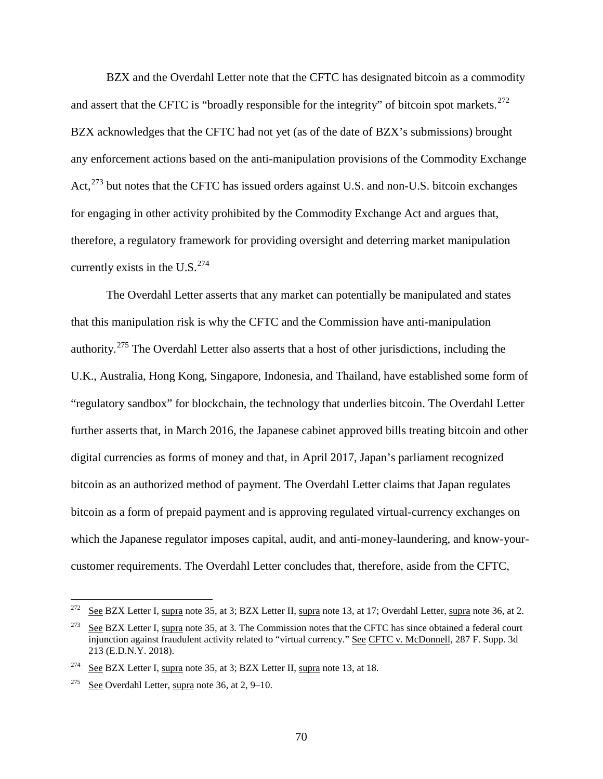<span id="page-69-4"></span>BZX and the Overdahl Letter note that the CFTC has designated bitcoin as a commodity and assert that the CFTC is "broadly responsible for the integrity" of bitcoin spot markets. $^{272}$  $^{272}$  $^{272}$ BZX acknowledges that the CFTC had not yet (as of the date of BZX's submissions) brought any enforcement actions based on the anti-manipulation provisions of the Commodity Exchange Act,  $^{273}$  $^{273}$  $^{273}$  but notes that the CFTC has issued orders against U.S. and non-U.S. bitcoin exchanges for engaging in other activity prohibited by the Commodity Exchange Act and argues that, therefore, a regulatory framework for providing oversight and deterring market manipulation currently exists in the U.S. $^{274}$  $^{274}$  $^{274}$ 

<span id="page-69-5"></span>The Overdahl Letter asserts that any market can potentially be manipulated and states that this manipulation risk is why the CFTC and the Commission have anti-manipulation authority.[275](#page-69-3) The Overdahl Letter also asserts that a host of other jurisdictions, including the U.K., Australia, Hong Kong, Singapore, Indonesia, and Thailand, have established some form of "regulatory sandbox" for blockchain, the technology that underlies bitcoin. The Overdahl Letter further asserts that, in March 2016, the Japanese cabinet approved bills treating bitcoin and other digital currencies as forms of money and that, in April 2017, Japan's parliament recognized bitcoin as an authorized method of payment. The Overdahl Letter claims that Japan regulates bitcoin as a form of prepaid payment and is approving regulated virtual-currency exchanges on which the Japanese regulator imposes capital, audit, and anti-money-laundering, and know-yourcustomer requirements. The Overdahl Letter concludes that, therefore, aside from the CFTC,

<span id="page-69-0"></span> $272$  See BZX Letter I, supra note [35,](#page-7-0) at 3; BZX Letter II, supra note [13,](#page-2-0) at 17; Overdahl Letter, supra note [36,](#page-8-0) at 2.

<span id="page-69-1"></span><sup>&</sup>lt;sup>273</sup> See BZX Letter I, supra note [35,](#page-7-0) at 3. The Commission notes that the CFTC has since obtained a federal court injunction against fraudulent activity related to "virtual currency." See CFTC v. McDonnell, 287 F. Supp. 3d 213 (E.D.N.Y. 2018).

<span id="page-69-2"></span><sup>&</sup>lt;sup>274</sup> See BZX Letter I, supra note [35,](#page-7-0) at 3; BZX Letter II, supra note [13,](#page-2-0) at 18.

<span id="page-69-3"></span><sup>&</sup>lt;sup>275</sup> See Overdahl Letter, supra note [36,](#page-8-0) at 2, 9–10.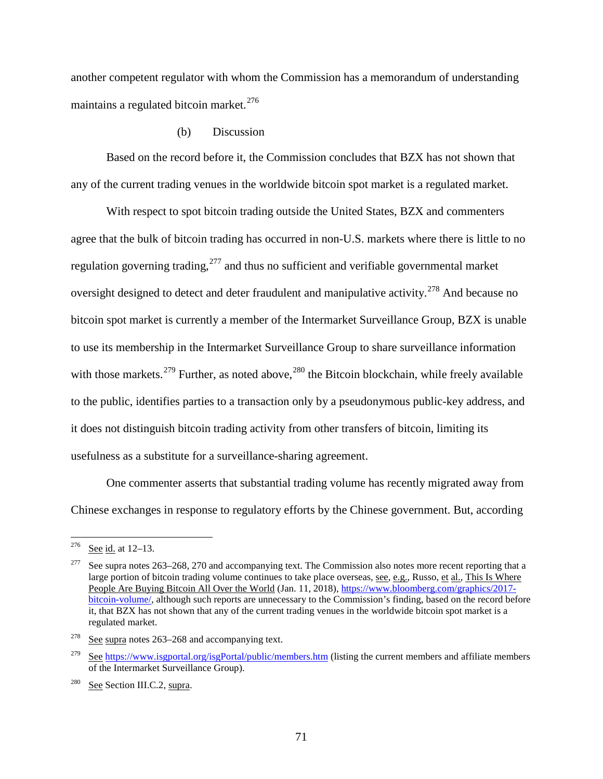another competent regulator with whom the Commission has a memorandum of understanding maintains a regulated bitcoin market. $276$ 

## (b) Discussion

Based on the record before it, the Commission concludes that BZX has not shown that any of the current trading venues in the worldwide bitcoin spot market is a regulated market.

With respect to spot bitcoin trading outside the United States, BZX and commenters agree that the bulk of bitcoin trading has occurred in non-U.S. markets where there is little to no regulation governing trading, $^{277}$  $^{277}$  $^{277}$  and thus no sufficient and verifiable governmental market oversight designed to detect and deter fraudulent and manipulative activity.<sup>[278](#page-70-2)</sup> And because no bitcoin spot market is currently a member of the Intermarket Surveillance Group, BZX is unable to use its membership in the Intermarket Surveillance Group to share surveillance information with those markets.<sup>[279](#page-70-3)</sup> Further, as noted above,<sup>[280](#page-70-4)</sup> the Bitcoin blockchain, while freely available to the public, identifies parties to a transaction only by a pseudonymous public-key address, and it does not distinguish bitcoin trading activity from other transfers of bitcoin, limiting its usefulness as a substitute for a surveillance-sharing agreement.

One commenter asserts that substantial trading volume has recently migrated away from Chinese exchanges in response to regulatory efforts by the Chinese government. But, according

<span id="page-70-0"></span> <sup>276</sup> See id. at 12–13.

<span id="page-70-1"></span><sup>&</sup>lt;sup>277</sup> See supra note[s 263](#page-67-0)[–268,](#page-68-0) [270](#page-68-1) and accompanying text. The Commission also notes more recent reporting that a large portion of bitcoin trading volume continues to take place overseas, see, e.g., Russo, et al., This Is Where People Are Buying Bitcoin All Over the World (Jan. 11, 2018)[, https://www.bloomberg.com/graphics/2017](https://www.bloomberg.com/graphics/2017-bitcoin-volume/) [bitcoin-volume/,](https://www.bloomberg.com/graphics/2017-bitcoin-volume/) although such reports are unnecessary to the Commission's finding, based on the record before it, that BZX has not shown that any of the current trading venues in the worldwide bitcoin spot market is a regulated market.

<span id="page-70-2"></span><sup>&</sup>lt;sup>278</sup> See supra notes  $263-268$  and accompanying text.

<span id="page-70-3"></span><sup>&</sup>lt;sup>279</sup> See <https://www.isgportal.org/isgPortal/public/members.htm> (listing the current members and affiliate members of the Intermarket Surveillance Group).

<span id="page-70-4"></span> $280$  See Section [III.C.2,](#page-42-6) supra.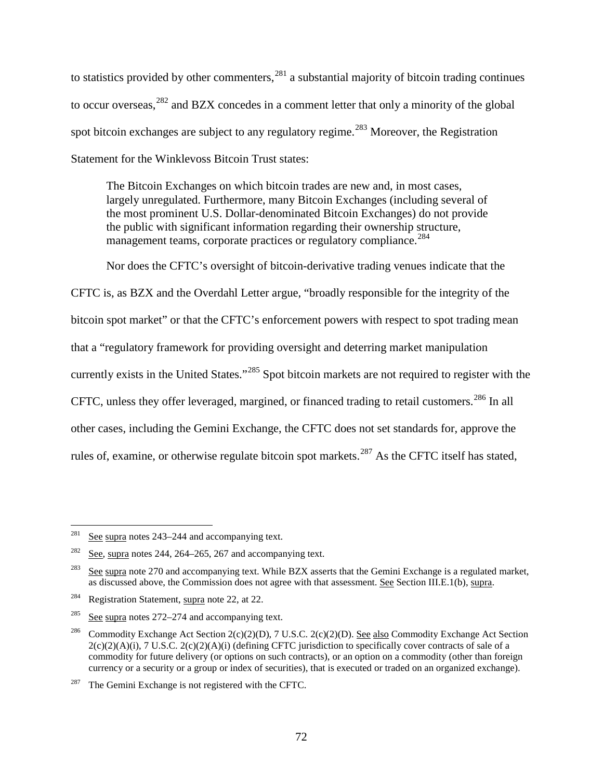<span id="page-71-1"></span>to statistics provided by other commenters,  $281$  a substantial majority of bitcoin trading continues to occur overseas,<sup>[282](#page-71-4)</sup> and BZX concedes in a comment letter that only a minority of the global spot bitcoin exchanges are subject to any regulatory regime.<sup>[283](#page-71-5)</sup> Moreover, the Registration Statement for the Winklevoss Bitcoin Trust states:

<span id="page-71-0"></span>The Bitcoin Exchanges on which bitcoin trades are new and, in most cases, largely unregulated. Furthermore, many Bitcoin Exchanges (including several of the most prominent U.S. Dollar-denominated Bitcoin Exchanges) do not provide the public with significant information regarding their ownership structure, management teams, corporate practices or regulatory compliance.<sup>[284](#page-71-6)</sup>

<span id="page-71-2"></span>Nor does the CFTC's oversight of bitcoin-derivative trading venues indicate that the

CFTC is, as BZX and the Overdahl Letter argue, "broadly responsible for the integrity of the bitcoin spot market" or that the CFTC's enforcement powers with respect to spot trading mean that a "regulatory framework for providing oversight and deterring market manipulation currently exists in the United States."<sup>[285](#page-71-7)</sup> Spot bitcoin markets are not required to register with the CFTC, unless they offer leveraged, margined, or financed trading to retail customers.<sup>[286](#page-71-8)</sup> In all other cases, including the Gemini Exchange, the CFTC does not set standards for, approve the rules of, examine, or otherwise regulate bitcoin spot markets.<sup>[287](#page-71-9)</sup> As the CFTC itself has stated,

<span id="page-71-3"></span><sup>&</sup>lt;sup>281</sup> See supra notes  $243-244$  and accompanying text.

<span id="page-71-4"></span><sup>&</sup>lt;sup>282</sup> See, supra notes [244,](#page-62-4) [264](#page-67-4)[–265,](#page-67-5) [267](#page-68-8) and accompanying text.

<span id="page-71-5"></span><sup>&</sup>lt;sup>283</sup> See supra note [270](#page-68-1) and accompanying text. While BZX asserts that the Gemini Exchange is a regulated market, as discussed above, the Commission does not agree with that assessment. See Section [III.E.1\(b\),](#page-63-6) supra.

<span id="page-71-6"></span><sup>&</sup>lt;sup>284</sup> Registration Statement, supra note [22,](#page-5-0) at 22.

<span id="page-71-7"></span><sup>&</sup>lt;sup>285</sup> See supra notes  $272-274$  and accompanying text.

<span id="page-71-8"></span><sup>&</sup>lt;sup>286</sup> Commodity Exchange Act Section 2(c)(2)(D), 7 U.S.C. 2(c)(2)(D). <u>See also</u> Commodity Exchange Act Section  $2(c)(2)(A)(i)$ , 7 U.S.C.  $2(c)(2)(A)(i)$  (defining CFTC jurisdiction to specifically cover contracts of sale of a commodity for future delivery (or options on such contracts), or an option on a commodity (other than foreign currency or a security or a group or index of securities), that is executed or traded on an organized exchange).

<span id="page-71-9"></span> $287$  The Gemini Exchange is not registered with the CFTC.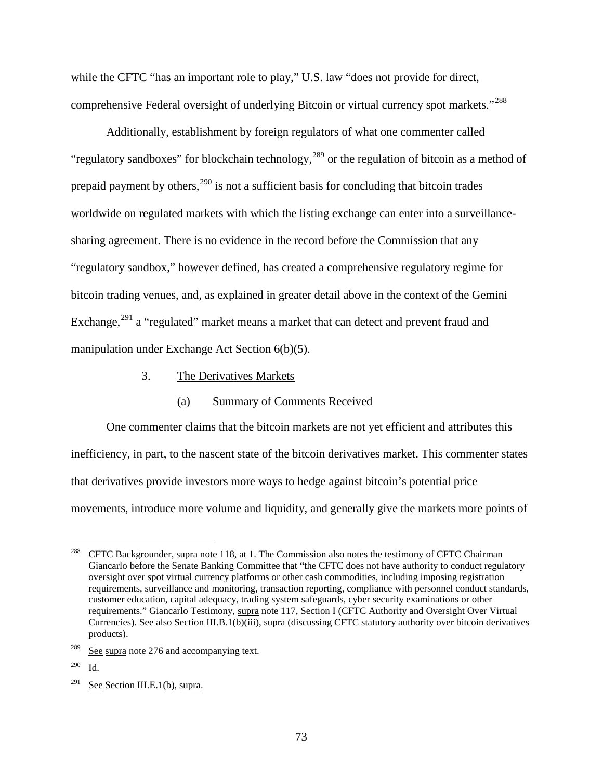while the CFTC "has an important role to play," U.S. law "does not provide for direct, comprehensive Federal oversight of underlying Bitcoin or virtual currency spot markets."<sup>[288](#page-72-0)</sup>

Additionally, establishment by foreign regulators of what one commenter called "regulatory sandboxes" for blockchain technology,  $^{289}$  $^{289}$  $^{289}$  or the regulation of bitcoin as a method of prepaid payment by others, $^{290}$  $^{290}$  $^{290}$  is not a sufficient basis for concluding that bitcoin trades worldwide on regulated markets with which the listing exchange can enter into a surveillancesharing agreement. There is no evidence in the record before the Commission that any "regulatory sandbox," however defined, has created a comprehensive regulatory regime for bitcoin trading venues, and, as explained in greater detail above in the context of the Gemini Exchange,<sup>[291](#page-72-3)</sup> a "regulated" market means a market that can detect and prevent fraud and manipulation under Exchange Act Section 6(b)(5).

- 3. The Derivatives Markets
	- (a) Summary of Comments Received

<span id="page-72-4"></span>One commenter claims that the bitcoin markets are not yet efficient and attributes this inefficiency, in part, to the nascent state of the bitcoin derivatives market. This commenter states that derivatives provide investors more ways to hedge against bitcoin's potential price movements, introduce more volume and liquidity, and generally give the markets more points of

<span id="page-72-0"></span><sup>&</sup>lt;sup>288</sup> CFTC Backgrounder, supra note [118,](#page-27-0) at 1. The Commission also notes the testimony of CFTC Chairman Giancarlo before the Senate Banking Committee that "the CFTC does not have authority to conduct regulatory oversight over spot virtual currency platforms or other cash commodities, including imposing registration requirements, surveillance and monitoring, transaction reporting, compliance with personnel conduct standards, customer education, capital adequacy, trading system safeguards, cyber security examinations or other requirements." Giancarlo Testimony, supra note [117,](#page-27-1) Section I (CFTC Authority and Oversight Over Virtual Currencies). See also Sectio[n III.B.1\(b\)\(iii\),](#page-27-2) supra (discussing CFTC statutory authority over bitcoin derivatives products).

<span id="page-72-1"></span> $289$  See supra note [276](#page-70-0) and accompanying text.

<span id="page-72-2"></span><sup>290</sup> Id.

<span id="page-72-3"></span><sup>&</sup>lt;sup>291</sup> See Section [III.E.1\(b\),](#page-63-0) supra.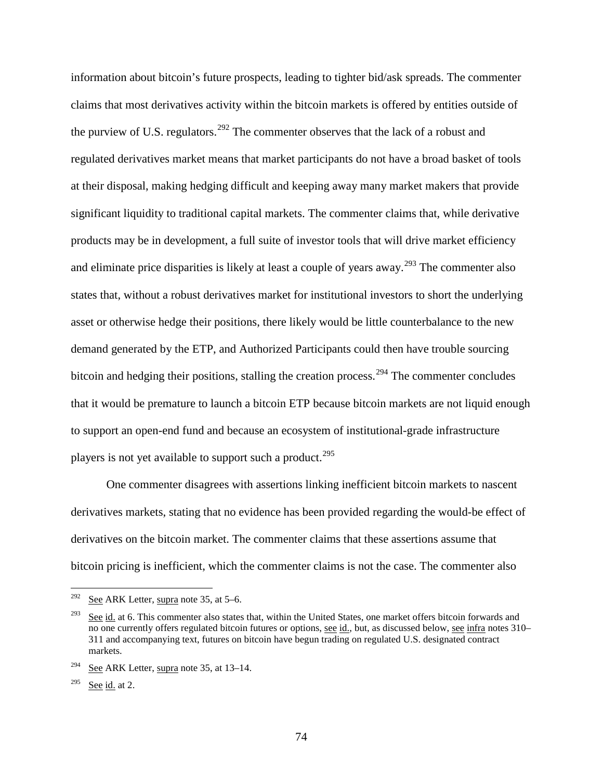information about bitcoin's future prospects, leading to tighter bid/ask spreads. The commenter claims that most derivatives activity within the bitcoin markets is offered by entities outside of the purview of U.S. regulators.<sup>[292](#page-73-0)</sup> The commenter observes that the lack of a robust and regulated derivatives market means that market participants do not have a broad basket of tools at their disposal, making hedging difficult and keeping away many market makers that provide significant liquidity to traditional capital markets. The commenter claims that, while derivative products may be in development, a full suite of investor tools that will drive market efficiency and eliminate price disparities is likely at least a couple of years away.<sup>[293](#page-73-1)</sup> The commenter also states that, without a robust derivatives market for institutional investors to short the underlying asset or otherwise hedge their positions, there likely would be little counterbalance to the new demand generated by the ETP, and Authorized Participants could then have trouble sourcing bitcoin and hedging their positions, stalling the creation process.<sup>[294](#page-73-2)</sup> The commenter concludes that it would be premature to launch a bitcoin ETP because bitcoin markets are not liquid enough to support an open-end fund and because an ecosystem of institutional-grade infrastructure players is not yet available to support such a product.<sup>[295](#page-73-3)</sup>

One commenter disagrees with assertions linking inefficient bitcoin markets to nascent derivatives markets, stating that no evidence has been provided regarding the would-be effect of derivatives on the bitcoin market. The commenter claims that these assertions assume that bitcoin pricing is inefficient, which the commenter claims is not the case. The commenter also

<span id="page-73-0"></span><sup>&</sup>lt;sup>292</sup> See ARK Letter, supra note [35,](#page-7-0) at  $5-6$ .

<span id="page-73-1"></span> $\frac{293}{293}$  See id. at 6. This commenter also states that, within the United States, one market offers bitcoin forwards and no one currently offers regulated bitcoin futures or options, see id., but, as discussed below, see infra notes [310–](#page-77-0) [311](#page-77-1) and accompanying text, futures on bitcoin have begun trading on regulated U.S. designated contract markets.

<span id="page-73-2"></span><sup>&</sup>lt;sup>294</sup> See ARK Letter, supra note [35,](#page-7-0) at  $13-14$ .

<span id="page-73-3"></span> $295$  See id. at 2.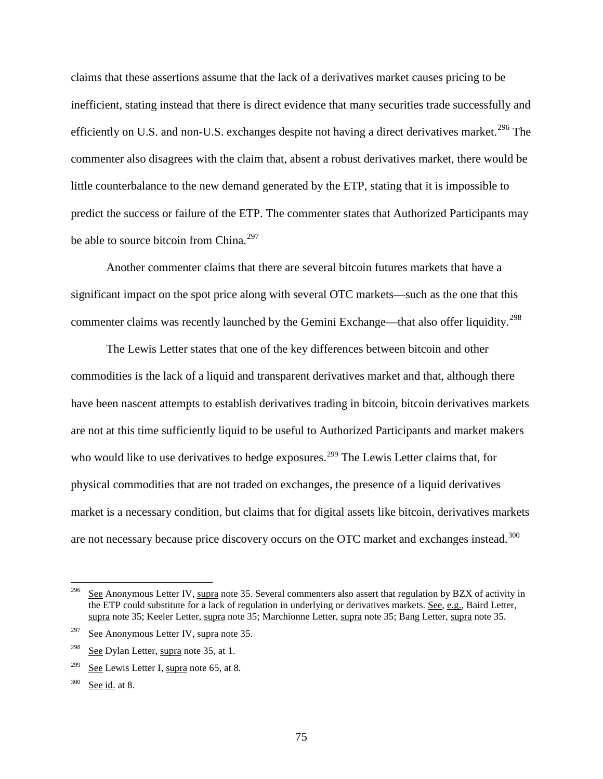<span id="page-74-5"></span>claims that these assertions assume that the lack of a derivatives market causes pricing to be inefficient, stating instead that there is direct evidence that many securities trade successfully and efficiently on U.S. and non-U.S. exchanges despite not having a direct derivatives market.<sup>[296](#page-74-0)</sup> The commenter also disagrees with the claim that, absent a robust derivatives market, there would be little counterbalance to the new demand generated by the ETP, stating that it is impossible to predict the success or failure of the ETP. The commenter states that Authorized Participants may be able to source bitcoin from China.<sup>[297](#page-74-1)</sup>

Another commenter claims that there are several bitcoin futures markets that have a significant impact on the spot price along with several OTC markets—such as the one that this commenter claims was recently launched by the Gemini Exchange—that also offer liquidity.<sup>[298](#page-74-2)</sup>

The Lewis Letter states that one of the key differences between bitcoin and other commodities is the lack of a liquid and transparent derivatives market and that, although there have been nascent attempts to establish derivatives trading in bitcoin, bitcoin derivatives markets are not at this time sufficiently liquid to be useful to Authorized Participants and market makers who would like to use derivatives to hedge exposures.<sup>[299](#page-74-3)</sup> The Lewis Letter claims that, for physical commodities that are not traded on exchanges, the presence of a liquid derivatives market is a necessary condition, but claims that for digital assets like bitcoin, derivatives markets are not necessary because price discovery occurs on the OTC market and exchanges instead.<sup>[300](#page-74-4)</sup>

<span id="page-74-0"></span><sup>&</sup>lt;sup>296</sup> See Anonymous Letter IV, supra note [35.](#page-7-0) Several commenters also assert that regulation by BZX of activity in the ETP could substitute for a lack of regulation in underlying or derivatives markets. See, e.g., Baird Letter, supra note [35;](#page-7-0) Keeler Letter, supra note 35; Marchionne Letter, supra note 35; Bang Letter, supra note [35.](#page-7-0)

<span id="page-74-1"></span> $297$  See Anonymous Letter IV, supra note [35.](#page-7-0)

<span id="page-74-2"></span> $298$  See Dylan Letter, supra note [35,](#page-7-0) at 1.

<span id="page-74-3"></span><sup>&</sup>lt;sup>299</sup> See Lewis Letter I, supra note [65,](#page-14-0) at 8.

<span id="page-74-4"></span> $300$  See id. at 8.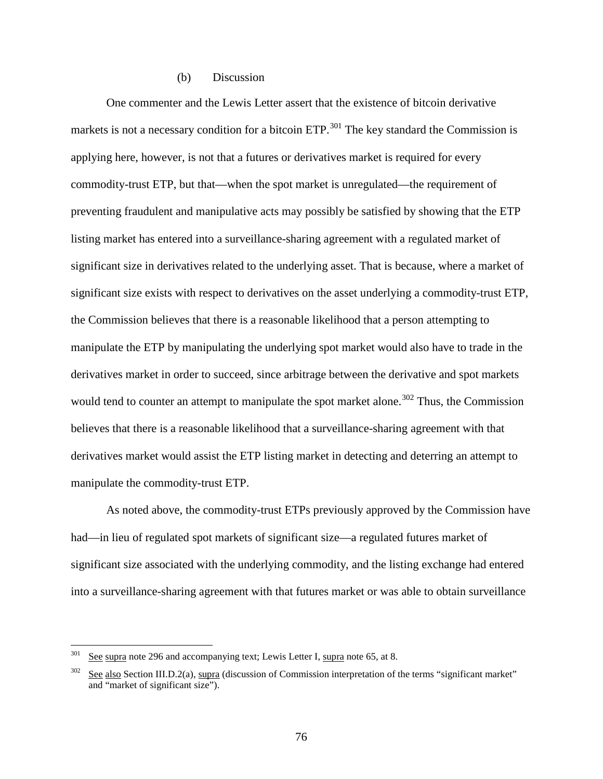#### (b) Discussion

<span id="page-75-2"></span>One commenter and the Lewis Letter assert that the existence of bitcoin derivative markets is not a necessary condition for a bitcoin ETP.<sup>[301](#page-75-0)</sup> The key standard the Commission is applying here, however, is not that a futures or derivatives market is required for every commodity-trust ETP, but that—when the spot market is unregulated—the requirement of preventing fraudulent and manipulative acts may possibly be satisfied by showing that the ETP listing market has entered into a surveillance-sharing agreement with a regulated market of significant size in derivatives related to the underlying asset. That is because, where a market of significant size exists with respect to derivatives on the asset underlying a commodity-trust ETP, the Commission believes that there is a reasonable likelihood that a person attempting to manipulate the ETP by manipulating the underlying spot market would also have to trade in the derivatives market in order to succeed, since arbitrage between the derivative and spot markets would tend to counter an attempt to manipulate the spot market alone.<sup>[302](#page-75-1)</sup> Thus, the Commission believes that there is a reasonable likelihood that a surveillance-sharing agreement with that derivatives market would assist the ETP listing market in detecting and deterring an attempt to manipulate the commodity-trust ETP.

As noted above, the commodity-trust ETPs previously approved by the Commission have had—in lieu of regulated spot markets of significant size—a regulated futures market of significant size associated with the underlying commodity, and the listing exchange had entered into a surveillance-sharing agreement with that futures market or was able to obtain surveillance

<span id="page-75-0"></span> $301$  See supra note [296](#page-74-5) and accompanying text; Lewis Letter I, supra note [65,](#page-14-0) at 8.

<span id="page-75-1"></span>See also Section [III.D.2\(a\),](#page-48-0) supra (discussion of Commission interpretation of the terms "significant market" and "market of significant size").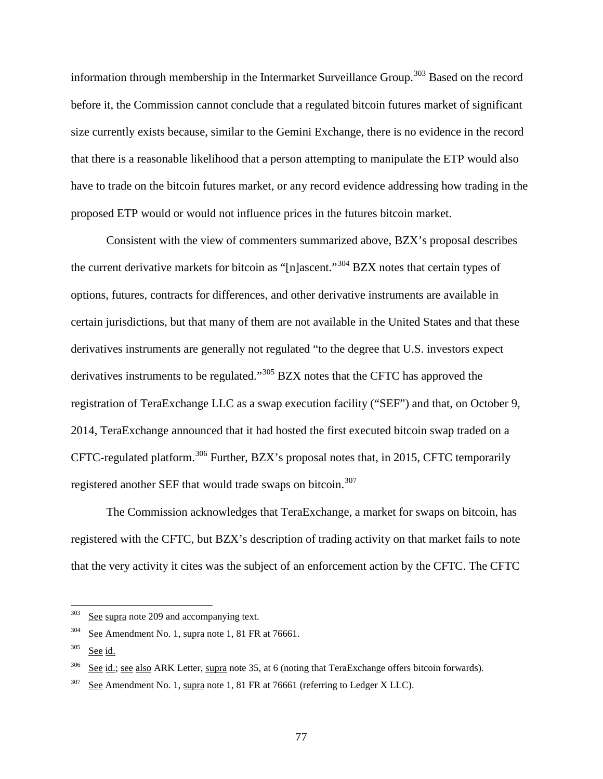information through membership in the Intermarket Surveillance Group.<sup>[303](#page-76-0)</sup> Based on the record before it, the Commission cannot conclude that a regulated bitcoin futures market of significant size currently exists because, similar to the Gemini Exchange, there is no evidence in the record that there is a reasonable likelihood that a person attempting to manipulate the ETP would also have to trade on the bitcoin futures market, or any record evidence addressing how trading in the proposed ETP would or would not influence prices in the futures bitcoin market.

Consistent with the view of commenters summarized above, BZX's proposal describes the current derivative markets for bitcoin as "[n]ascent."[304](#page-76-1) BZX notes that certain types of options, futures, contracts for differences, and other derivative instruments are available in certain jurisdictions, but that many of them are not available in the United States and that these derivatives instruments are generally not regulated "to the degree that U.S. investors expect derivatives instruments to be regulated."<sup>[305](#page-76-2)</sup> BZX notes that the CFTC has approved the registration of TeraExchange LLC as a swap execution facility ("SEF") and that, on October 9, 2014, TeraExchange announced that it had hosted the first executed bitcoin swap traded on a CFTC-regulated platform.[306](#page-76-3) Further, BZX's proposal notes that, in 2015, CFTC temporarily registered another SEF that would trade swaps on bitcoin.<sup>[307](#page-76-4)</sup>

The Commission acknowledges that TeraExchange, a market for swaps on bitcoin, has registered with the CFTC, but BZX's description of trading activity on that market fails to note that the very activity it cites was the subject of an enforcement action by the CFTC. The CFTC

<span id="page-76-0"></span> $303$  See supra note [209](#page-52-0) and accompanying text.

<span id="page-76-1"></span> $304$  See Amendment No. [1,](#page-0-0) supra note 1, 81 FR at 76661.

<span id="page-76-2"></span><sup>305</sup> See id.

<span id="page-76-3"></span> $306$  See id.; see also ARK Letter, supra not[e 35,](#page-7-0) at 6 (noting that TeraExchange offers bitcoin forwards).

<span id="page-76-4"></span> $307$  See Amendment No. [1,](#page-0-0) supra note 1, 81 FR at 76661 (referring to Ledger X LLC).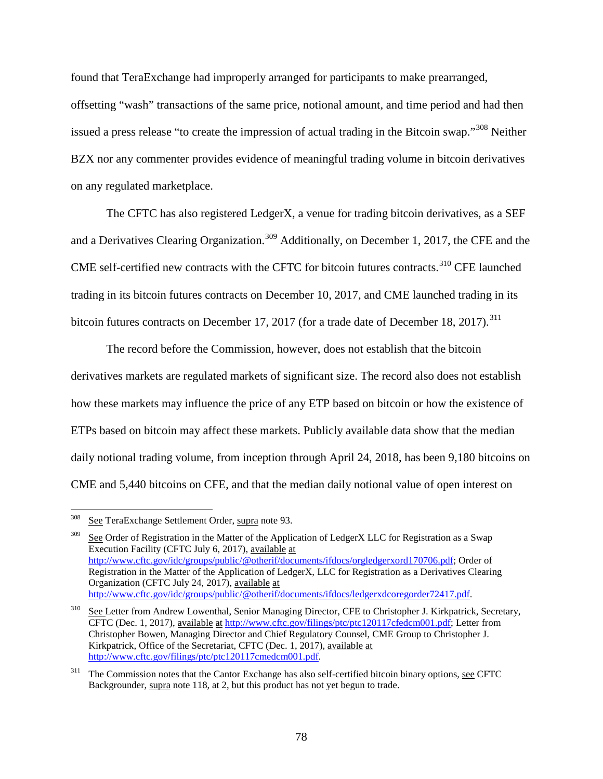found that TeraExchange had improperly arranged for participants to make prearranged, offsetting "wash" transactions of the same price, notional amount, and time period and had then issued a press release "to create the impression of actual trading in the Bitcoin swap."<sup>[308](#page-77-2)</sup> Neither BZX nor any commenter provides evidence of meaningful trading volume in bitcoin derivatives on any regulated marketplace.

<span id="page-77-0"></span>The CFTC has also registered LedgerX, a venue for trading bitcoin derivatives, as a SEF and a Derivatives Clearing Organization.<sup>[309](#page-77-3)</sup> Additionally, on December 1, 2017, the CFE and the CME self-certified new contracts with the CFTC for bitcoin futures contracts.<sup>[310](#page-77-4)</sup> CFE launched trading in its bitcoin futures contracts on December 10, 2017, and CME launched trading in its bitcoin futures contracts on December 17, 2017 (for a trade date of December 18, 2017).<sup>[311](#page-77-5)</sup>

<span id="page-77-1"></span>The record before the Commission, however, does not establish that the bitcoin derivatives markets are regulated markets of significant size. The record also does not establish how these markets may influence the price of any ETP based on bitcoin or how the existence of ETPs based on bitcoin may affect these markets. Publicly available data show that the median daily notional trading volume, from inception through April 24, 2018, has been 9,180 bitcoins on CME and 5,440 bitcoins on CFE, and that the median daily notional value of open interest on

<span id="page-77-2"></span> <sup>308</sup> See TeraExchange Settlement Order, supra not[e 93.](#page-20-0)

<span id="page-77-3"></span>See Order of Registration in the Matter of the Application of LedgerX LLC for Registration as a Swap Execution Facility (CFTC July 6, 2017), available at [http://www.cftc.gov/idc/groups/public/@otherif/documents/ifdocs/orgledgerxord170706.pdf;](http://www.cftc.gov/idc/groups/public/@otherif/documents/ifdocs/orgledgerxord170706.pdf) Order of Registration in the Matter of the Application of LedgerX, LLC for Registration as a Derivatives Clearing Organization (CFTC July 24, 2017), available at [http://www.cftc.gov/idc/groups/public/@otherif/documents/ifdocs/ledgerxdcoregorder72417.pdf.](http://www.cftc.gov/idc/groups/public/@otherif/documents/ifdocs/ledgerxdcoregorder72417.pdf)

<span id="page-77-4"></span><sup>&</sup>lt;sup>310</sup> See Letter from Andrew Lowenthal, Senior Managing Director, CFE to Christopher J. Kirkpatrick, Secretary, CFTC (Dec. 1, 2017), available at [http://www.cftc.gov/filings/ptc/ptc120117cfedcm001.pdf;](http://www.cftc.gov/filings/ptc/ptc120117cfedcm001.pdf) Letter from Christopher Bowen, Managing Director and Chief Regulatory Counsel, CME Group to Christopher J. Kirkpatrick, Office of the Secretariat, CFTC (Dec. 1, 2017), available at [http://www.cftc.gov/filings/ptc/ptc120117cmedcm001.pdf.](http://www.cftc.gov/filings/ptc/ptc120117cmedcm001.pdf)

<span id="page-77-5"></span><sup>&</sup>lt;sup>311</sup> The Commission notes that the Cantor Exchange has also self-certified bitcoin binary options, see CFTC Backgrounder, supra note [118,](#page-27-0) at 2, but this product has not yet begun to trade.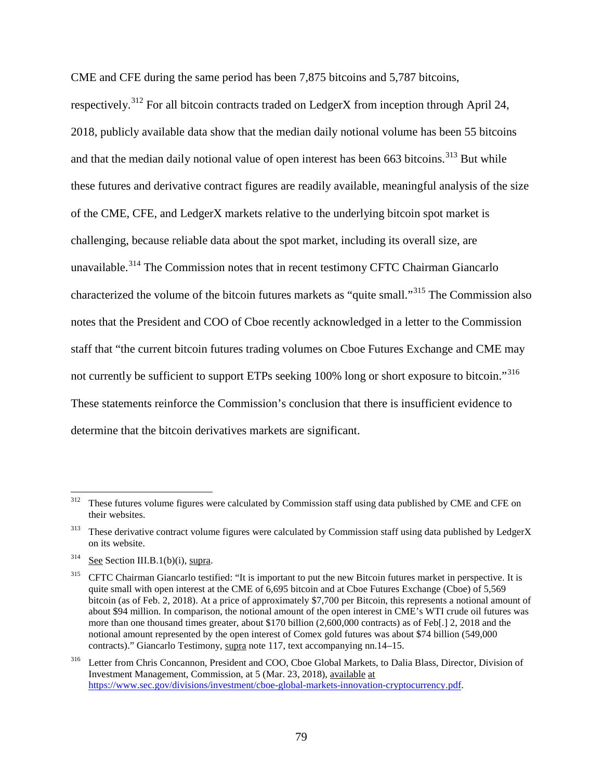CME and CFE during the same period has been 7,875 bitcoins and 5,787 bitcoins,

respectively.<sup>[312](#page-78-0)</sup> For all bitcoin contracts traded on LedgerX from inception through April 24, 2018, publicly available data show that the median daily notional volume has been 55 bitcoins and that the median daily notional value of open interest has been 663 bitcoins.<sup>[313](#page-78-1)</sup> But while these futures and derivative contract figures are readily available, meaningful analysis of the size of the CME, CFE, and LedgerX markets relative to the underlying bitcoin spot market is challenging, because reliable data about the spot market, including its overall size, are unavailable.<sup>[314](#page-78-2)</sup> The Commission notes that in recent testimony CFTC Chairman Giancarlo characterized the volume of the bitcoin futures markets as "quite small."[315](#page-78-3) The Commission also notes that the President and COO of Cboe recently acknowledged in a letter to the Commission staff that "the current bitcoin futures trading volumes on Cboe Futures Exchange and CME may not currently be sufficient to support ETPs seeking 100% long or short exposure to bitcoin."[316](#page-78-4) These statements reinforce the Commission's conclusion that there is insufficient evidence to determine that the bitcoin derivatives markets are significant.

<span id="page-78-0"></span><sup>&</sup>lt;sup>312</sup> These futures volume figures were calculated by Commission staff using data published by CME and CFE on their websites.

<span id="page-78-1"></span> $313$  These derivative contract volume figures were calculated by Commission staff using data published by LedgerX on its website.

<span id="page-78-2"></span> $314$  See Section [III.B.1\(b\)\(i\),](#page-16-0) supra.

<span id="page-78-3"></span><sup>&</sup>lt;sup>315</sup> CFTC Chairman Giancarlo testified: "It is important to put the new Bitcoin futures market in perspective. It is quite small with open interest at the CME of 6,695 bitcoin and at Cboe Futures Exchange (Cboe) of 5,569 bitcoin (as of Feb. 2, 2018). At a price of approximately \$7,700 per Bitcoin, this represents a notional amount of about \$94 million. In comparison, the notional amount of the open interest in CME's WTI crude oil futures was more than one thousand times greater, about \$170 billion (2,600,000 contracts) as of Feb[.] 2, 2018 and the notional amount represented by the open interest of Comex gold futures was about \$74 billion (549,000 contracts)." Giancarlo Testimony, supra note [117,](#page-27-1) text accompanying nn.14–15.

<span id="page-78-4"></span><sup>316</sup> Letter from Chris Concannon, President and COO, Cboe Global Markets, to Dalia Blass, Director, Division of Investment Management, Commission, at 5 (Mar. 23, 2018), available at [https://www.sec.gov/divisions/investment/cboe-global-markets-innovation-cryptocurrency.pdf.](https://www.sec.gov/divisions/investment/cboe-global-markets-innovation-cryptocurrency.pdf)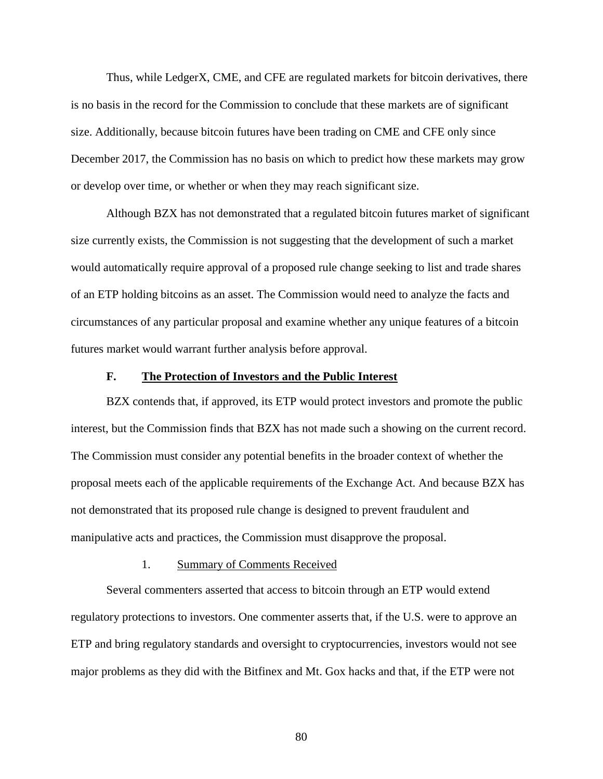Thus, while LedgerX, CME, and CFE are regulated markets for bitcoin derivatives, there is no basis in the record for the Commission to conclude that these markets are of significant size. Additionally, because bitcoin futures have been trading on CME and CFE only since December 2017, the Commission has no basis on which to predict how these markets may grow or develop over time, or whether or when they may reach significant size.

Although BZX has not demonstrated that a regulated bitcoin futures market of significant size currently exists, the Commission is not suggesting that the development of such a market would automatically require approval of a proposed rule change seeking to list and trade shares of an ETP holding bitcoins as an asset. The Commission would need to analyze the facts and circumstances of any particular proposal and examine whether any unique features of a bitcoin futures market would warrant further analysis before approval.

### **F. The Protection of Investors and the Public Interest**

BZX contends that, if approved, its ETP would protect investors and promote the public interest, but the Commission finds that BZX has not made such a showing on the current record. The Commission must consider any potential benefits in the broader context of whether the proposal meets each of the applicable requirements of the Exchange Act. And because BZX has not demonstrated that its proposed rule change is designed to prevent fraudulent and manipulative acts and practices, the Commission must disapprove the proposal.

#### 1. Summary of Comments Received

<span id="page-79-0"></span>Several commenters asserted that access to bitcoin through an ETP would extend regulatory protections to investors. One commenter asserts that, if the U.S. were to approve an ETP and bring regulatory standards and oversight to cryptocurrencies, investors would not see major problems as they did with the Bitfinex and Mt. Gox hacks and that, if the ETP were not

80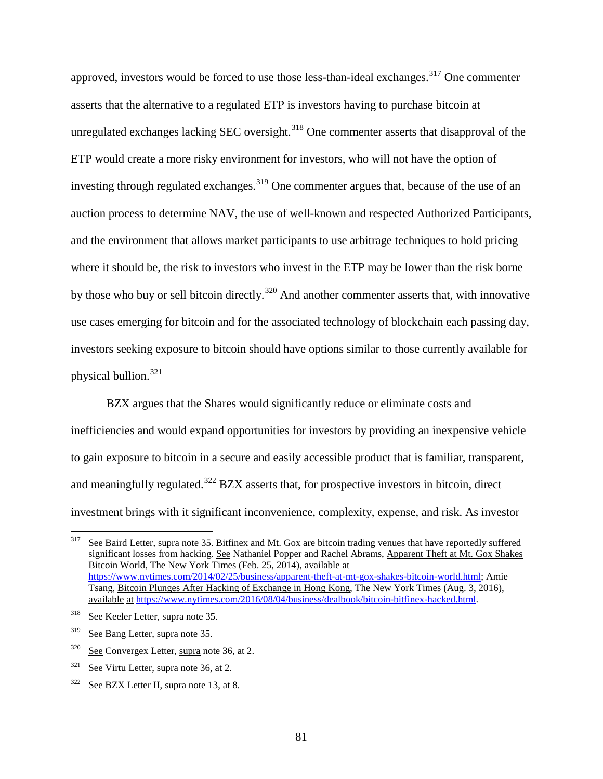approved, investors would be forced to use those less-than-ideal exchanges.<sup>[317](#page-80-0)</sup> One commenter asserts that the alternative to a regulated ETP is investors having to purchase bitcoin at unregulated exchanges lacking SEC oversight.<sup>[318](#page-80-1)</sup> One commenter asserts that disapproval of the ETP would create a more risky environment for investors, who will not have the option of investing through regulated exchanges.<sup>[319](#page-80-2)</sup> One commenter argues that, because of the use of an auction process to determine NAV, the use of well-known and respected Authorized Participants, and the environment that allows market participants to use arbitrage techniques to hold pricing where it should be, the risk to investors who invest in the ETP may be lower than the risk borne by those who buy or sell bitcoin directly.<sup>[320](#page-80-3)</sup> And another commenter asserts that, with innovative use cases emerging for bitcoin and for the associated technology of blockchain each passing day, investors seeking exposure to bitcoin should have options similar to those currently available for physical bullion.[321](#page-80-4)

BZX argues that the Shares would significantly reduce or eliminate costs and inefficiencies and would expand opportunities for investors by providing an inexpensive vehicle to gain exposure to bitcoin in a secure and easily accessible product that is familiar, transparent, and meaningfully regulated.<sup>[322](#page-80-5)</sup> BZX asserts that, for prospective investors in bitcoin, direct investment brings with it significant inconvenience, complexity, expense, and risk. As investor

<span id="page-80-6"></span><span id="page-80-0"></span> $317$  See Baird Letter, supra note [35.](#page-7-0) Bitfinex and Mt. Gox are bitcoin trading venues that have reportedly suffered significant losses from hacking. See Nathaniel Popper and Rachel Abrams, Apparent Theft at Mt. Gox Shakes Bitcoin World, The New York Times (Feb. 25, 2014), available at [https://www.nytimes.com/2014/02/25/business/apparent-theft-at-mt-gox-shakes-bitcoin-world.html;](https://www.nytimes.com/2014/02/25/business/apparent-theft-at-mt-gox-shakes-bitcoin-world.html) Amie Tsang, Bitcoin Plunges After Hacking of Exchange in Hong Kong, The New York Times (Aug. 3, 2016), available at [https://www.nytimes.com/2016/08/04/business/dealbook/bitcoin-bitfinex-hacked.html.](https://www.nytimes.com/2016/08/04/business/dealbook/bitcoin-bitfinex-hacked.html)

<span id="page-80-1"></span><sup>&</sup>lt;sup>318</sup> See Keeler Letter, supra note [35.](#page-7-0)

<span id="page-80-2"></span><sup>&</sup>lt;sup>319</sup> See Bang Letter, supra note [35.](#page-7-0)

<span id="page-80-3"></span><sup>320</sup> See Convergex Letter, supra note [36,](#page-8-0) at 2.

<span id="page-80-4"></span> $321$  See Virtu Letter, supra note [36,](#page-8-0) at 2.

<span id="page-80-5"></span> $322$  See BZX Letter II, supra note [13,](#page-2-0) at 8.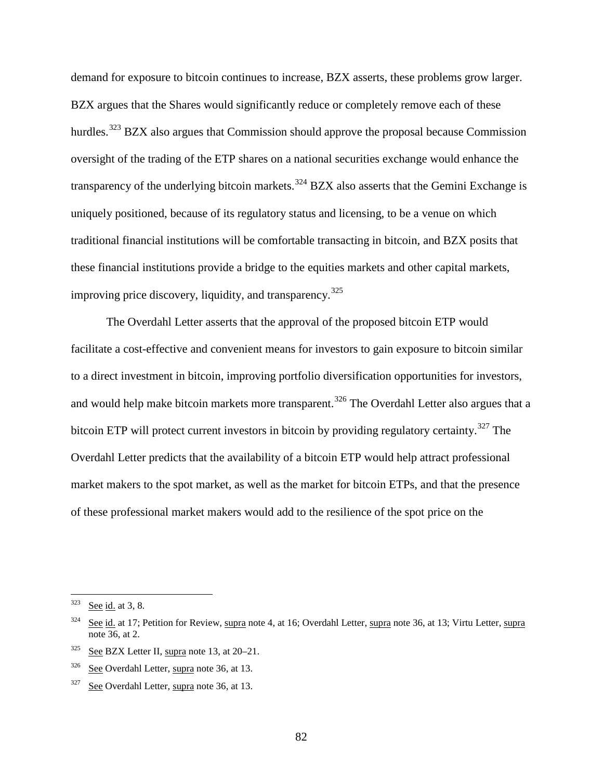<span id="page-81-5"></span>demand for exposure to bitcoin continues to increase, BZX asserts, these problems grow larger. BZX argues that the Shares would significantly reduce or completely remove each of these hurdles.<sup>[323](#page-81-0)</sup> BZX also argues that Commission should approve the proposal because Commission oversight of the trading of the ETP shares on a national securities exchange would enhance the transparency of the underlying bitcoin markets.<sup>[324](#page-81-1)</sup> BZX also asserts that the Gemini Exchange is uniquely positioned, because of its regulatory status and licensing, to be a venue on which traditional financial institutions will be comfortable transacting in bitcoin, and BZX posits that these financial institutions provide a bridge to the equities markets and other capital markets, improving price discovery, liquidity, and transparency.<sup>[325](#page-81-2)</sup>

<span id="page-81-7"></span><span id="page-81-6"></span>The Overdahl Letter asserts that the approval of the proposed bitcoin ETP would facilitate a cost-effective and convenient means for investors to gain exposure to bitcoin similar to a direct investment in bitcoin, improving portfolio diversification opportunities for investors, and would help make bitcoin markets more transparent.<sup>[326](#page-81-3)</sup> The Overdahl Letter also argues that a bitcoin ETP will protect current investors in bitcoin by providing regulatory certainty.<sup>[327](#page-81-4)</sup> The Overdahl Letter predicts that the availability of a bitcoin ETP would help attract professional market makers to the spot market, as well as the market for bitcoin ETPs, and that the presence of these professional market makers would add to the resilience of the spot price on the

<span id="page-81-0"></span> $323$  See id. at 3, 8.

<span id="page-81-1"></span><sup>&</sup>lt;sup>324</sup> See id. at 17; Petition for Review, supra note [4,](#page-0-1) at 16; Overdahl Letter, supra note [36,](#page-8-0) at 13; Virtu Letter, supra not[e 36,](#page-8-0) at 2.

<span id="page-81-2"></span> $325$  See BZX Letter II, supra note [13,](#page-2-0) at 20–21.

<span id="page-81-3"></span><sup>326</sup> See Overdahl Letter, supra note [36,](#page-8-0) at 13.

<span id="page-81-4"></span> $327$  See Overdahl Letter, supra note [36,](#page-8-0) at 13.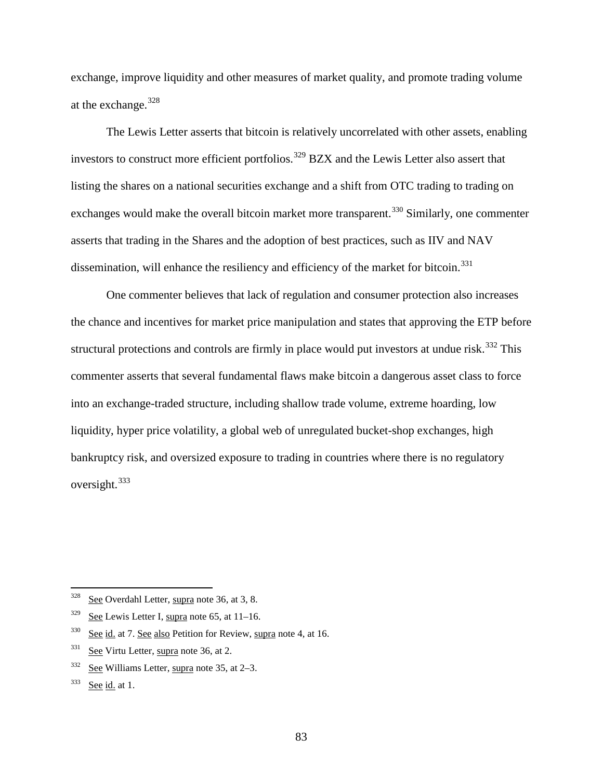exchange, improve liquidity and other measures of market quality, and promote trading volume at the exchange.[328](#page-82-0)

<span id="page-82-7"></span><span id="page-82-6"></span>The Lewis Letter asserts that bitcoin is relatively uncorrelated with other assets, enabling investors to construct more efficient portfolios.<sup>[329](#page-82-1)</sup> BZX and the Lewis Letter also assert that listing the shares on a national securities exchange and a shift from OTC trading to trading on exchanges would make the overall bitcoin market more transparent.<sup>[330](#page-82-2)</sup> Similarly, one commenter asserts that trading in the Shares and the adoption of best practices, such as IIV and NAV dissemination, will enhance the resiliency and efficiency of the market for bitcoin.<sup>[331](#page-82-3)</sup>

One commenter believes that lack of regulation and consumer protection also increases the chance and incentives for market price manipulation and states that approving the ETP before structural protections and controls are firmly in place would put investors at undue risk.<sup>[332](#page-82-4)</sup> This commenter asserts that several fundamental flaws make bitcoin a dangerous asset class to force into an exchange-traded structure, including shallow trade volume, extreme hoarding, low liquidity, hyper price volatility, a global web of unregulated bucket-shop exchanges, high bankruptcy risk, and oversized exposure to trading in countries where there is no regulatory oversight.[333](#page-82-5)

<span id="page-82-0"></span> $328$  See Overdahl Letter, supra note [36,](#page-8-0) at 3, 8.

<span id="page-82-1"></span> $329$  See Lewis Letter I, supra note [65,](#page-14-0) at 11–16.

<span id="page-82-2"></span> $330$  See id. at 7. See also Petition for Review, supra note [4,](#page-0-1) at 16.

<span id="page-82-3"></span> $331$  See Virtu Letter, supra note [36,](#page-8-0) at 2.

<span id="page-82-4"></span><sup>332</sup> See Williams Letter, supra note [35,](#page-7-0) at 2–3.

<span id="page-82-5"></span> $333$  See id. at 1.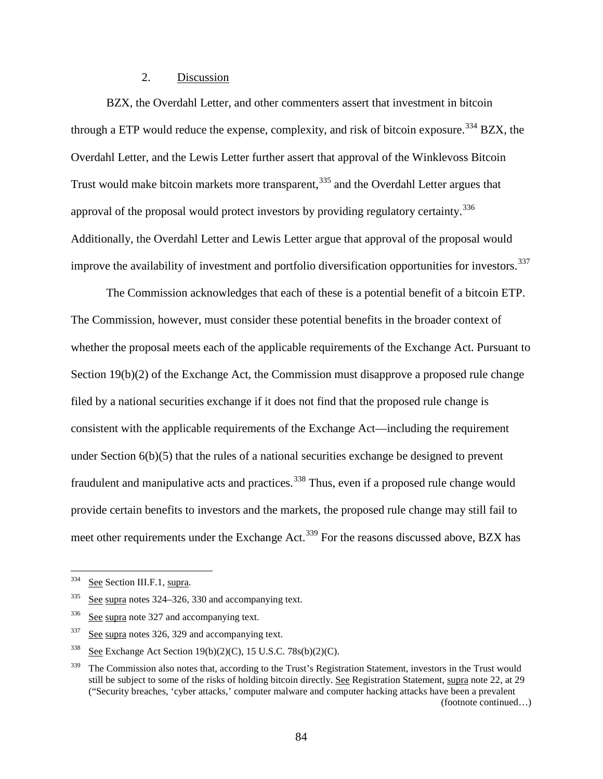### 2. Discussion

BZX, the Overdahl Letter, and other commenters assert that investment in bitcoin through a ETP would reduce the expense, complexity, and risk of bitcoin exposure.<sup>[334](#page-83-0)</sup> BZX, the Overdahl Letter, and the Lewis Letter further assert that approval of the Winklevoss Bitcoin Trust would make bitcoin markets more transparent,<sup>[335](#page-83-1)</sup> and the Overdahl Letter argues that approval of the proposal would protect investors by providing regulatory certainty.<sup>[336](#page-83-2)</sup> Additionally, the Overdahl Letter and Lewis Letter argue that approval of the proposal would improve the availability of investment and portfolio diversification opportunities for investors.<sup>[337](#page-83-3)</sup>

The Commission acknowledges that each of these is a potential benefit of a bitcoin ETP. The Commission, however, must consider these potential benefits in the broader context of whether the proposal meets each of the applicable requirements of the Exchange Act. Pursuant to Section 19(b)(2) of the Exchange Act, the Commission must disapprove a proposed rule change filed by a national securities exchange if it does not find that the proposed rule change is consistent with the applicable requirements of the Exchange Act—including the requirement under Section 6(b)(5) that the rules of a national securities exchange be designed to prevent fraudulent and manipulative acts and practices.<sup>[338](#page-83-4)</sup> Thus, even if a proposed rule change would provide certain benefits to investors and the markets, the proposed rule change may still fail to meet other requirements under the Exchange Act.<sup>[339](#page-83-5)</sup> For the reasons discussed above, BZX has

<span id="page-83-0"></span> <sup>334</sup> See Section [III.F.1,](#page-79-0) supra.

<span id="page-83-1"></span> $335$  See supra note[s 324](#page-81-5)[–326,](#page-81-6) [330](#page-82-6) and accompanying text.

<span id="page-83-2"></span><sup>&</sup>lt;sup>336</sup> See supra note [327](#page-81-7) and accompanying text.

<span id="page-83-3"></span><sup>337</sup> See supra note[s 326,](#page-81-6) [329](#page-82-7) and accompanying text.

<span id="page-83-4"></span><sup>&</sup>lt;sup>338</sup> See Exchange Act Section 19(b)(2)(C), 15 U.S.C. 78s(b)(2)(C).

<span id="page-83-5"></span><sup>&</sup>lt;sup>339</sup> The Commission also notes that, according to the Trust's Registration Statement, investors in the Trust would still be subject to some of the risks of holding bitcoin directly. See Registration Statement, supra note [22,](#page-5-0) at 29 ("Security breaches, 'cyber attacks,' computer malware and computer hacking attacks have been a prevalent (footnote continued…)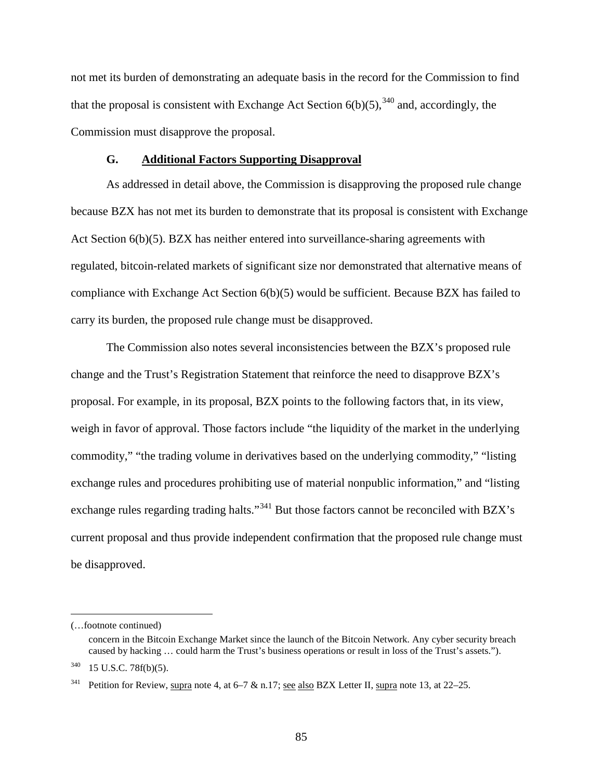not met its burden of demonstrating an adequate basis in the record for the Commission to find that the proposal is consistent with Exchange Act Section  $6(b)(5)$ ,  $340$  and, accordingly, the Commission must disapprove the proposal.

### **G. Additional Factors Supporting Disapproval**

<span id="page-84-2"></span>As addressed in detail above, the Commission is disapproving the proposed rule change because BZX has not met its burden to demonstrate that its proposal is consistent with Exchange Act Section 6(b)(5). BZX has neither entered into surveillance-sharing agreements with regulated, bitcoin-related markets of significant size nor demonstrated that alternative means of compliance with Exchange Act Section 6(b)(5) would be sufficient. Because BZX has failed to carry its burden, the proposed rule change must be disapproved.

The Commission also notes several inconsistencies between the BZX's proposed rule change and the Trust's Registration Statement that reinforce the need to disapprove BZX's proposal. For example, in its proposal, BZX points to the following factors that, in its view, weigh in favor of approval. Those factors include "the liquidity of the market in the underlying commodity," "the trading volume in derivatives based on the underlying commodity," "listing exchange rules and procedures prohibiting use of material nonpublic information," and "listing exchange rules regarding trading halts."<sup>[341](#page-84-1)</sup> But those factors cannot be reconciled with BZX's current proposal and thus provide independent confirmation that the proposed rule change must be disapproved.

 $\overline{a}$ 

<sup>(…</sup>footnote continued)

concern in the Bitcoin Exchange Market since the launch of the Bitcoin Network. Any cyber security breach caused by hacking … could harm the Trust's business operations or result in loss of the Trust's assets.").

<span id="page-84-0"></span><sup>340</sup> 15 U.S.C. 78f(b)(5).

<span id="page-84-1"></span><sup>&</sup>lt;sup>341</sup> Petition for Review, supra note [4,](#page-0-1) at 6–7 & n.17; see also BZX Letter II, supra note [13,](#page-2-0) at 22–25.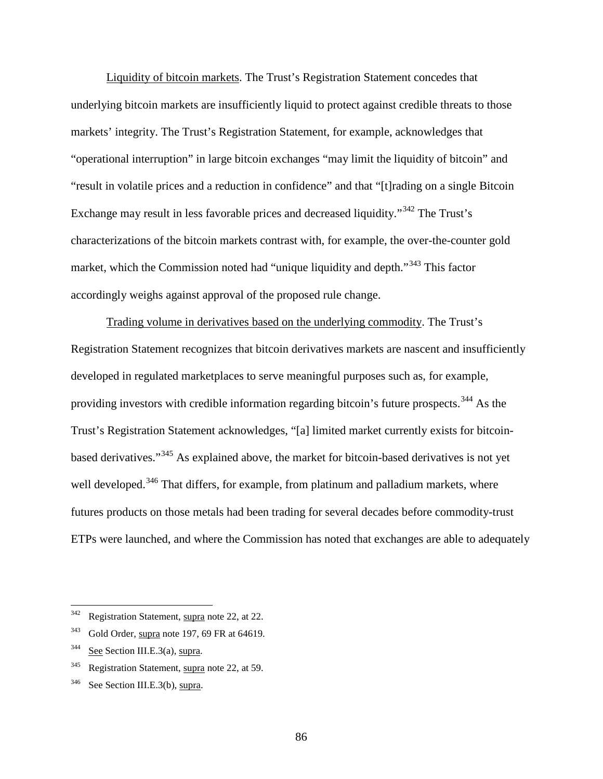Liquidity of bitcoin markets. The Trust's Registration Statement concedes that underlying bitcoin markets are insufficiently liquid to protect against credible threats to those markets' integrity. The Trust's Registration Statement, for example, acknowledges that "operational interruption" in large bitcoin exchanges "may limit the liquidity of bitcoin" and "result in volatile prices and a reduction in confidence" and that "[t]rading on a single Bitcoin Exchange may result in less favorable prices and decreased liquidity."[342](#page-85-0) The Trust's characterizations of the bitcoin markets contrast with, for example, the over-the-counter gold market, which the Commission noted had "unique liquidity and depth."<sup>[343](#page-85-1)</sup> This factor accordingly weighs against approval of the proposed rule change.

Trading volume in derivatives based on the underlying commodity. The Trust's Registration Statement recognizes that bitcoin derivatives markets are nascent and insufficiently developed in regulated marketplaces to serve meaningful purposes such as, for example, providing investors with credible information regarding bitcoin's future prospects.<sup>[344](#page-85-2)</sup> As the Trust's Registration Statement acknowledges, "[a] limited market currently exists for bitcoinbased derivatives."[345](#page-85-3) As explained above, the market for bitcoin-based derivatives is not yet well developed.<sup>[346](#page-85-4)</sup> That differs, for example, from platinum and palladium markets, where futures products on those metals had been trading for several decades before commodity-trust ETPs were launched, and where the Commission has noted that exchanges are able to adequately

<span id="page-85-0"></span><sup>&</sup>lt;sup>342</sup> Registration Statement, supra note [22,](#page-5-0) at 22.

<span id="page-85-1"></span> $343$  Gold Order, supra not[e 197,](#page-47-0) 69 FR at 64619.

<span id="page-85-2"></span> $344$  See Section [III.E.3\(a\),](#page-72-4) supra.

<span id="page-85-3"></span><sup>&</sup>lt;sup>345</sup> Registration Statement, supra note [22,](#page-5-0) at 59.

<span id="page-85-4"></span><sup>346</sup> See Section [III.E.3\(b\),](#page-75-2) supra.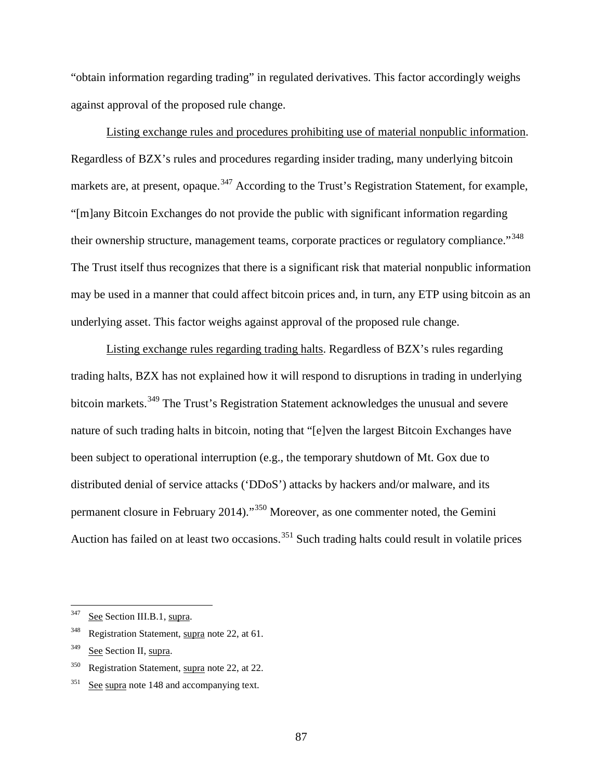"obtain information regarding trading" in regulated derivatives. This factor accordingly weighs against approval of the proposed rule change.

Listing exchange rules and procedures prohibiting use of material nonpublic information. Regardless of BZX's rules and procedures regarding insider trading, many underlying bitcoin markets are, at present, opaque.<sup>[347](#page-86-0)</sup> According to the Trust's Registration Statement, for example, "[m]any Bitcoin Exchanges do not provide the public with significant information regarding their ownership structure, management teams, corporate practices or regulatory compliance."<sup>[348](#page-86-1)</sup> The Trust itself thus recognizes that there is a significant risk that material nonpublic information may be used in a manner that could affect bitcoin prices and, in turn, any ETP using bitcoin as an underlying asset. This factor weighs against approval of the proposed rule change.

Listing exchange rules regarding trading halts. Regardless of BZX's rules regarding trading halts, BZX has not explained how it will respond to disruptions in trading in underlying bitcoin markets.<sup>[349](#page-86-2)</sup> The Trust's Registration Statement acknowledges the unusual and severe nature of such trading halts in bitcoin, noting that "[e]ven the largest Bitcoin Exchanges have been subject to operational interruption (e.g., the temporary shutdown of Mt. Gox due to distributed denial of service attacks ('DDoS') attacks by hackers and/or malware, and its permanent closure in February 2014)."[350](#page-86-3) Moreover, as one commenter noted, the Gemini Auction has failed on at least two occasions.<sup>[351](#page-86-4)</sup> Such trading halts could result in volatile prices

<span id="page-86-1"></span><sup>348</sup> Registration Statement, supra note [22,](#page-5-0) at 61.

<span id="page-86-3"></span><sup>350</sup> Registration Statement, supra note [22,](#page-5-0) at 22.

<span id="page-86-0"></span><sup>&</sup>lt;sup>347</sup> See Section [III.B.1,](#page-11-0) supra.

<span id="page-86-2"></span><sup>&</sup>lt;sup>349</sup> See Section [II,](#page-5-1) supra.

<span id="page-86-4"></span> $351$  See supra note [148](#page-34-0) and accompanying text.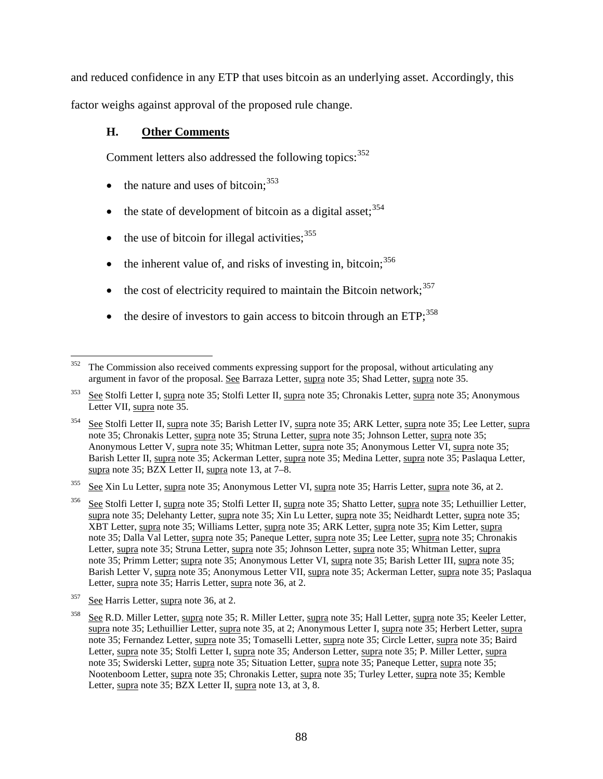and reduced confidence in any ETP that uses bitcoin as an underlying asset. Accordingly, this factor weighs against approval of the proposed rule change.

# **H. Other Comments**

Comment letters also addressed the following topics:  $352$ 

- the nature and uses of bitcoin:  $353$
- $\bullet$  the state of development of bitcoin as a digital asset;  $354$
- the use of bitcoin for illegal activities;  $355$
- the inherent value of, and risks of investing in, bitcoin;  $356$
- the cost of electricity required to maintain the Bitcoin network;  $357$
- the desire of investors to gain access to bitcoin through an  $ETP<sub>1</sub><sup>358</sup>$  $ETP<sub>1</sub><sup>358</sup>$  $ETP<sub>1</sub><sup>358</sup>$

<span id="page-87-5"></span>See Harris Letter, supra note [36,](#page-8-0) at 2.

<span id="page-87-0"></span><sup>&</sup>lt;sup>352</sup> The Commission also received comments expressing support for the proposal, without articulating any argument in favor of the proposal. See Barraza Letter, supra note [35;](#page-7-0) Shad Letter, supra note [35.](#page-7-0)

<span id="page-87-1"></span> $353$  See Stolfi Letter I, supra note [35;](#page-7-0) Stolfi Letter II, supra note 35; Chronakis Letter, supra note 35; Anonymous Letter VII, supra note [35.](#page-7-0)

<span id="page-87-2"></span>See Stolfi Letter II, supra note [35;](#page-7-0) Barish Letter IV, supra note 35; ARK Letter, supra note 35; Lee Letter, supra not[e 35;](#page-7-0) Chronakis Letter, supra note [35;](#page-7-0) Struna Letter, supra note [35;](#page-7-0) Johnson Letter, supra note [35;](#page-7-0) Anonymous Letter V, supra note [35;](#page-7-0) Whitman Letter, supra not[e 35;](#page-7-0) Anonymous Letter VI, supra note [35;](#page-7-0) Barish Letter II, supra note [35;](#page-7-0) Ackerman Letter, supra note [35;](#page-7-0) Medina Letter, supra note 35; Paslaqua Letter, supra note [35;](#page-7-0) BZX Letter II, supra note [13,](#page-2-0) at 7–8.

<span id="page-87-3"></span><sup>&</sup>lt;sup>355</sup> See Xin Lu Letter, supra note [35;](#page-7-0) Anonymous Letter VI, supra note 35; Harris Letter, supra note [36,](#page-8-0) at 2.

<span id="page-87-4"></span><sup>&</sup>lt;sup>356</sup> See Stolfi Letter I, supra note [35;](#page-7-0) Stolfi Letter II, supra note 35; Shatto Letter, supra note 35; Lethuillier Letter, supra note [35;](#page-7-0) Delehanty Letter, supra not[e 35;](#page-7-0) Xin Lu Letter, supra not[e 35;](#page-7-0) Neidhardt Letter, supra note [35;](#page-7-0) XBT Letter, supra note [35;](#page-7-0) Williams Letter, supra note [35;](#page-7-0) ARK Letter, supra note [35;](#page-7-0) Kim Letter, supra note [35;](#page-7-0) Dalla Val Letter, supra note [35;](#page-7-0) Paneque Letter, supra note [35;](#page-7-0) Lee Letter, supra note [35;](#page-7-0) Chronakis Letter, supra not[e 35;](#page-7-0) Struna Letter, supra note [35;](#page-7-0) Johnson Letter, supra not[e 35;](#page-7-0) Whitman Letter, supra note [35;](#page-7-0) Primm Letter; supra not[e 35;](#page-7-0) Anonymous Letter VI, supra note [35;](#page-7-0) Barish Letter III, supra note [35;](#page-7-0) Barish Letter V, supra note [35;](#page-7-0) Anonymous Letter VII, supra note [35;](#page-7-0) Ackerman Letter, supra note [35;](#page-7-0) Paslaqua Letter, supra note [35;](#page-7-0) Harris Letter, supra note [36,](#page-8-0) at 2.

<span id="page-87-6"></span> $\frac{358}{\text{See R.D.}}$  Miller Letter, supra not[e 35;](#page-7-0) R. Miller Letter, supra note [35;](#page-7-0) Hall Letter, supra note 35; Keeler Letter, supra note [35;](#page-7-0) Lethuillier Letter, supra not[e 35,](#page-7-0) at 2; Anonymous Letter I, supra not[e 35;](#page-7-0) Herbert Letter, supra not[e 35;](#page-7-0) Fernandez Letter, supra note [35;](#page-7-0) Tomaselli Letter, supra note [35;](#page-7-0) Circle Letter, supra note [35;](#page-7-0) Baird Letter, supra not[e 35;](#page-7-0) Stolfi Letter I, supra note [35;](#page-7-0) Anderson Letter, supra not[e 35;](#page-7-0) P. Miller Letter, supra note [35;](#page-7-0) Swiderski Letter, supra note [35;](#page-7-0) Situation Letter, supra note [35;](#page-7-0) Paneque Letter, supra note [35;](#page-7-0) Nootenboom Letter, supra note [35;](#page-7-0) Chronakis Letter, supra note [35;](#page-7-0) Turley Letter, supra note 35; Kemble Letter, supra note [35;](#page-7-0) BZX Letter II, supra note [13,](#page-2-0) at 3, 8.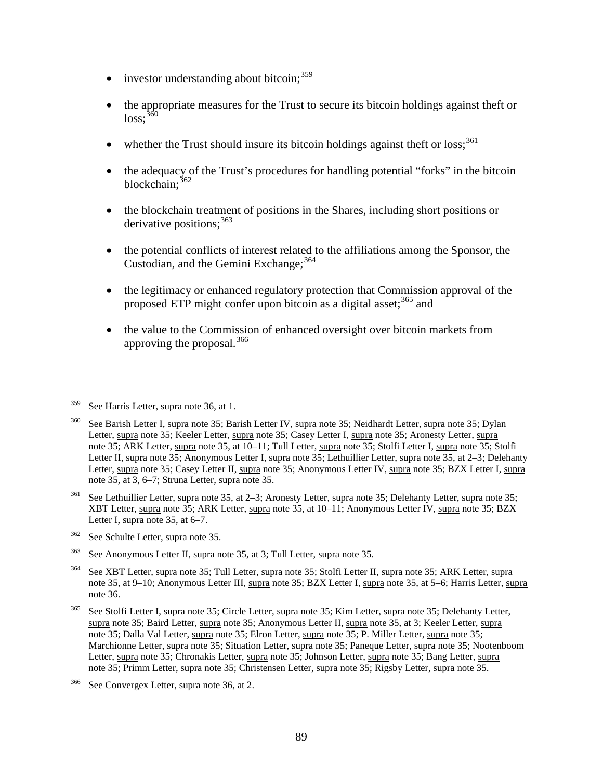- investor understanding about bitcoin;  $359$
- the appropriate measures for the Trust to secure its bitcoin holdings against theft or  $loss:$ <sup>[360](#page-88-1)</sup>
- whether the Trust should insure its bitcoin holdings against theft or  $loss$ ;<sup>[361](#page-88-2)</sup>
- the adequacy of the Trust's procedures for handling potential "forks" in the bitcoin blockchain: [362](#page-88-3)
- the blockchain treatment of positions in the Shares, including short positions or derivative positions;<sup>[363](#page-88-4)</sup>
- the potential conflicts of interest related to the affiliations among the Sponsor, the Custodian, and the Gemini Exchange;  $364$
- the legitimacy or enhanced regulatory protection that Commission approval of the proposed ETP might confer upon bitcoin as a digital asset;<sup>[365](#page-88-6)</sup> and
- the value to the Commission of enhanced oversight over bitcoin markets from approving the proposal.<sup>[366](#page-88-7)</sup>

<span id="page-88-3"></span><sup>362</sup> See Schulte Letter, supra note [35.](#page-7-0)

<span id="page-88-0"></span><sup>&</sup>lt;sup>359</sup> See Harris Letter, supra note [36,](#page-8-0) at 1.

<span id="page-88-1"></span>See Barish Letter I, supra note [35;](#page-7-0) Barish Letter IV, supra note 35; Neidhardt Letter, supra note 35; Dylan Letter, supra not[e 35;](#page-7-0) Keeler Letter, supra note [35;](#page-7-0) Casey Letter I, supra not[e 35;](#page-7-0) Aronesty Letter, supra note [35;](#page-7-0) ARK Letter, supra note [35,](#page-7-0) at 10–11; Tull Letter, supra note [35;](#page-7-0) Stolfi Letter I, supra note [35;](#page-7-0) Stolfi Letter II, supra note [35;](#page-7-0) Anonymous Letter I, supra note [35;](#page-7-0) Lethuillier Letter, supra note [35,](#page-7-0) at 2–3; Delehanty Letter, supra not[e 35;](#page-7-0) Casey Letter II, supra note [35;](#page-7-0) Anonymous Letter IV, supra note [35;](#page-7-0) BZX Letter I, supra not[e 35,](#page-7-0) at 3, 6–7; Struna Letter, supra note [35.](#page-7-0)

<span id="page-88-2"></span> $361$  See Lethuillier Letter, supra note [35,](#page-7-0) at 2–3; Aronesty Letter, supra note [35;](#page-7-0) Delehanty Letter, supra note 35; XBT Letter, supra note [35;](#page-7-0) ARK Letter, supra note [35,](#page-7-0) at 10–11; Anonymous Letter IV, supra note [35;](#page-7-0) BZX Letter I, supra note [35,](#page-7-0) at 6–7.

<span id="page-88-4"></span><sup>363</sup> See Anonymous Letter II, supra note [35,](#page-7-0) at 3; Tull Letter, supra note [35.](#page-7-0)

<span id="page-88-5"></span><sup>364</sup> See XBT Letter, supra note [35;](#page-7-0) Tull Letter, supra note [35;](#page-7-0) Stolfi Letter II, supra note [35;](#page-7-0) ARK Letter, supra not[e 35,](#page-7-0) at 9–10; Anonymous Letter III, supra note [35;](#page-7-0) BZX Letter I, supra not[e 35,](#page-7-0) at 5–6; Harris Letter, supra not[e 36.](#page-8-0)

<span id="page-88-6"></span><sup>&</sup>lt;sup>365</sup> See Stolfi Letter I, supra note [35;](#page-7-0) Circle Letter, supra note 35; Kim Letter, supra note 35; Delehanty Letter, supra note [35;](#page-7-0) Baird Letter, supra not[e 35;](#page-7-0) Anonymous Letter II, supra note [35,](#page-7-0) at 3; Keeler Letter, supra note [35;](#page-7-0) Dalla Val Letter, supra note [35;](#page-7-0) Elron Letter, supra note [35;](#page-7-0) P. Miller Letter, supra not[e 35;](#page-7-0) Marchionne Letter, supra note [35;](#page-7-0) Situation Letter, supra note [35;](#page-7-0) Paneque Letter, supra not[e 35;](#page-7-0) Nootenboom Letter, supra not[e 35;](#page-7-0) Chronakis Letter, supra note [35;](#page-7-0) Johnson Letter, supra not[e 35;](#page-7-0) Bang Letter, supra note [35;](#page-7-0) Primm Letter, supra note [35;](#page-7-0) Christensen Letter, supra note [35;](#page-7-0) Rigsby Letter, supra note [35.](#page-7-0)

<span id="page-88-7"></span><sup>366</sup> See Convergex Letter, supra note [36,](#page-8-0) at 2.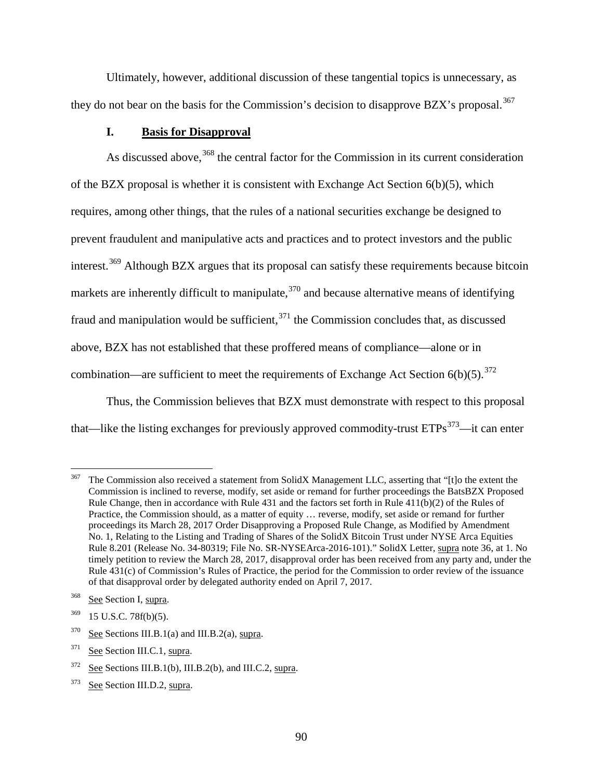Ultimately, however, additional discussion of these tangential topics is unnecessary, as they do not bear on the basis for the Commission's decision to disapprove BZX's proposal.<sup>[367](#page-89-0)</sup>

## **I. Basis for Disapproval**

As discussed above,<sup>[368](#page-89-1)</sup> the central factor for the Commission in its current consideration of the BZX proposal is whether it is consistent with Exchange Act Section 6(b)(5), which requires, among other things, that the rules of a national securities exchange be designed to prevent fraudulent and manipulative acts and practices and to protect investors and the public interest.<sup>[369](#page-89-2)</sup> Although BZX argues that its proposal can satisfy these requirements because bitcoin markets are inherently difficult to manipulate,  $370$  and because alternative means of identifying fraud and manipulation would be sufficient,  $371$  the Commission concludes that, as discussed above, BZX has not established that these proffered means of compliance—alone or in combination—are sufficient to meet the requirements of Exchange Act Section  $6(b)(5)$ .<sup>[372](#page-89-5)</sup>

Thus, the Commission believes that BZX must demonstrate with respect to this proposal that—like the listing exchanges for previously approved commodity-trust  $ETPs<sup>373</sup>$ —it can enter

<span id="page-89-0"></span><sup>&</sup>lt;sup>367</sup> The Commission also received a statement from SolidX Management LLC, asserting that "[t]o the extent the Commission is inclined to reverse, modify, set aside or remand for further proceedings the BatsBZX Proposed Rule Change, then in accordance with Rule 431 and the factors set forth in Rule 411(b)(2) of the Rules of Practice, the Commission should, as a matter of equity … reverse, modify, set aside or remand for further proceedings its March 28, 2017 Order Disapproving a Proposed Rule Change, as Modified by Amendment No. 1, Relating to the Listing and Trading of Shares of the SolidX Bitcoin Trust under NYSE Arca Equities Rule 8.201 (Release No. 34-80319; File No. SR-NYSEArca-2016-101)." SolidX Letter, supra note [36,](#page-8-0) at 1. No timely petition to review the March 28, 2017, disapproval order has been received from any party and, under the Rule 431(c) of Commission's Rules of Practice, the period for the Commission to order review of the issuance of that disapproval order by delegated authority ended on April 7, 2017.

<span id="page-89-1"></span><sup>&</sup>lt;sup>368</sup> See Section [I,](#page-0-2) supra.

<span id="page-89-2"></span><sup>369</sup> 15 U.S.C. 78f(b)(5).

<span id="page-89-3"></span> $370$  See Sections [III.B.1\(a\)](#page-11-1) and [III.B.2\(a\),](#page-29-0) supra.

<span id="page-89-4"></span><sup>371</sup> See Section [III.C.1,](#page-40-0) supra.

<span id="page-89-5"></span> $372$  See Sections [III.B.1\(b\),](#page-16-1) [III.B.2\(b\),](#page-36-0) and [III.C.2,](#page-42-0) supra.

<span id="page-89-6"></span><sup>&</sup>lt;sup>373</sup> See Section [III.D.2,](#page-48-1) supra.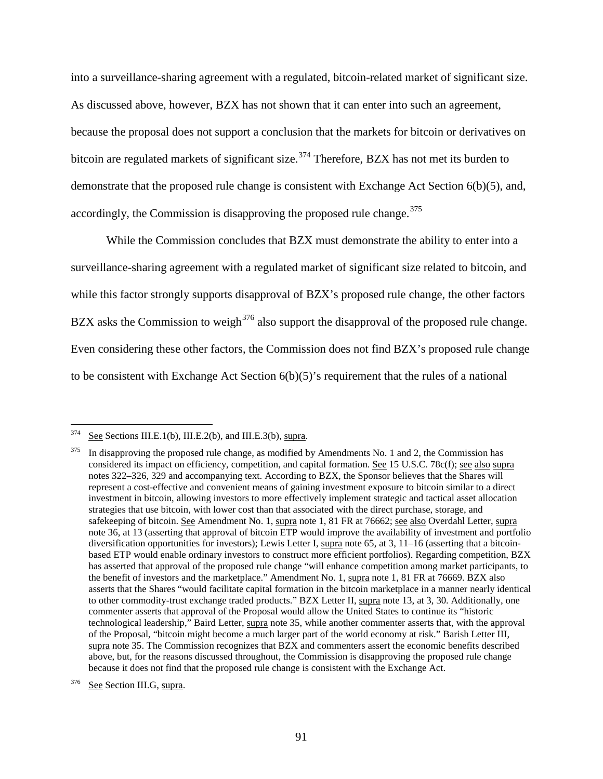into a surveillance-sharing agreement with a regulated, bitcoin-related market of significant size. As discussed above, however, BZX has not shown that it can enter into such an agreement, because the proposal does not support a conclusion that the markets for bitcoin or derivatives on bitcoin are regulated markets of significant size.<sup>[374](#page-90-0)</sup> Therefore, BZX has not met its burden to demonstrate that the proposed rule change is consistent with Exchange Act Section 6(b)(5), and, accordingly, the Commission is disapproving the proposed rule change.  $375$ 

While the Commission concludes that BZX must demonstrate the ability to enter into a surveillance-sharing agreement with a regulated market of significant size related to bitcoin, and while this factor strongly supports disapproval of BZX's proposed rule change, the other factors BZX asks the Commission to weigh<sup>[376](#page-90-2)</sup> also support the disapproval of the proposed rule change. Even considering these other factors, the Commission does not find BZX's proposed rule change to be consistent with Exchange Act Section 6(b)(5)'s requirement that the rules of a national

<span id="page-90-0"></span> $374$  See Sections [III.E.1\(b\),](#page-63-0) [III.E.2\(b\),](#page-70-1) and [III.E.3\(b\),](#page-75-2) supra.

<span id="page-90-1"></span><sup>&</sup>lt;sup>375</sup> In disapproving the proposed rule change, as modified by Amendments No. 1 and 2, the Commission has considered its impact on efficiency, competition, and capital formation. See 15 U.S.C. 78c(f); see also supra note[s 322](#page-80-6)[–326,](#page-81-6) [329](#page-82-7) and accompanying text. According to BZX, the Sponsor believes that the Shares will represent a cost-effective and convenient means of gaining investment exposure to bitcoin similar to a direct investment in bitcoin, allowing investors to more effectively implement strategic and tactical asset allocation strategies that use bitcoin, with lower cost than that associated with the direct purchase, storage, and safekeeping of bitcoin. See Amendment No. [1,](#page-0-0) supra note 1, 81 FR at 76662; see also Overdahl Letter, supra not[e 36,](#page-8-0) at 13 (asserting that approval of bitcoin ETP would improve the availability of investment and portfolio diversification opportunities for investors); Lewis Letter I, supra note [65,](#page-14-0) at 3, 11–16 (asserting that a bitcoinbased ETP would enable ordinary investors to construct more efficient portfolios). Regarding competition, BZX has asserted that approval of the proposed rule change "will enhance competition among market participants, to the benefit of investors and the marketplace." Amendment No. 1, supra note [1,](#page-0-0) 81 FR at 76669. BZX also asserts that the Shares "would facilitate capital formation in the bitcoin marketplace in a manner nearly identical to other commodity-trust exchange traded products." BZX Letter II, supra note [13,](#page-2-0) at 3, 30. Additionally, one commenter asserts that approval of the Proposal would allow the United States to continue its "historic technological leadership," Baird Letter, supra note [35,](#page-7-0) while another commenter asserts that, with the approval of the Proposal, "bitcoin might become a much larger part of the world economy at risk." Barish Letter III, supra note [35.](#page-7-0) The Commission recognizes that BZX and commenters assert the economic benefits described above, but, for the reasons discussed throughout, the Commission is disapproving the proposed rule change because it does not find that the proposed rule change is consistent with the Exchange Act.

<span id="page-90-2"></span><sup>&</sup>lt;sup>376</sup> See Section [III.G,](#page-84-2) supra.